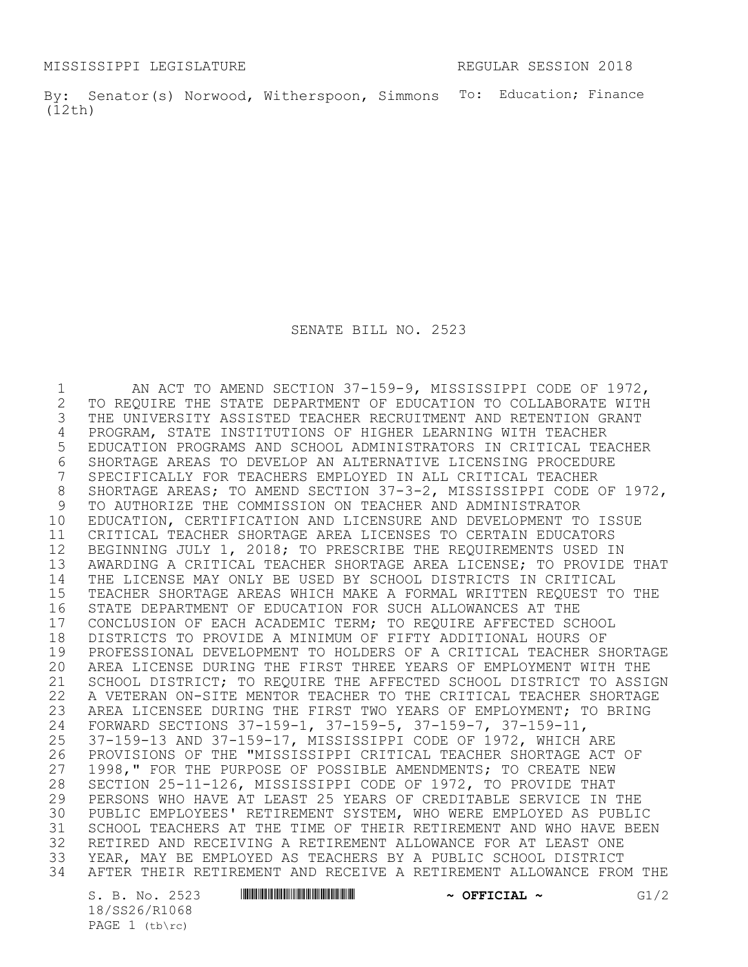MISSISSIPPI LEGISLATURE **REGULAR SESSION 2018** 

By: Senator(s) Norwood, Witherspoon, Simmons To: Education; Finance (12th)

SENATE BILL NO. 2523

1 AN ACT TO AMEND SECTION 37-159-9, MISSISSIPPI CODE OF 1972,<br>2 TO REQUIRE THE STATE DEPARTMENT OF EDUCATION TO COLLABORATE WITH 2 TO REQUIRE THE STATE DEPARTMENT OF EDUCATION TO COLLABORATE WITH<br>3 THE UNIVERSITY ASSISTED TEACHER RECRUITMENT AND RETENTION GRANT THE UNIVERSITY ASSISTED TEACHER RECRUITMENT AND RETENTION GRANT 4 PROGRAM, STATE INSTITUTIONS OF HIGHER LEARNING WITH TEACHER<br>5 EDUCATION PROGRAMS AND SCHOOL ADMINISTRATORS IN CRITICAL TEA EDUCATION PROGRAMS AND SCHOOL ADMINISTRATORS IN CRITICAL TEACHER 6 SHORTAGE AREAS TO DEVELOP AN ALTERNATIVE LICENSING PROCEDURE<br>7 SPECIFICALLY FOR TEACHERS EMPLOYED IN ALL CRITICAL TEACHER SPECIFICALLY FOR TEACHERS EMPLOYED IN ALL CRITICAL TEACHER SHORTAGE AREAS; TO AMEND SECTION 37-3-2, MISSISSIPPI CODE OF 1972, TO AUTHORIZE THE COMMISSION ON TEACHER AND ADMINISTRATOR EDUCATION, CERTIFICATION AND LICENSURE AND DEVELOPMENT TO ISSUE CRITICAL TEACHER SHORTAGE AREA LICENSES TO CERTAIN EDUCATORS BEGINNING JULY 1, 2018; TO PRESCRIBE THE REQUIREMENTS USED IN AWARDING A CRITICAL TEACHER SHORTAGE AREA LICENSE; TO PROVIDE THAT THE LICENSE MAY ONLY BE USED BY SCHOOL DISTRICTS IN CRITICAL TEACHER SHORTAGE AREAS WHICH MAKE A FORMAL WRITTEN REQUEST TO THE STATE DEPARTMENT OF EDUCATION FOR SUCH ALLOWANCES AT THE 17 CONCLUSION OF EACH ACADEMIC TERM; TO REQUIRE AFFECTED SCHOOL<br>18 DISTRICTS TO PROVIDE A MINIMUM OF FIFTY ADDITIONAL HOURS OF 18 DISTRICTS TO PROVIDE A MINIMUM OF FIFTY ADDITIONAL HOURS OF<br>19 PROFESSIONAL DEVELOPMENT TO HOLDERS OF A CRITICAL TEACHER S PROFESSIONAL DEVELOPMENT TO HOLDERS OF A CRITICAL TEACHER SHORTAGE AREA LICENSE DURING THE FIRST THREE YEARS OF EMPLOYMENT WITH THE SCHOOL DISTRICT; TO REQUIRE THE AFFECTED SCHOOL DISTRICT TO ASSIGN A VETERAN ON-SITE MENTOR TEACHER TO THE CRITICAL TEACHER SHORTAGE AREA LICENSEE DURING THE FIRST TWO YEARS OF EMPLOYMENT; TO BRING FORWARD SECTIONS 37-159-1, 37-159-5, 37-159-7, 37-159-11, 25 37-159-13 AND 37-159-17, MISSISSIPPI CODE OF 1972, WHICH ARE<br>26 PROVISIONS OF THE "MISSISSIPPI CRITICAL TEACHER SHORTAGE ACT PROVISIONS OF THE "MISSISSIPPI CRITICAL TEACHER SHORTAGE ACT OF 1998," FOR THE PURPOSE OF POSSIBLE AMENDMENTS; TO CREATE NEW SECTION 25-11-126, MISSISSIPPI CODE OF 1972, TO PROVIDE THAT PERSONS WHO HAVE AT LEAST 25 YEARS OF CREDITABLE SERVICE IN THE PUBLIC EMPLOYEES' RETIREMENT SYSTEM, WHO WERE EMPLOYED AS PUBLIC SCHOOL TEACHERS AT THE TIME OF THEIR RETIREMENT AND WHO HAVE BEEN RETIRED AND RECEIVING A RETIREMENT ALLOWANCE FOR AT LEAST ONE YEAR, MAY BE EMPLOYED AS TEACHERS BY A PUBLIC SCHOOL DISTRICT AFTER THEIR RETIREMENT AND RECEIVE A RETIREMENT ALLOWANCE FROM THE

18/SS26/R1068 PAGE 1 (tb\rc)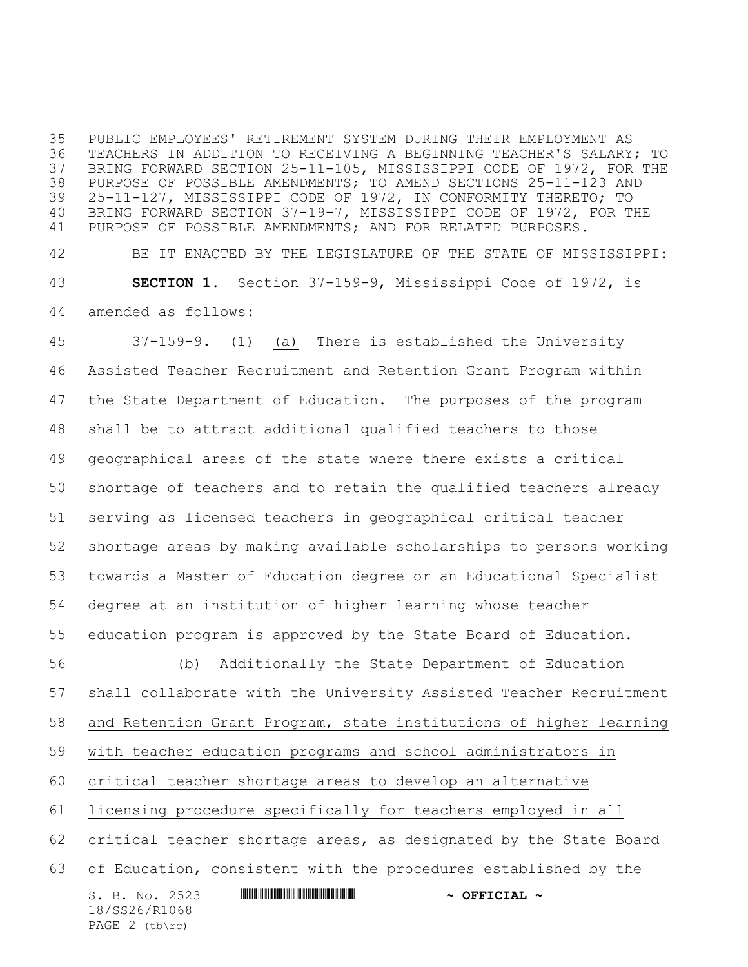PUBLIC EMPLOYEES' RETIREMENT SYSTEM DURING THEIR EMPLOYMENT AS TEACHERS IN ADDITION TO RECEIVING A BEGINNING TEACHER'S SALARY; TO BRING FORWARD SECTION 25-11-105, MISSISSIPPI CODE OF 1972, FOR THE PURPOSE OF POSSIBLE AMENDMENTS; TO AMEND SECTIONS 25-11-123 AND 25-11-127, MISSISSIPPI CODE OF 1972, IN CONFORMITY THERETO; TO BRING FORWARD SECTION 37-19-7, MISSISSIPPI CODE OF 1972, FOR THE PURPOSE OF POSSIBLE AMENDMENTS; AND FOR RELATED PURPOSES.

 BE IT ENACTED BY THE LEGISLATURE OF THE STATE OF MISSISSIPPI: **SECTION 1.** Section 37-159-9, Mississippi Code of 1972, is amended as follows:

 37-159-9. (1) (a) There is established the University Assisted Teacher Recruitment and Retention Grant Program within the State Department of Education. The purposes of the program shall be to attract additional qualified teachers to those geographical areas of the state where there exists a critical shortage of teachers and to retain the qualified teachers already serving as licensed teachers in geographical critical teacher shortage areas by making available scholarships to persons working towards a Master of Education degree or an Educational Specialist degree at an institution of higher learning whose teacher education program is approved by the State Board of Education. (b) Additionally the State Department of Education shall collaborate with the University Assisted Teacher Recruitment and Retention Grant Program, state institutions of higher learning with teacher education programs and school administrators in critical teacher shortage areas to develop an alternative licensing procedure specifically for teachers employed in all

critical teacher shortage areas, as designated by the State Board

of Education, consistent with the procedures established by the

S. B. No. 2523 **\*\*\* AND \*\*\* AND \*\*\* AND \*\*\* AND \*\*\* OFFICIAL \*\*** 18/SS26/R1068 PAGE 2 (tb\rc)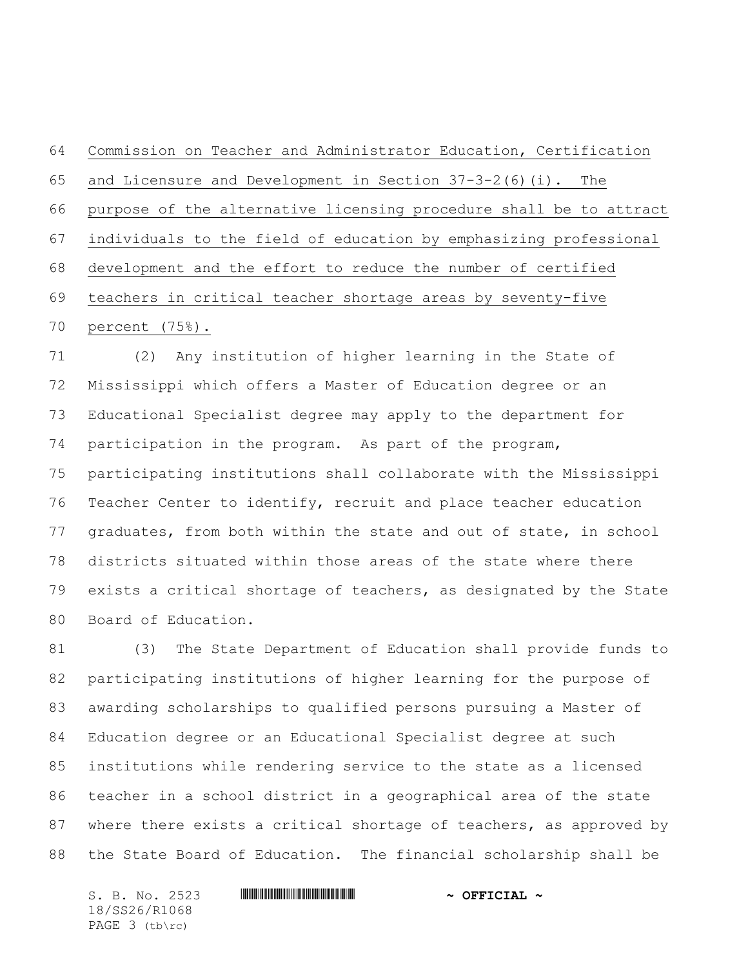Commission on Teacher and Administrator Education, Certification and Licensure and Development in Section 37-3-2(6)(i). The purpose of the alternative licensing procedure shall be to attract individuals to the field of education by emphasizing professional development and the effort to reduce the number of certified teachers in critical teacher shortage areas by seventy-five percent (75%).

 (2) Any institution of higher learning in the State of Mississippi which offers a Master of Education degree or an Educational Specialist degree may apply to the department for participation in the program. As part of the program, participating institutions shall collaborate with the Mississippi Teacher Center to identify, recruit and place teacher education graduates, from both within the state and out of state, in school districts situated within those areas of the state where there exists a critical shortage of teachers, as designated by the State Board of Education.

 (3) The State Department of Education shall provide funds to participating institutions of higher learning for the purpose of awarding scholarships to qualified persons pursuing a Master of Education degree or an Educational Specialist degree at such institutions while rendering service to the state as a licensed teacher in a school district in a geographical area of the state where there exists a critical shortage of teachers, as approved by the State Board of Education. The financial scholarship shall be

S. B. No. 2523 **\*\*\* AND \*\*\* AND \*\*\* AND \*\*\* AND \*\*\* OFFICIAL \*\*** 18/SS26/R1068 PAGE 3 (tb\rc)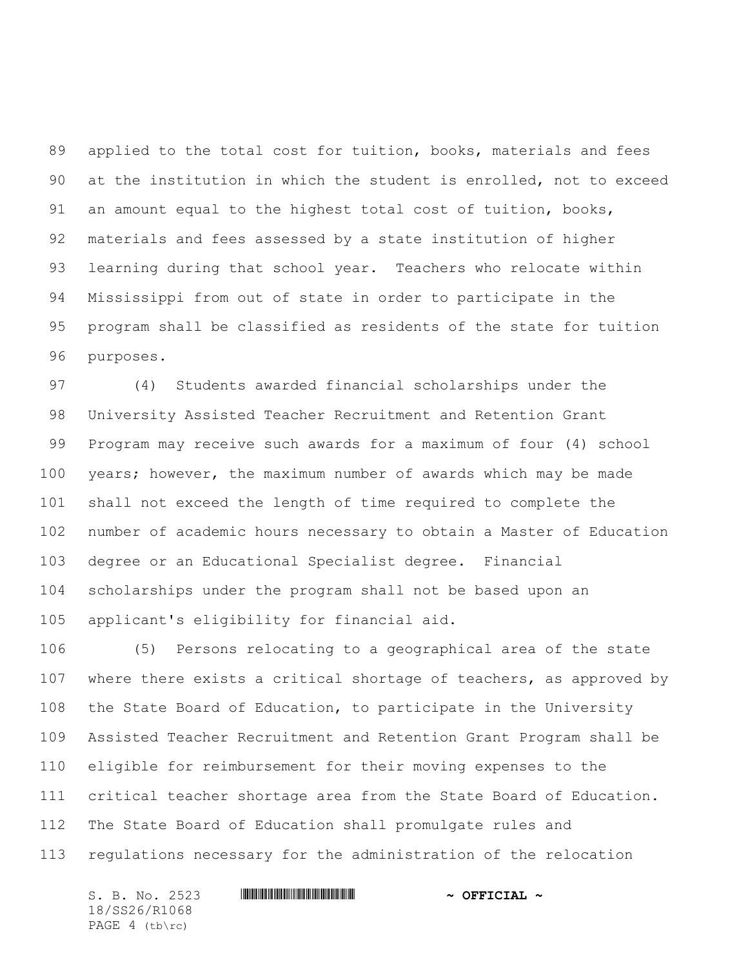applied to the total cost for tuition, books, materials and fees at the institution in which the student is enrolled, not to exceed an amount equal to the highest total cost of tuition, books, materials and fees assessed by a state institution of higher learning during that school year. Teachers who relocate within Mississippi from out of state in order to participate in the program shall be classified as residents of the state for tuition purposes.

 (4) Students awarded financial scholarships under the University Assisted Teacher Recruitment and Retention Grant Program may receive such awards for a maximum of four (4) school years; however, the maximum number of awards which may be made shall not exceed the length of time required to complete the number of academic hours necessary to obtain a Master of Education degree or an Educational Specialist degree. Financial scholarships under the program shall not be based upon an applicant's eligibility for financial aid.

 (5) Persons relocating to a geographical area of the state where there exists a critical shortage of teachers, as approved by the State Board of Education, to participate in the University Assisted Teacher Recruitment and Retention Grant Program shall be eligible for reimbursement for their moving expenses to the critical teacher shortage area from the State Board of Education. The State Board of Education shall promulgate rules and regulations necessary for the administration of the relocation

S. B. No. 2523 **\*\*\* AND \*\*\* AND \*\*\* AND \*\*\* AND \*\*\* OFFICIAL \*\*** 18/SS26/R1068 PAGE 4 (tb\rc)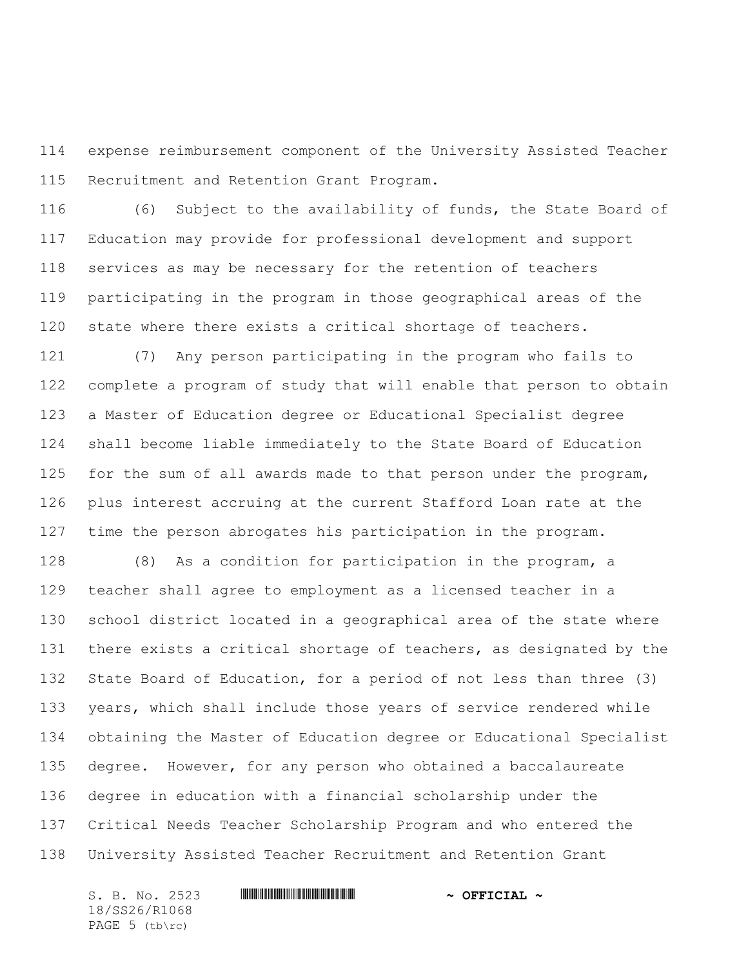expense reimbursement component of the University Assisted Teacher Recruitment and Retention Grant Program.

 (6) Subject to the availability of funds, the State Board of Education may provide for professional development and support services as may be necessary for the retention of teachers participating in the program in those geographical areas of the state where there exists a critical shortage of teachers.

 (7) Any person participating in the program who fails to complete a program of study that will enable that person to obtain a Master of Education degree or Educational Specialist degree shall become liable immediately to the State Board of Education 125 for the sum of all awards made to that person under the program, plus interest accruing at the current Stafford Loan rate at the time the person abrogates his participation in the program.

 (8) As a condition for participation in the program, a teacher shall agree to employment as a licensed teacher in a school district located in a geographical area of the state where there exists a critical shortage of teachers, as designated by the State Board of Education, for a period of not less than three (3) years, which shall include those years of service rendered while obtaining the Master of Education degree or Educational Specialist degree. However, for any person who obtained a baccalaureate degree in education with a financial scholarship under the Critical Needs Teacher Scholarship Program and who entered the University Assisted Teacher Recruitment and Retention Grant

18/SS26/R1068 PAGE (tb\rc)

S. B. No. 2523 **\*\*\* AND \*\*\* AND \*\*\* AND \*\*\* AND \*\*\* OFFICIAL \*\***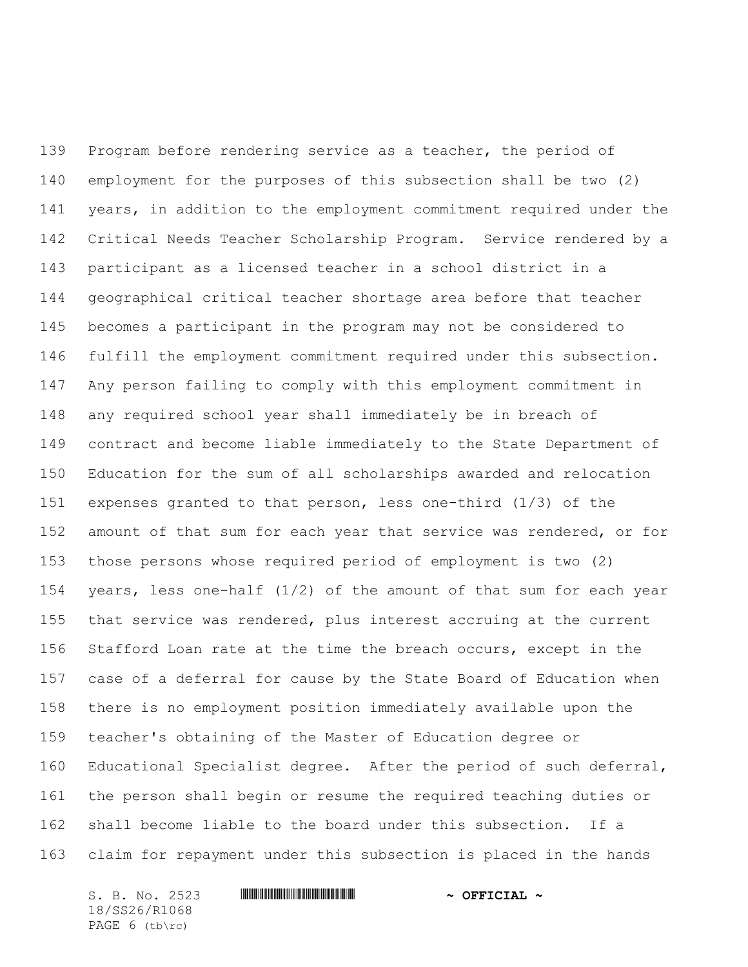Program before rendering service as a teacher, the period of employment for the purposes of this subsection shall be two (2) years, in addition to the employment commitment required under the Critical Needs Teacher Scholarship Program. Service rendered by a participant as a licensed teacher in a school district in a geographical critical teacher shortage area before that teacher becomes a participant in the program may not be considered to fulfill the employment commitment required under this subsection. Any person failing to comply with this employment commitment in any required school year shall immediately be in breach of contract and become liable immediately to the State Department of Education for the sum of all scholarships awarded and relocation expenses granted to that person, less one-third (1/3) of the amount of that sum for each year that service was rendered, or for those persons whose required period of employment is two (2) years, less one-half (1/2) of the amount of that sum for each year that service was rendered, plus interest accruing at the current Stafford Loan rate at the time the breach occurs, except in the case of a deferral for cause by the State Board of Education when there is no employment position immediately available upon the teacher's obtaining of the Master of Education degree or Educational Specialist degree. After the period of such deferral, the person shall begin or resume the required teaching duties or shall become liable to the board under this subsection. If a claim for repayment under this subsection is placed in the hands

S. B. No. 2523 **\*\*\* AND \*\*\* AND \*\*\* AND \*\*\* AND \*\*\* OFFICIAL \*\*** 18/SS26/R1068 PAGE 6 (tb\rc)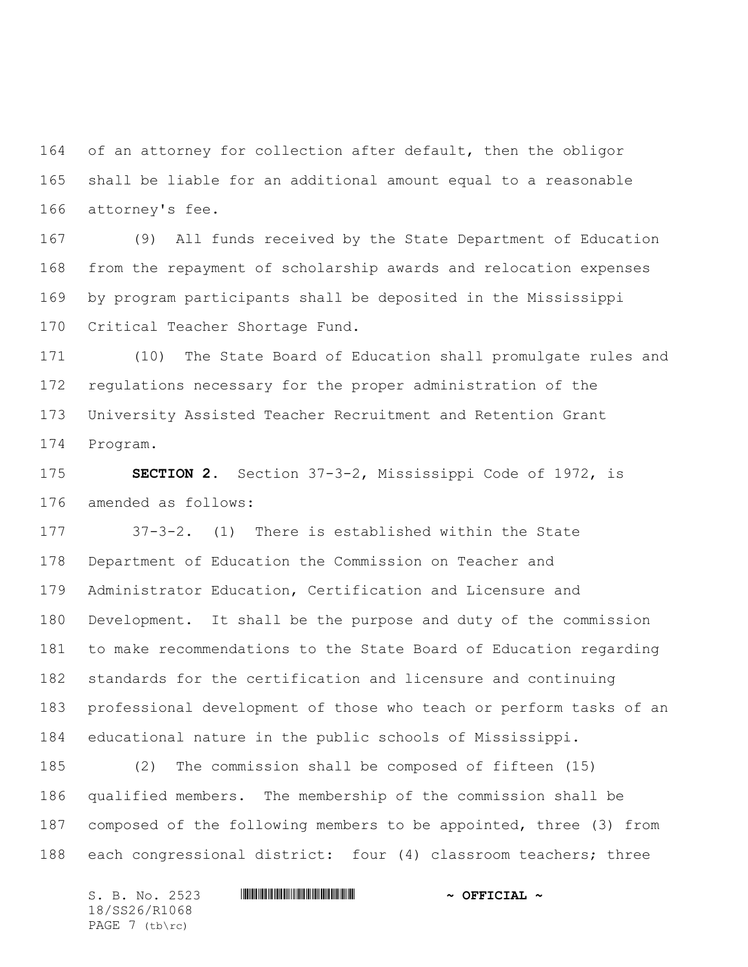of an attorney for collection after default, then the obligor shall be liable for an additional amount equal to a reasonable attorney's fee.

 (9) All funds received by the State Department of Education from the repayment of scholarship awards and relocation expenses by program participants shall be deposited in the Mississippi Critical Teacher Shortage Fund.

 (10) The State Board of Education shall promulgate rules and regulations necessary for the proper administration of the University Assisted Teacher Recruitment and Retention Grant Program.

 **SECTION 2.** Section 37-3-2, Mississippi Code of 1972, is amended as follows:

 37-3-2. (1) There is established within the State Department of Education the Commission on Teacher and Administrator Education, Certification and Licensure and Development. It shall be the purpose and duty of the commission to make recommendations to the State Board of Education regarding standards for the certification and licensure and continuing professional development of those who teach or perform tasks of an educational nature in the public schools of Mississippi.

 (2) The commission shall be composed of fifteen (15) qualified members. The membership of the commission shall be composed of the following members to be appointed, three (3) from each congressional district: four (4) classroom teachers; three

S. B. No. 2523 \*SS26/R1068\* **~ OFFICIAL ~** 18/SS26/R1068 PAGE 7 (tb\rc)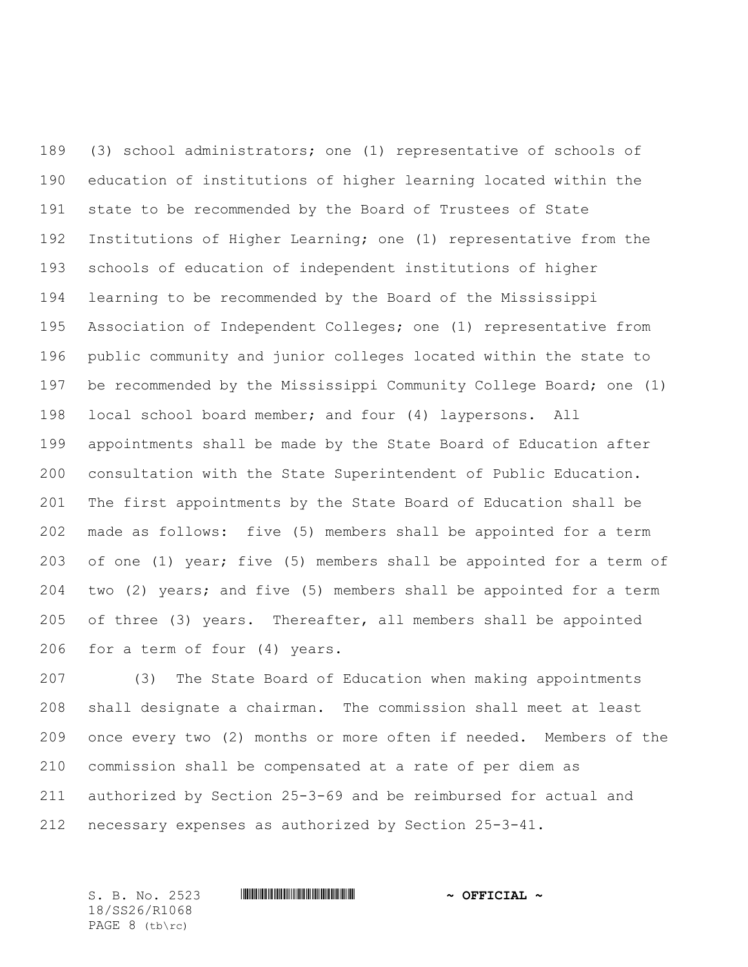(3) school administrators; one (1) representative of schools of education of institutions of higher learning located within the state to be recommended by the Board of Trustees of State Institutions of Higher Learning; one (1) representative from the schools of education of independent institutions of higher learning to be recommended by the Board of the Mississippi Association of Independent Colleges; one (1) representative from public community and junior colleges located within the state to be recommended by the Mississippi Community College Board; one (1) local school board member; and four (4) laypersons. All appointments shall be made by the State Board of Education after consultation with the State Superintendent of Public Education. The first appointments by the State Board of Education shall be made as follows: five (5) members shall be appointed for a term of one (1) year; five (5) members shall be appointed for a term of two (2) years; and five (5) members shall be appointed for a term of three (3) years. Thereafter, all members shall be appointed for a term of four (4) years.

 (3) The State Board of Education when making appointments shall designate a chairman. The commission shall meet at least once every two (2) months or more often if needed. Members of the commission shall be compensated at a rate of per diem as authorized by Section 25-3-69 and be reimbursed for actual and necessary expenses as authorized by Section 25-3-41.

S. B. No. 2523 **\*\*\* And \*\*\* And \*\*\* ~ OFFICIAL ~** 18/SS26/R1068 PAGE 8 (tb\rc)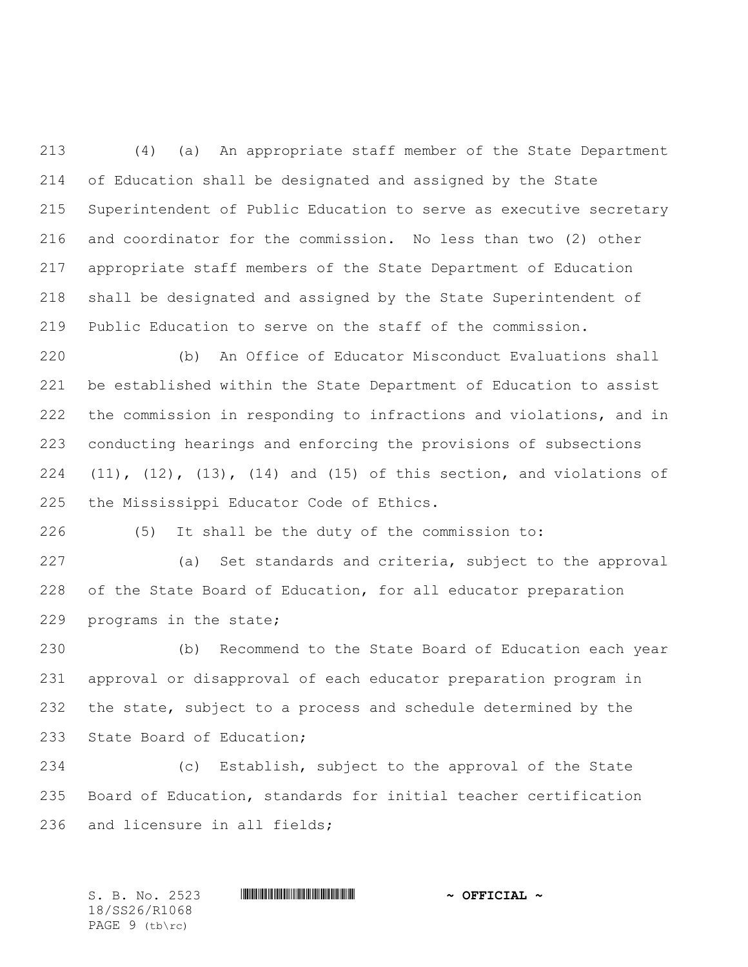(4) (a) An appropriate staff member of the State Department of Education shall be designated and assigned by the State Superintendent of Public Education to serve as executive secretary and coordinator for the commission. No less than two (2) other appropriate staff members of the State Department of Education shall be designated and assigned by the State Superintendent of Public Education to serve on the staff of the commission.

 (b) An Office of Educator Misconduct Evaluations shall be established within the State Department of Education to assist the commission in responding to infractions and violations, and in conducting hearings and enforcing the provisions of subsections (11), (12), (13), (14) and (15) of this section, and violations of the Mississippi Educator Code of Ethics.

(5) It shall be the duty of the commission to:

 (a) Set standards and criteria, subject to the approval of the State Board of Education, for all educator preparation programs in the state;

 (b) Recommend to the State Board of Education each year approval or disapproval of each educator preparation program in the state, subject to a process and schedule determined by the State Board of Education;

 (c) Establish, subject to the approval of the State Board of Education, standards for initial teacher certification and licensure in all fields;

S. B. No. 2523 **\*\*\* And \*\*\* And \*\*\* ~ OFFICIAL ~** 18/SS26/R1068 PAGE 9 (tb\rc)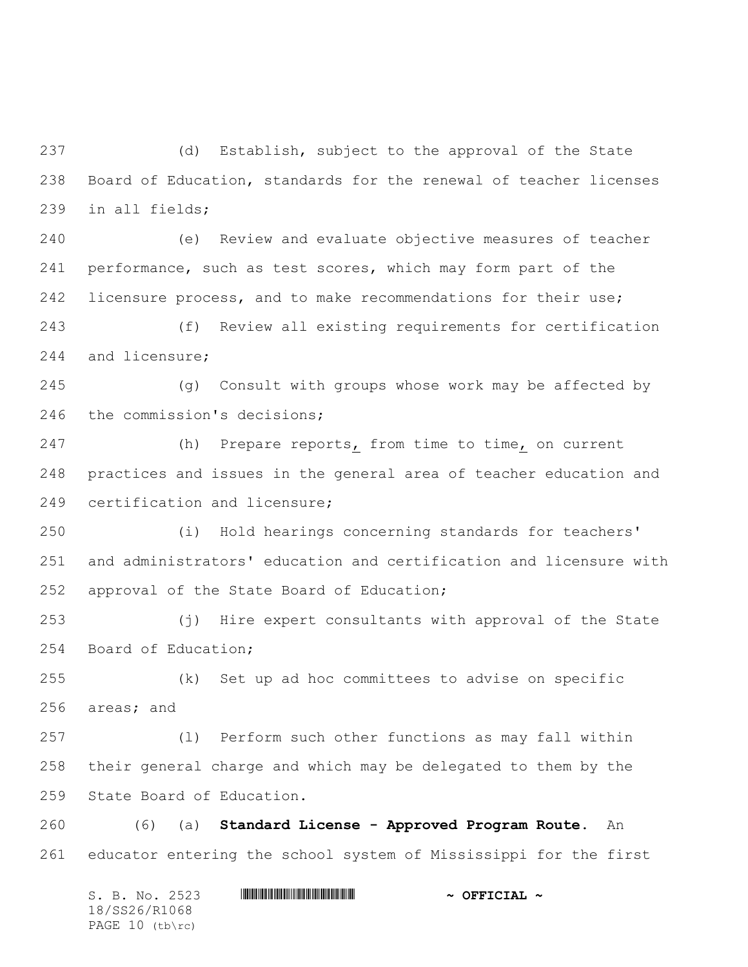(d) Establish, subject to the approval of the State Board of Education, standards for the renewal of teacher licenses in all fields;

 (e) Review and evaluate objective measures of teacher performance, such as test scores, which may form part of the licensure process, and to make recommendations for their use;

 (f) Review all existing requirements for certification and licensure;

 (g) Consult with groups whose work may be affected by the commission's decisions;

247 (h) Prepare reports, from time to time, on current practices and issues in the general area of teacher education and certification and licensure;

 (i) Hold hearings concerning standards for teachers' and administrators' education and certification and licensure with approval of the State Board of Education;

 (j) Hire expert consultants with approval of the State Board of Education;

 (k) Set up ad hoc committees to advise on specific areas; and

 (l) Perform such other functions as may fall within their general charge and which may be delegated to them by the State Board of Education.

 (6) (a) **Standard License - Approved Program Route**. An educator entering the school system of Mississippi for the first

S. B. No. 2523 \*SS26/R1068\* **~ OFFICIAL ~** 18/SS26/R1068 PAGE 10 (tb\rc)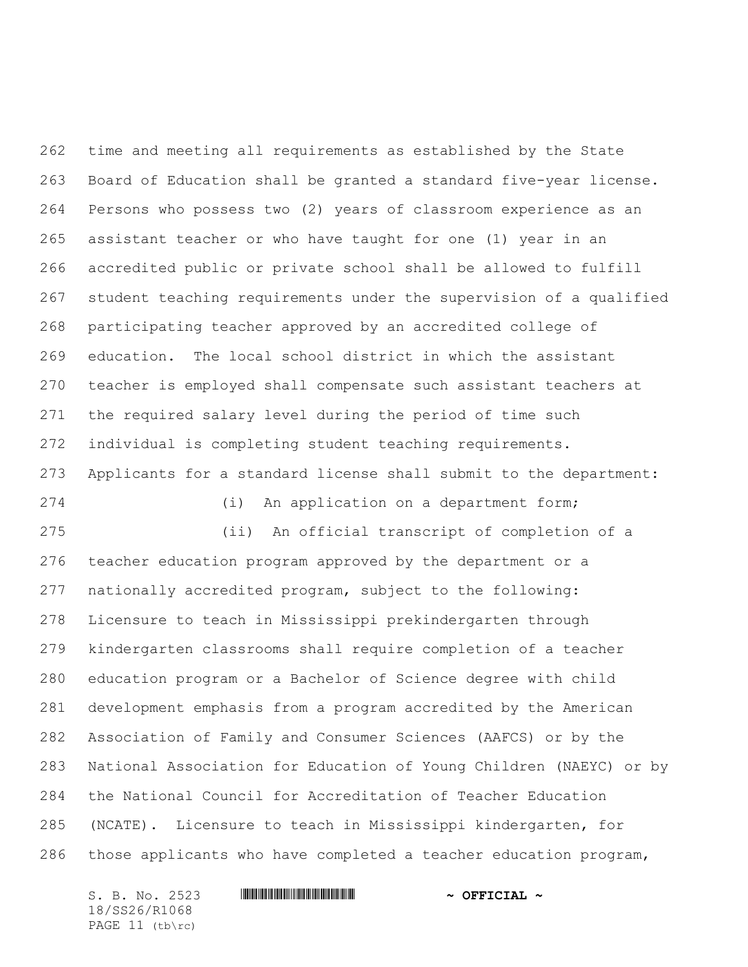time and meeting all requirements as established by the State Board of Education shall be granted a standard five-year license. Persons who possess two (2) years of classroom experience as an assistant teacher or who have taught for one (1) year in an accredited public or private school shall be allowed to fulfill student teaching requirements under the supervision of a qualified participating teacher approved by an accredited college of education. The local school district in which the assistant teacher is employed shall compensate such assistant teachers at the required salary level during the period of time such individual is completing student teaching requirements. Applicants for a standard license shall submit to the department: (i) An application on a department form; (ii) An official transcript of completion of a teacher education program approved by the department or a nationally accredited program, subject to the following: Licensure to teach in Mississippi prekindergarten through kindergarten classrooms shall require completion of a teacher

 education program or a Bachelor of Science degree with child development emphasis from a program accredited by the American Association of Family and Consumer Sciences (AAFCS) or by the National Association for Education of Young Children (NAEYC) or by the National Council for Accreditation of Teacher Education (NCATE). Licensure to teach in Mississippi kindergarten, for those applicants who have completed a teacher education program,

18/SS26/R1068 PAGE 11 (tb\rc)

## S. B. No. 2523 **\*\*\* AND \*\*\* AND \*\*\* AND \*\*\* AND \*\*\* OFFICIAL \*\***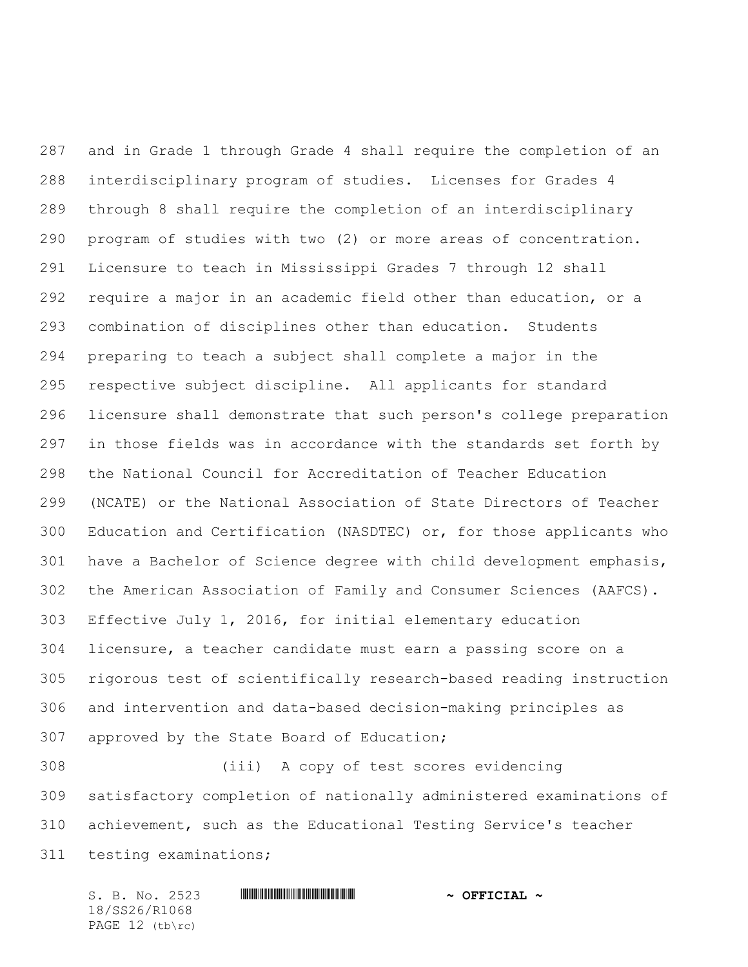and in Grade 1 through Grade 4 shall require the completion of an interdisciplinary program of studies. Licenses for Grades 4 through 8 shall require the completion of an interdisciplinary program of studies with two (2) or more areas of concentration. Licensure to teach in Mississippi Grades 7 through 12 shall require a major in an academic field other than education, or a combination of disciplines other than education. Students preparing to teach a subject shall complete a major in the respective subject discipline. All applicants for standard licensure shall demonstrate that such person's college preparation in those fields was in accordance with the standards set forth by the National Council for Accreditation of Teacher Education (NCATE) or the National Association of State Directors of Teacher Education and Certification (NASDTEC) or, for those applicants who have a Bachelor of Science degree with child development emphasis, the American Association of Family and Consumer Sciences (AAFCS). Effective July 1, 2016, for initial elementary education licensure, a teacher candidate must earn a passing score on a rigorous test of scientifically research-based reading instruction and intervention and data-based decision-making principles as approved by the State Board of Education;

 (iii) A copy of test scores evidencing satisfactory completion of nationally administered examinations of achievement, such as the Educational Testing Service's teacher testing examinations;

S. B. No. 2523 \*SS26/R1068\* **~ OFFICIAL ~** 18/SS26/R1068 PAGE 12 (tb\rc)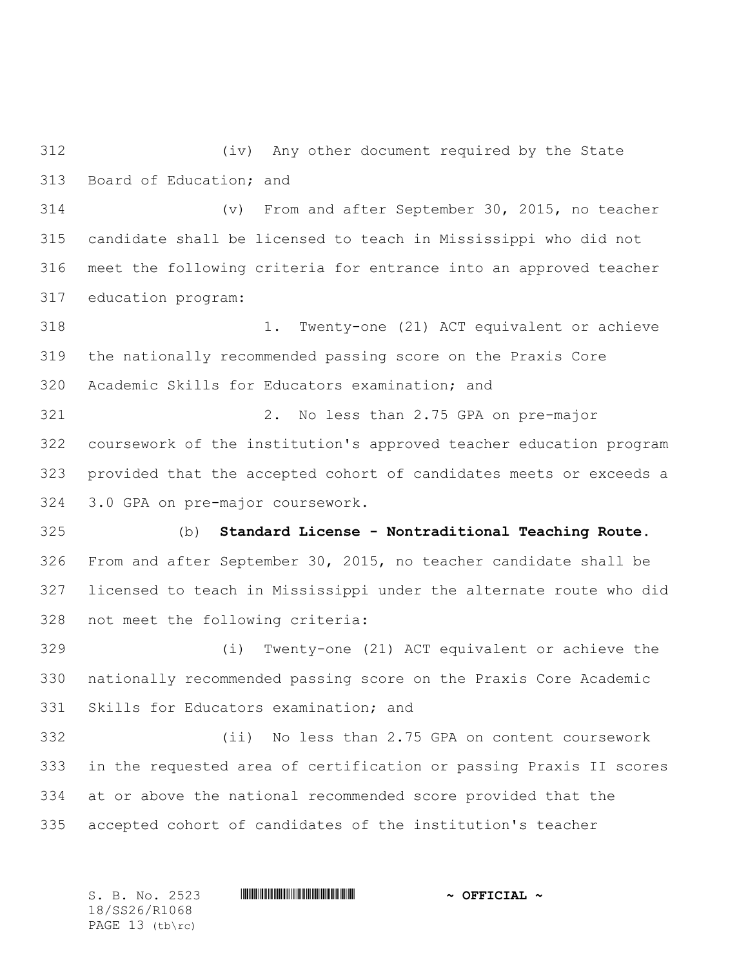(iv) Any other document required by the State Board of Education; and

 (v) From and after September 30, 2015, no teacher candidate shall be licensed to teach in Mississippi who did not meet the following criteria for entrance into an approved teacher education program:

 1. Twenty-one (21) ACT equivalent or achieve the nationally recommended passing score on the Praxis Core Academic Skills for Educators examination; and

 2. No less than 2.75 GPA on pre-major coursework of the institution's approved teacher education program provided that the accepted cohort of candidates meets or exceeds a 3.0 GPA on pre-major coursework.

 (b) **Standard License - Nontraditional Teaching Route**. From and after September 30, 2015, no teacher candidate shall be licensed to teach in Mississippi under the alternate route who did not meet the following criteria:

 (i) Twenty-one (21) ACT equivalent or achieve the nationally recommended passing score on the Praxis Core Academic Skills for Educators examination; and

 (ii) No less than 2.75 GPA on content coursework in the requested area of certification or passing Praxis II scores at or above the national recommended score provided that the accepted cohort of candidates of the institution's teacher

S. B. No. 2523 **\*\*\* And \*\*\* And \*\*\* ~ OFFICIAL ~** 18/SS26/R1068 PAGE 13 (tb\rc)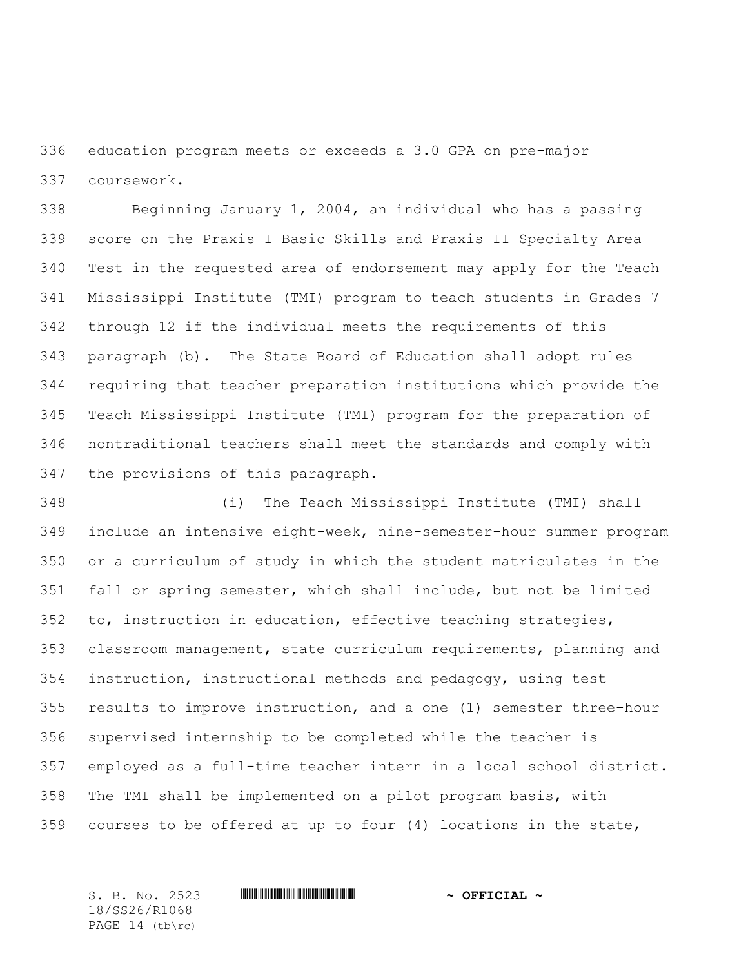education program meets or exceeds a 3.0 GPA on pre-major coursework.

 Beginning January 1, 2004, an individual who has a passing score on the Praxis I Basic Skills and Praxis II Specialty Area Test in the requested area of endorsement may apply for the Teach Mississippi Institute (TMI) program to teach students in Grades 7 through 12 if the individual meets the requirements of this paragraph (b). The State Board of Education shall adopt rules requiring that teacher preparation institutions which provide the Teach Mississippi Institute (TMI) program for the preparation of nontraditional teachers shall meet the standards and comply with the provisions of this paragraph.

 (i) The Teach Mississippi Institute (TMI) shall include an intensive eight-week, nine-semester-hour summer program or a curriculum of study in which the student matriculates in the fall or spring semester, which shall include, but not be limited to, instruction in education, effective teaching strategies, classroom management, state curriculum requirements, planning and instruction, instructional methods and pedagogy, using test results to improve instruction, and a one (1) semester three-hour supervised internship to be completed while the teacher is employed as a full-time teacher intern in a local school district. The TMI shall be implemented on a pilot program basis, with courses to be offered at up to four (4) locations in the state,

18/SS26/R1068 PAGE 14 (tb\rc)

## S. B. No. 2523 **\*\*\* And \*\*\* And \*\*\* ~ OFFICIAL ~**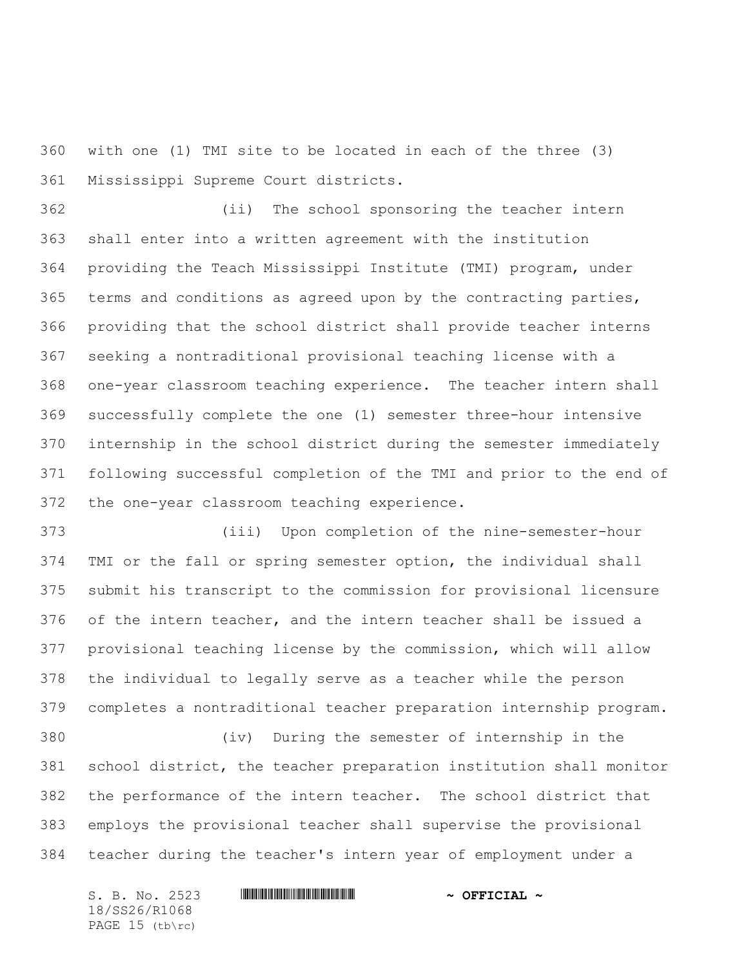with one (1) TMI site to be located in each of the three (3) Mississippi Supreme Court districts.

 (ii) The school sponsoring the teacher intern shall enter into a written agreement with the institution providing the Teach Mississippi Institute (TMI) program, under terms and conditions as agreed upon by the contracting parties, providing that the school district shall provide teacher interns seeking a nontraditional provisional teaching license with a one-year classroom teaching experience. The teacher intern shall successfully complete the one (1) semester three-hour intensive internship in the school district during the semester immediately following successful completion of the TMI and prior to the end of the one-year classroom teaching experience.

 (iii) Upon completion of the nine-semester-hour TMI or the fall or spring semester option, the individual shall submit his transcript to the commission for provisional licensure of the intern teacher, and the intern teacher shall be issued a provisional teaching license by the commission, which will allow the individual to legally serve as a teacher while the person completes a nontraditional teacher preparation internship program.

 (iv) During the semester of internship in the school district, the teacher preparation institution shall monitor the performance of the intern teacher. The school district that employs the provisional teacher shall supervise the provisional teacher during the teacher's intern year of employment under a

S. B. No. 2523 **\*\*\* AND \*\*\* AND \*\*\* \*\*\* OFFICIAL \*\*** 18/SS26/R1068 PAGE 15 (tb\rc)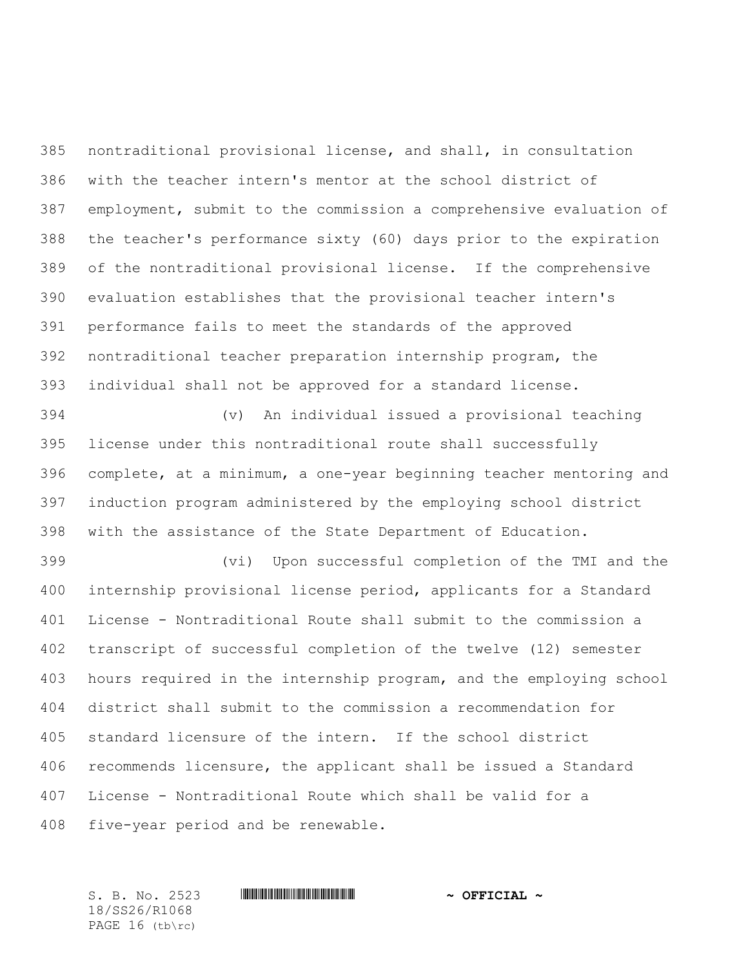nontraditional provisional license, and shall, in consultation with the teacher intern's mentor at the school district of employment, submit to the commission a comprehensive evaluation of the teacher's performance sixty (60) days prior to the expiration of the nontraditional provisional license. If the comprehensive evaluation establishes that the provisional teacher intern's performance fails to meet the standards of the approved nontraditional teacher preparation internship program, the individual shall not be approved for a standard license.

 (v) An individual issued a provisional teaching license under this nontraditional route shall successfully complete, at a minimum, a one-year beginning teacher mentoring and induction program administered by the employing school district with the assistance of the State Department of Education.

 (vi) Upon successful completion of the TMI and the internship provisional license period, applicants for a Standard License - Nontraditional Route shall submit to the commission a transcript of successful completion of the twelve (12) semester hours required in the internship program, and the employing school district shall submit to the commission a recommendation for standard licensure of the intern. If the school district recommends licensure, the applicant shall be issued a Standard License - Nontraditional Route which shall be valid for a five-year period and be renewable.

18/SS26/R1068 PAGE 16 (tb\rc)

## S. B. No. 2523 \*SS26/R1068\* **~ OFFICIAL ~**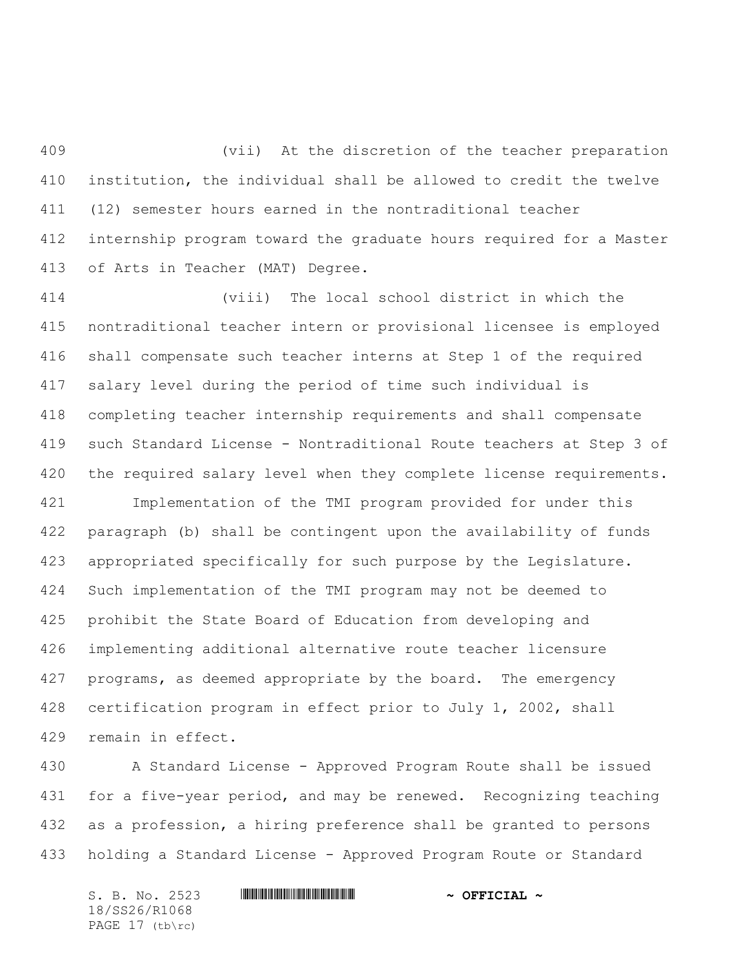(vii) At the discretion of the teacher preparation institution, the individual shall be allowed to credit the twelve (12) semester hours earned in the nontraditional teacher internship program toward the graduate hours required for a Master of Arts in Teacher (MAT) Degree.

 (viii) The local school district in which the nontraditional teacher intern or provisional licensee is employed shall compensate such teacher interns at Step 1 of the required salary level during the period of time such individual is completing teacher internship requirements and shall compensate such Standard License - Nontraditional Route teachers at Step 3 of 420 the required salary level when they complete license requirements.

 Implementation of the TMI program provided for under this paragraph (b) shall be contingent upon the availability of funds appropriated specifically for such purpose by the Legislature. Such implementation of the TMI program may not be deemed to prohibit the State Board of Education from developing and implementing additional alternative route teacher licensure 427 programs, as deemed appropriate by the board. The emergency certification program in effect prior to July 1, 2002, shall remain in effect.

 A Standard License - Approved Program Route shall be issued for a five-year period, and may be renewed. Recognizing teaching as a profession, a hiring preference shall be granted to persons holding a Standard License - Approved Program Route or Standard

S. B. No. 2523 **\*\*\* AND \*\*\* AND \*\*\* \*\*\* OFFICIAL \*\*** 18/SS26/R1068 PAGE 17 (tb\rc)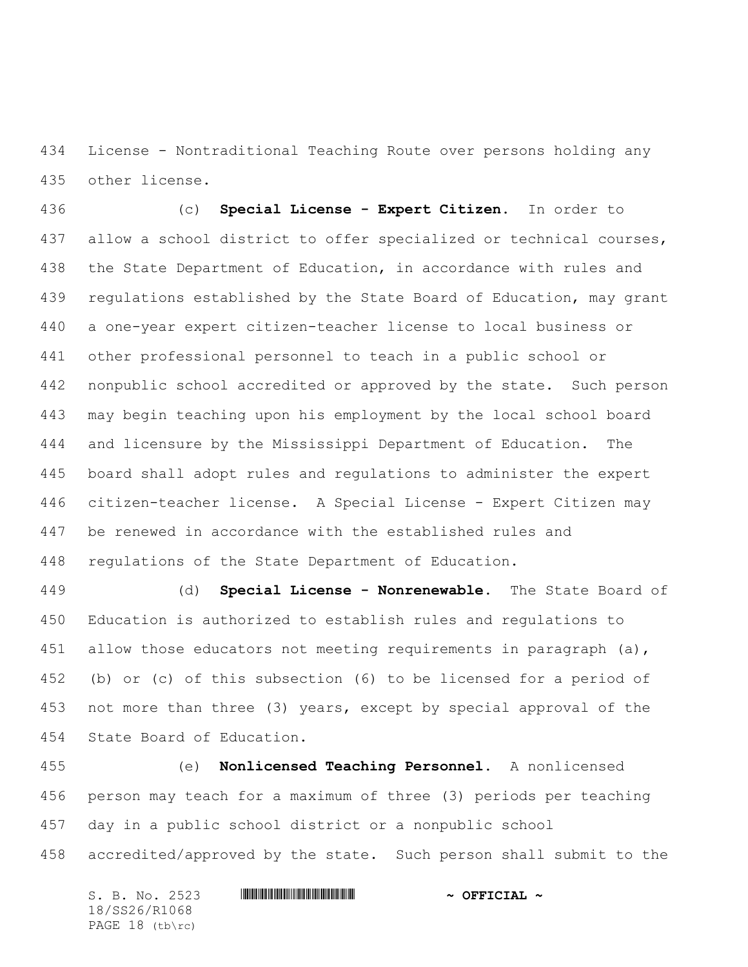License - Nontraditional Teaching Route over persons holding any other license.

 (c) **Special License - Expert Citizen**. In order to allow a school district to offer specialized or technical courses, the State Department of Education, in accordance with rules and regulations established by the State Board of Education, may grant a one-year expert citizen-teacher license to local business or other professional personnel to teach in a public school or nonpublic school accredited or approved by the state. Such person may begin teaching upon his employment by the local school board and licensure by the Mississippi Department of Education. The board shall adopt rules and regulations to administer the expert citizen-teacher license. A Special License - Expert Citizen may be renewed in accordance with the established rules and regulations of the State Department of Education.

 (d) **Special License - Nonrenewable.** The State Board of Education is authorized to establish rules and regulations to 451 allow those educators not meeting requirements in paragraph (a), (b) or (c) of this subsection (6) to be licensed for a period of not more than three (3) years, except by special approval of the State Board of Education.

 (e) **Nonlicensed Teaching Personnel.** A nonlicensed person may teach for a maximum of three (3) periods per teaching day in a public school district or a nonpublic school accredited/approved by the state. Such person shall submit to the

S. B. No. 2523 **\*\*\* AND \*\*\* AND \*\*\* \*\*\* OFFICIAL \*\*** 18/SS26/R1068 PAGE 18 (tb\rc)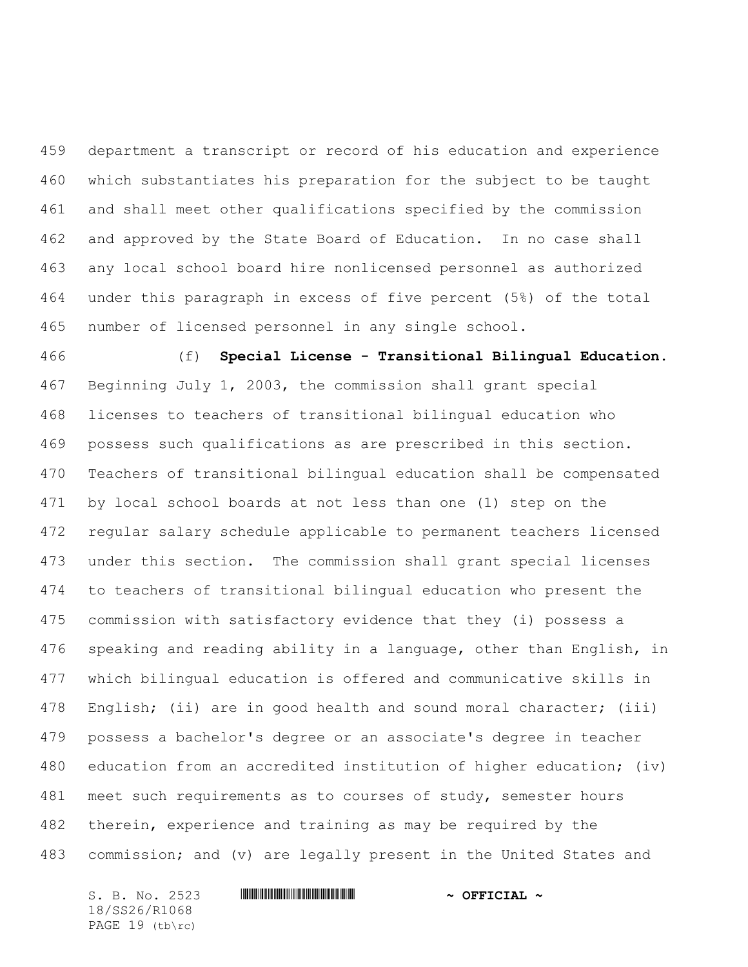department a transcript or record of his education and experience which substantiates his preparation for the subject to be taught and shall meet other qualifications specified by the commission and approved by the State Board of Education. In no case shall any local school board hire nonlicensed personnel as authorized under this paragraph in excess of five percent (5%) of the total number of licensed personnel in any single school.

 (f) **Special License - Transitional Bilingual Education.** Beginning July 1, 2003, the commission shall grant special licenses to teachers of transitional bilingual education who possess such qualifications as are prescribed in this section. Teachers of transitional bilingual education shall be compensated by local school boards at not less than one (1) step on the regular salary schedule applicable to permanent teachers licensed under this section. The commission shall grant special licenses to teachers of transitional bilingual education who present the commission with satisfactory evidence that they (i) possess a speaking and reading ability in a language, other than English, in which bilingual education is offered and communicative skills in English; (ii) are in good health and sound moral character; (iii) possess a bachelor's degree or an associate's degree in teacher education from an accredited institution of higher education; (iv) 481 meet such requirements as to courses of study, semester hours therein, experience and training as may be required by the 483 commission; and (v) are legally present in the United States and

S. B. No. 2523 **\*\*\* AND \*\*\* AND \*\*\* \*\*\* OFFICIAL \*\*** 18/SS26/R1068 PAGE 19 (tb\rc)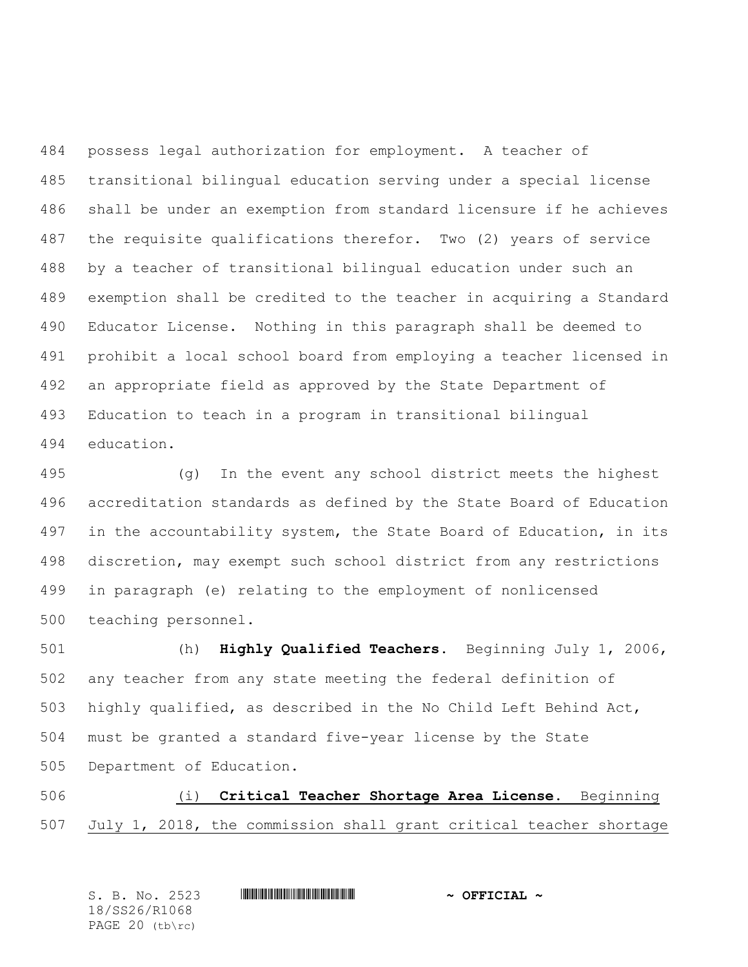possess legal authorization for employment. A teacher of transitional bilingual education serving under a special license shall be under an exemption from standard licensure if he achieves the requisite qualifications therefor. Two (2) years of service by a teacher of transitional bilingual education under such an exemption shall be credited to the teacher in acquiring a Standard Educator License. Nothing in this paragraph shall be deemed to prohibit a local school board from employing a teacher licensed in an appropriate field as approved by the State Department of Education to teach in a program in transitional bilingual education.

 (g) In the event any school district meets the highest accreditation standards as defined by the State Board of Education 497 in the accountability system, the State Board of Education, in its discretion, may exempt such school district from any restrictions in paragraph (e) relating to the employment of nonlicensed teaching personnel.

 (h) **Highly Qualified Teachers.** Beginning July 1, 2006, any teacher from any state meeting the federal definition of highly qualified, as described in the No Child Left Behind Act, must be granted a standard five-year license by the State Department of Education.

 (i) **Critical Teacher Shortage Area License.** Beginning July 1, 2018, the commission shall grant critical teacher shortage

| S. B. No. 2523        | $\sim$ OFFICIAL $\sim$ |
|-----------------------|------------------------|
| 18/SS26/R1068         |                        |
| PAGE $20$ (tb) $rc$ ) |                        |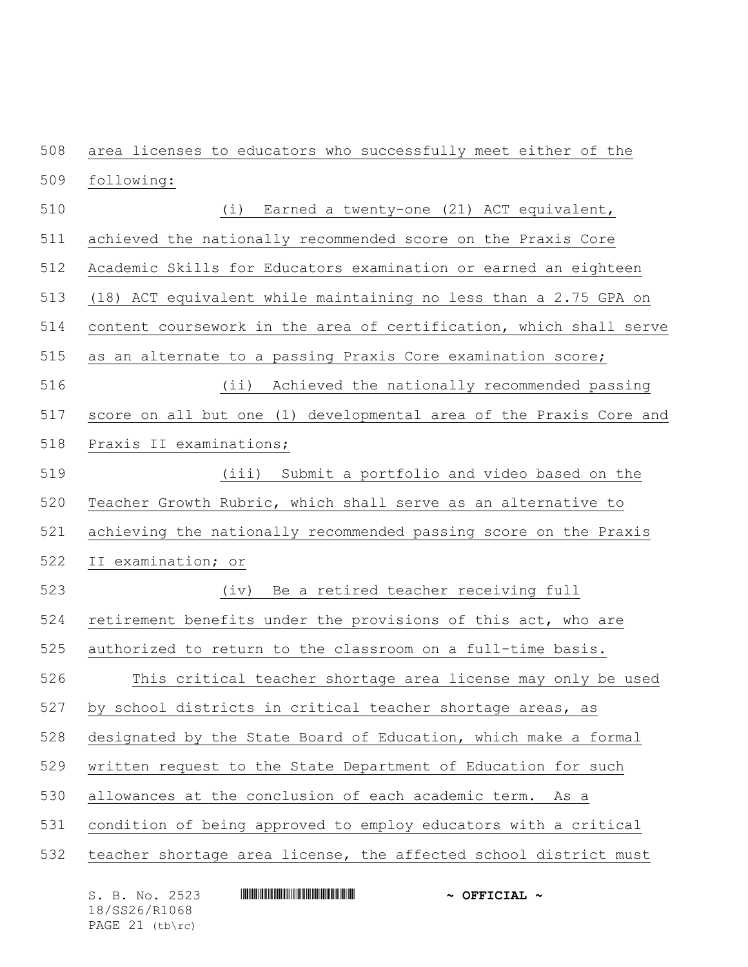area licenses to educators who successfully meet either of the following: (i) Earned a twenty-one (21) ACT equivalent, achieved the nationally recommended score on the Praxis Core Academic Skills for Educators examination or earned an eighteen (18) ACT equivalent while maintaining no less than a 2.75 GPA on content coursework in the area of certification, which shall serve as an alternate to a passing Praxis Core examination score; (ii) Achieved the nationally recommended passing score on all but one (1) developmental area of the Praxis Core and Praxis II examinations; (iii) Submit a portfolio and video based on the Teacher Growth Rubric, which shall serve as an alternative to achieving the nationally recommended passing score on the Praxis II examination; or (iv) Be a retired teacher receiving full retirement benefits under the provisions of this act, who are authorized to return to the classroom on a full-time basis. This critical teacher shortage area license may only be used by school districts in critical teacher shortage areas, as designated by the State Board of Education, which make a formal written request to the State Department of Education for such allowances at the conclusion of each academic term. As a condition of being approved to employ educators with a critical teacher shortage area license, the affected school district must

S. B. No. 2523 **\*\*\* AND \*\*\* AND \*\*\* \*\*\* OFFICIAL \*\*** 18/SS26/R1068 PAGE 21 (tb\rc)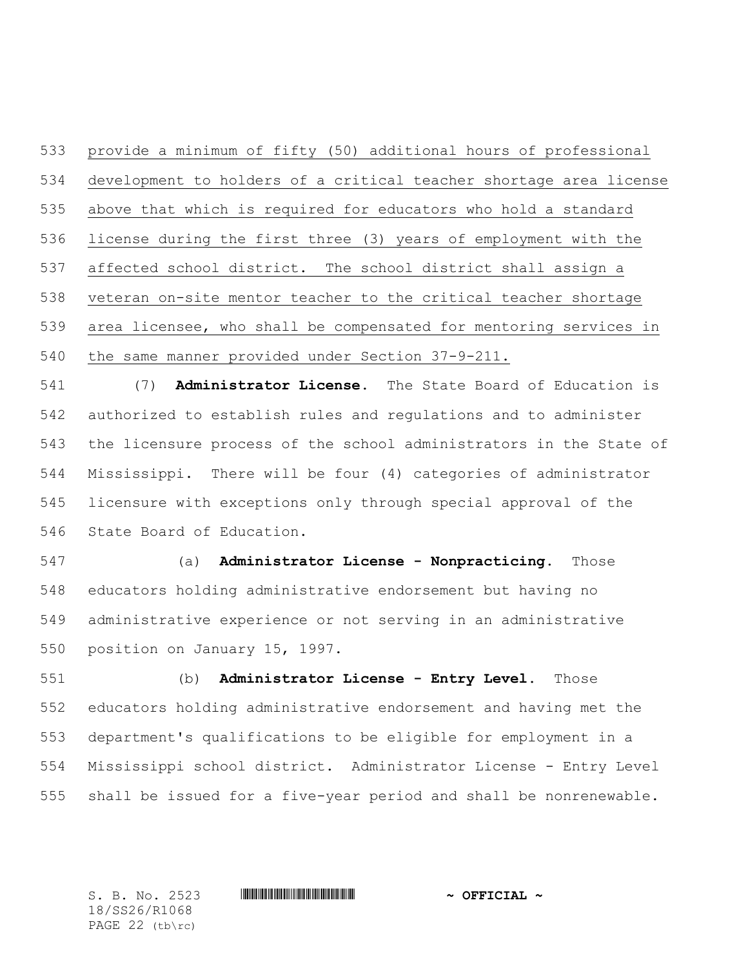provide a minimum of fifty (50) additional hours of professional development to holders of a critical teacher shortage area license above that which is required for educators who hold a standard license during the first three (3) years of employment with the affected school district. The school district shall assign a veteran on-site mentor teacher to the critical teacher shortage area licensee, who shall be compensated for mentoring services in the same manner provided under Section 37-9-211.

 (7) **Administrator License.** The State Board of Education is authorized to establish rules and regulations and to administer the licensure process of the school administrators in the State of Mississippi. There will be four (4) categories of administrator licensure with exceptions only through special approval of the State Board of Education.

 (a) **Administrator License - Nonpracticing.** Those educators holding administrative endorsement but having no administrative experience or not serving in an administrative position on January 15, 1997.

 (b) **Administrator License - Entry Level.** Those educators holding administrative endorsement and having met the department's qualifications to be eligible for employment in a Mississippi school district. Administrator License - Entry Level shall be issued for a five-year period and shall be nonrenewable.

18/SS26/R1068 PAGE 22 (tb\rc)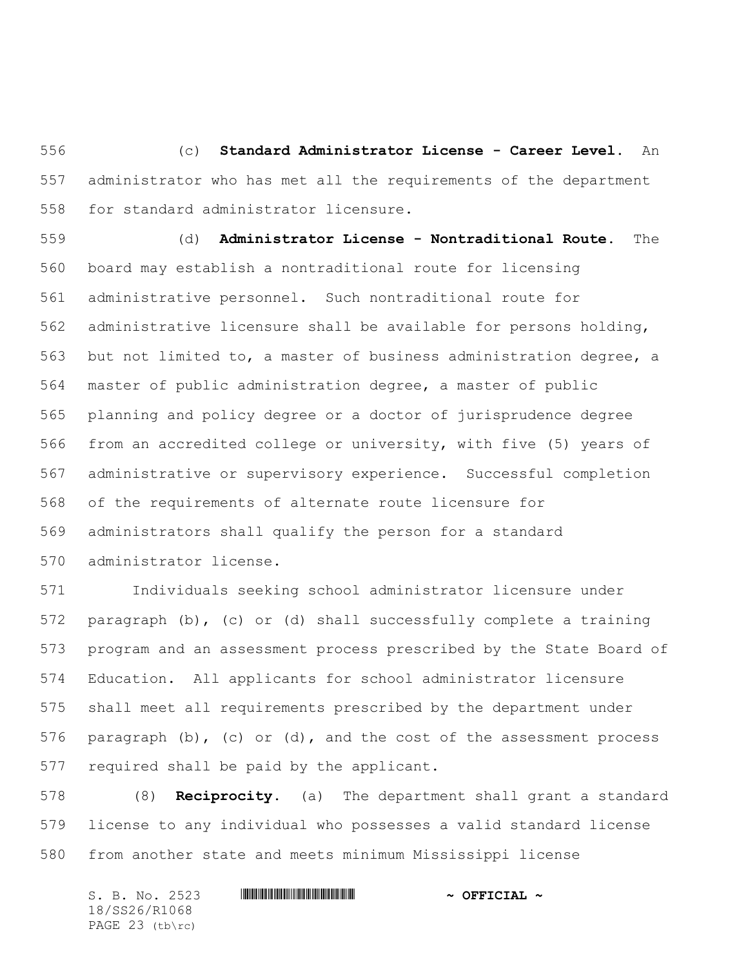(c) **Standard Administrator License - Career Level.** An administrator who has met all the requirements of the department for standard administrator licensure.

 (d) **Administrator License - Nontraditional Route.** The board may establish a nontraditional route for licensing administrative personnel. Such nontraditional route for administrative licensure shall be available for persons holding, but not limited to, a master of business administration degree, a master of public administration degree, a master of public planning and policy degree or a doctor of jurisprudence degree from an accredited college or university, with five (5) years of administrative or supervisory experience. Successful completion of the requirements of alternate route licensure for administrators shall qualify the person for a standard administrator license.

 Individuals seeking school administrator licensure under paragraph (b), (c) or (d) shall successfully complete a training program and an assessment process prescribed by the State Board of Education. All applicants for school administrator licensure shall meet all requirements prescribed by the department under paragraph (b), (c) or (d), and the cost of the assessment process required shall be paid by the applicant.

 (8) **Reciprocity.** (a) The department shall grant a standard license to any individual who possesses a valid standard license from another state and meets minimum Mississippi license

| S. B. No. 2523    |  | $\sim$ OFFICIAL $\sim$ |  |
|-------------------|--|------------------------|--|
| 18/SS26/R1068     |  |                        |  |
| PAGE $23$ (tb\rc) |  |                        |  |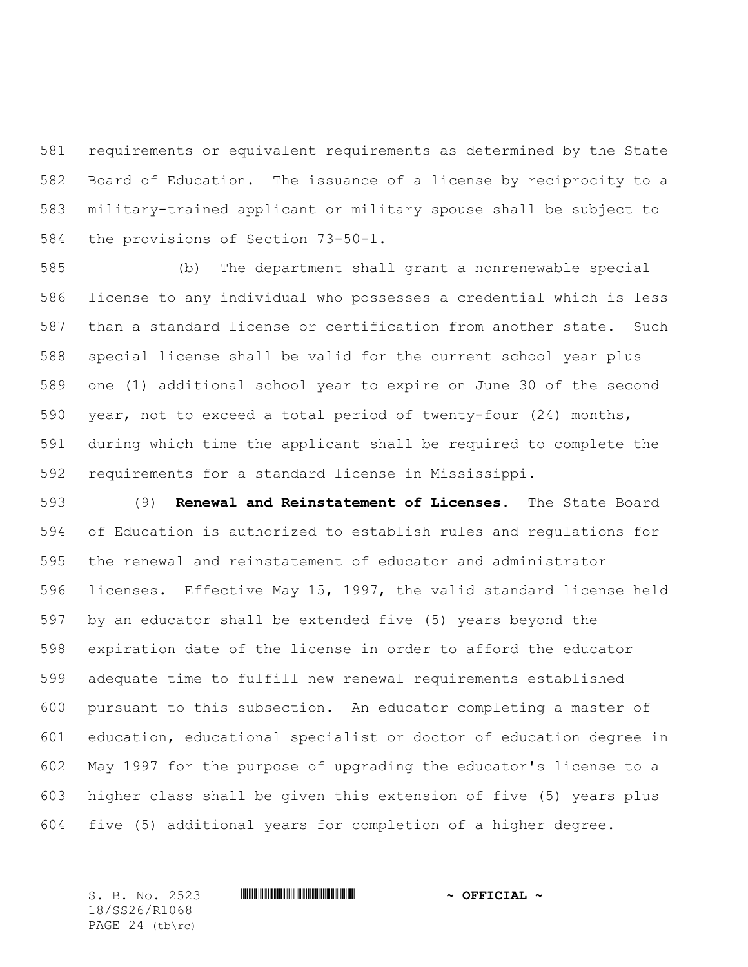requirements or equivalent requirements as determined by the State Board of Education. The issuance of a license by reciprocity to a military-trained applicant or military spouse shall be subject to the provisions of Section 73-50-1.

 (b) The department shall grant a nonrenewable special license to any individual who possesses a credential which is less than a standard license or certification from another state. Such special license shall be valid for the current school year plus one (1) additional school year to expire on June 30 of the second year, not to exceed a total period of twenty-four (24) months, during which time the applicant shall be required to complete the requirements for a standard license in Mississippi.

 (9) **Renewal and Reinstatement of Licenses.** The State Board of Education is authorized to establish rules and regulations for the renewal and reinstatement of educator and administrator licenses. Effective May 15, 1997, the valid standard license held by an educator shall be extended five (5) years beyond the expiration date of the license in order to afford the educator adequate time to fulfill new renewal requirements established pursuant to this subsection. An educator completing a master of education, educational specialist or doctor of education degree in May 1997 for the purpose of upgrading the educator's license to a higher class shall be given this extension of five (5) years plus five (5) additional years for completion of a higher degree.

18/SS26/R1068 PAGE 24 (tb\rc)

## S. B. No. 2523 **\*\*\* And \*\*\* And \*\*\* \*\*\* \*\*\* \*\*\* \*\*\* \*\*\* \*\*\* \*\*** \*\* **\*\*\* OFFICIAL** \*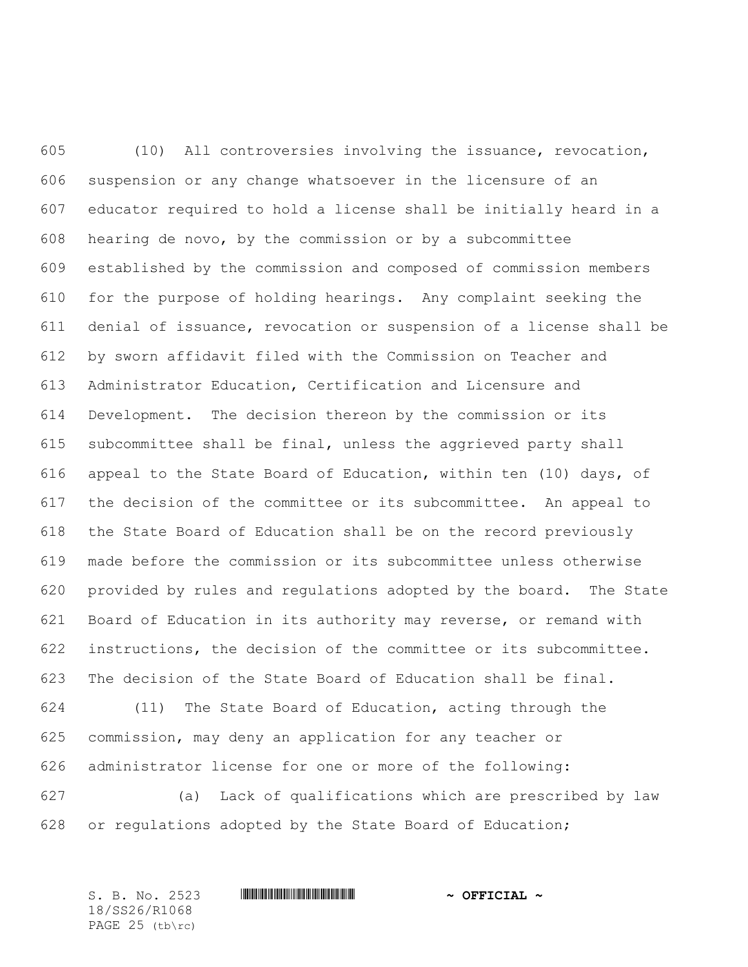(10) All controversies involving the issuance, revocation, suspension or any change whatsoever in the licensure of an educator required to hold a license shall be initially heard in a hearing de novo, by the commission or by a subcommittee established by the commission and composed of commission members for the purpose of holding hearings. Any complaint seeking the denial of issuance, revocation or suspension of a license shall be by sworn affidavit filed with the Commission on Teacher and Administrator Education, Certification and Licensure and Development. The decision thereon by the commission or its subcommittee shall be final, unless the aggrieved party shall appeal to the State Board of Education, within ten (10) days, of the decision of the committee or its subcommittee. An appeal to the State Board of Education shall be on the record previously made before the commission or its subcommittee unless otherwise provided by rules and regulations adopted by the board. The State Board of Education in its authority may reverse, or remand with instructions, the decision of the committee or its subcommittee. The decision of the State Board of Education shall be final. (11) The State Board of Education, acting through the

 commission, may deny an application for any teacher or administrator license for one or more of the following:

 (a) Lack of qualifications which are prescribed by law or regulations adopted by the State Board of Education;

S. B. No. 2523 **\*\*\* And \*\*\* And \*\*\* \*\*\* \*\*\* \*\*\* \*\*\* \*\*\* \*\*\* \*\*** \*\* **\*\*\* OFFICIAL** \* 18/SS26/R1068 PAGE 25 (tb\rc)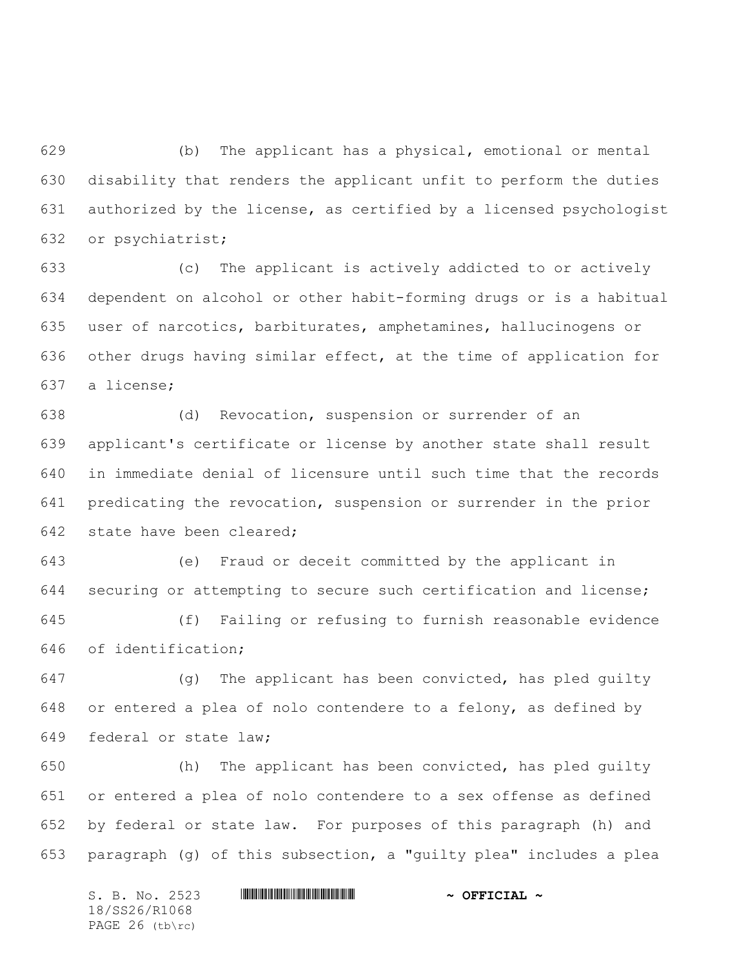(b) The applicant has a physical, emotional or mental disability that renders the applicant unfit to perform the duties authorized by the license, as certified by a licensed psychologist or psychiatrist;

 (c) The applicant is actively addicted to or actively dependent on alcohol or other habit-forming drugs or is a habitual user of narcotics, barbiturates, amphetamines, hallucinogens or other drugs having similar effect, at the time of application for a license;

 (d) Revocation, suspension or surrender of an applicant's certificate or license by another state shall result in immediate denial of licensure until such time that the records predicating the revocation, suspension or surrender in the prior state have been cleared;

 (e) Fraud or deceit committed by the applicant in securing or attempting to secure such certification and license;

 (f) Failing or refusing to furnish reasonable evidence of identification;

 (g) The applicant has been convicted, has pled guilty or entered a plea of nolo contendere to a felony, as defined by federal or state law;

 (h) The applicant has been convicted, has pled guilty or entered a plea of nolo contendere to a sex offense as defined by federal or state law. For purposes of this paragraph (h) and paragraph (g) of this subsection, a "guilty plea" includes a plea

S. B. No. 2523 \*SS26/R1068\* **~ OFFICIAL ~** 18/SS26/R1068 PAGE 26 (tb\rc)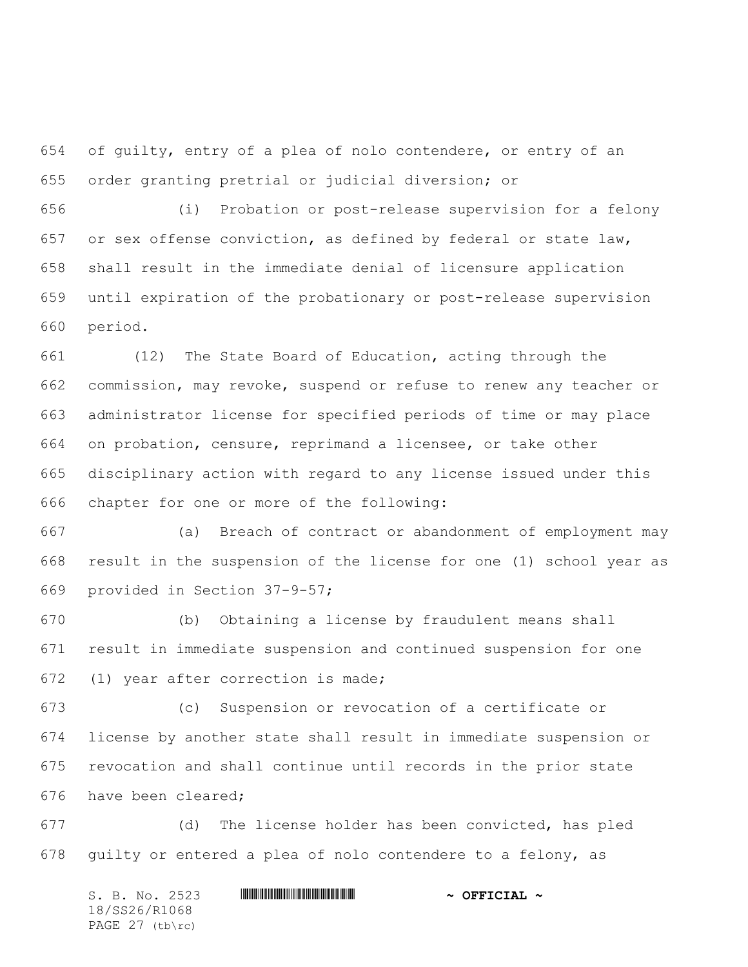of guilty, entry of a plea of nolo contendere, or entry of an order granting pretrial or judicial diversion; or

 (i) Probation or post-release supervision for a felony or sex offense conviction, as defined by federal or state law, shall result in the immediate denial of licensure application until expiration of the probationary or post-release supervision period.

 (12) The State Board of Education, acting through the commission, may revoke, suspend or refuse to renew any teacher or administrator license for specified periods of time or may place on probation, censure, reprimand a licensee, or take other disciplinary action with regard to any license issued under this chapter for one or more of the following:

 (a) Breach of contract or abandonment of employment may result in the suspension of the license for one (1) school year as provided in Section 37-9-57;

 (b) Obtaining a license by fraudulent means shall result in immediate suspension and continued suspension for one (1) year after correction is made;

 (c) Suspension or revocation of a certificate or license by another state shall result in immediate suspension or revocation and shall continue until records in the prior state have been cleared;

 (d) The license holder has been convicted, has pled guilty or entered a plea of nolo contendere to a felony, as

S. B. No. 2523 \*SS26/R1068\* **~ OFFICIAL ~** 18/SS26/R1068 PAGE 27 (tb\rc)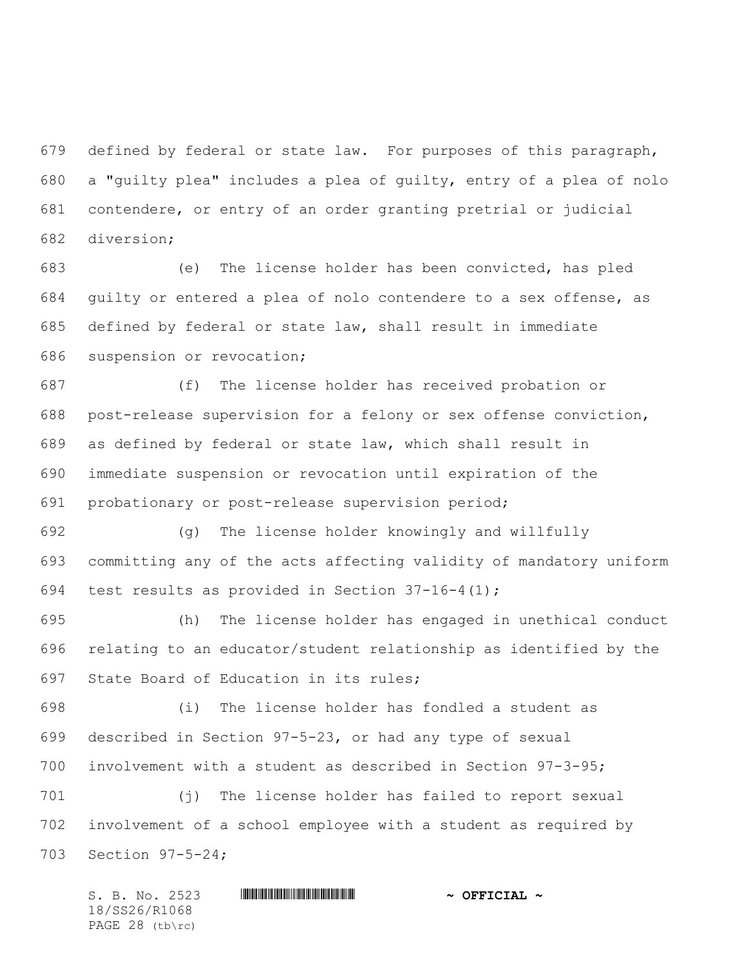defined by federal or state law. For purposes of this paragraph, a "guilty plea" includes a plea of guilty, entry of a plea of nolo contendere, or entry of an order granting pretrial or judicial diversion;

 (e) The license holder has been convicted, has pled guilty or entered a plea of nolo contendere to a sex offense, as defined by federal or state law, shall result in immediate suspension or revocation;

 (f) The license holder has received probation or post-release supervision for a felony or sex offense conviction, as defined by federal or state law, which shall result in immediate suspension or revocation until expiration of the probationary or post-release supervision period;

 (g) The license holder knowingly and willfully committing any of the acts affecting validity of mandatory uniform test results as provided in Section 37-16-4(1);

 (h) The license holder has engaged in unethical conduct relating to an educator/student relationship as identified by the State Board of Education in its rules;

 (i) The license holder has fondled a student as described in Section 97-5-23, or had any type of sexual involvement with a student as described in Section 97-3-95;

 (j) The license holder has failed to report sexual involvement of a school employee with a student as required by Section 97-5-24;

S. B. No. 2523 \*SS26/R1068\* **~ OFFICIAL ~** 18/SS26/R1068 PAGE 28 (tb\rc)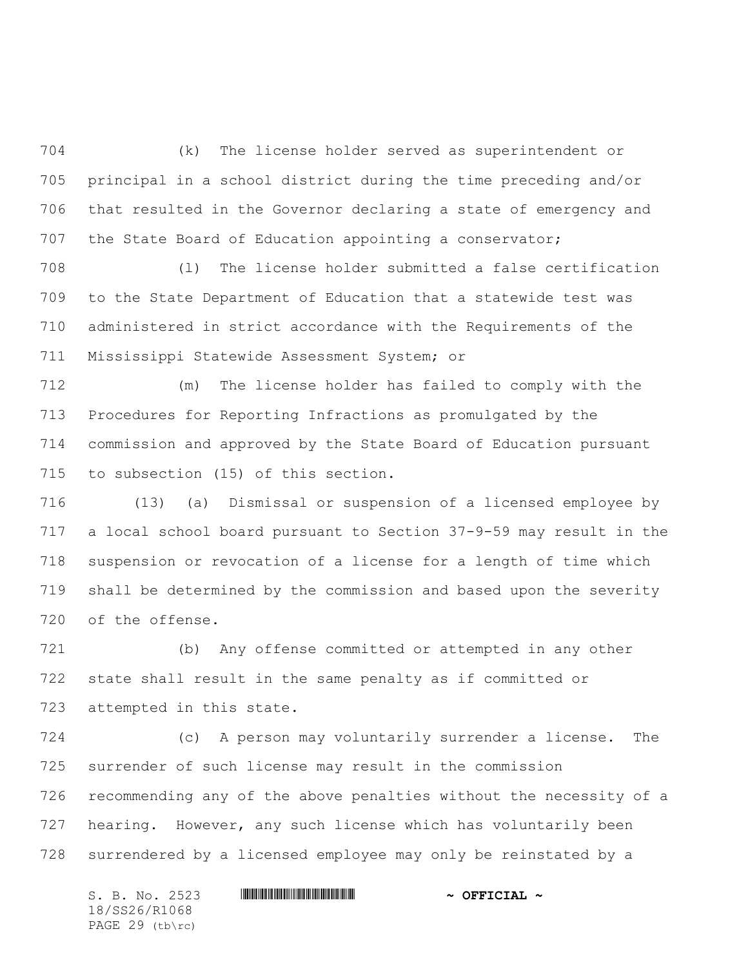(k) The license holder served as superintendent or principal in a school district during the time preceding and/or that resulted in the Governor declaring a state of emergency and the State Board of Education appointing a conservator;

 (l) The license holder submitted a false certification to the State Department of Education that a statewide test was administered in strict accordance with the Requirements of the Mississippi Statewide Assessment System; or

 (m) The license holder has failed to comply with the Procedures for Reporting Infractions as promulgated by the commission and approved by the State Board of Education pursuant to subsection (15) of this section.

 (13) (a) Dismissal or suspension of a licensed employee by a local school board pursuant to Section 37-9-59 may result in the suspension or revocation of a license for a length of time which shall be determined by the commission and based upon the severity of the offense.

 (b) Any offense committed or attempted in any other state shall result in the same penalty as if committed or attempted in this state.

 (c) A person may voluntarily surrender a license. The surrender of such license may result in the commission recommending any of the above penalties without the necessity of a hearing. However, any such license which has voluntarily been surrendered by a licensed employee may only be reinstated by a

S. B. No. 2523 **\*\*\* AND \*\*\* AND \*\*\* \*\*\* OFFICIAL \*\*** 18/SS26/R1068 PAGE 29 (tb\rc)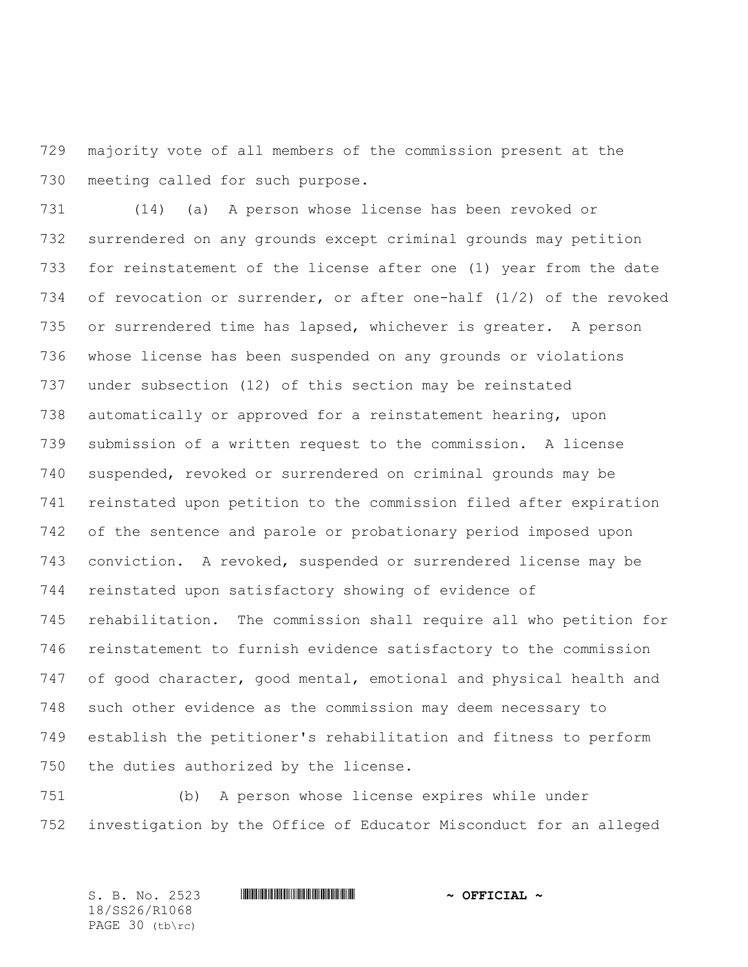majority vote of all members of the commission present at the meeting called for such purpose.

 (14) (a) A person whose license has been revoked or surrendered on any grounds except criminal grounds may petition for reinstatement of the license after one (1) year from the date of revocation or surrender, or after one-half (1/2) of the revoked or surrendered time has lapsed, whichever is greater. A person whose license has been suspended on any grounds or violations under subsection (12) of this section may be reinstated automatically or approved for a reinstatement hearing, upon submission of a written request to the commission. A license suspended, revoked or surrendered on criminal grounds may be reinstated upon petition to the commission filed after expiration of the sentence and parole or probationary period imposed upon conviction. A revoked, suspended or surrendered license may be reinstated upon satisfactory showing of evidence of rehabilitation. The commission shall require all who petition for reinstatement to furnish evidence satisfactory to the commission 747 of good character, good mental, emotional and physical health and such other evidence as the commission may deem necessary to establish the petitioner's rehabilitation and fitness to perform the duties authorized by the license.

 (b) A person whose license expires while under investigation by the Office of Educator Misconduct for an alleged

S. B. No. 2523 **\*\*\* And \*\*\* And \*\*\* \*\*\* \*\*\* \*\*\* \*\*\* \*\*\* \*\*\* \*\*** \*\* **\*\*\* OFFICIAL** \* 18/SS26/R1068 PAGE 30 (tb\rc)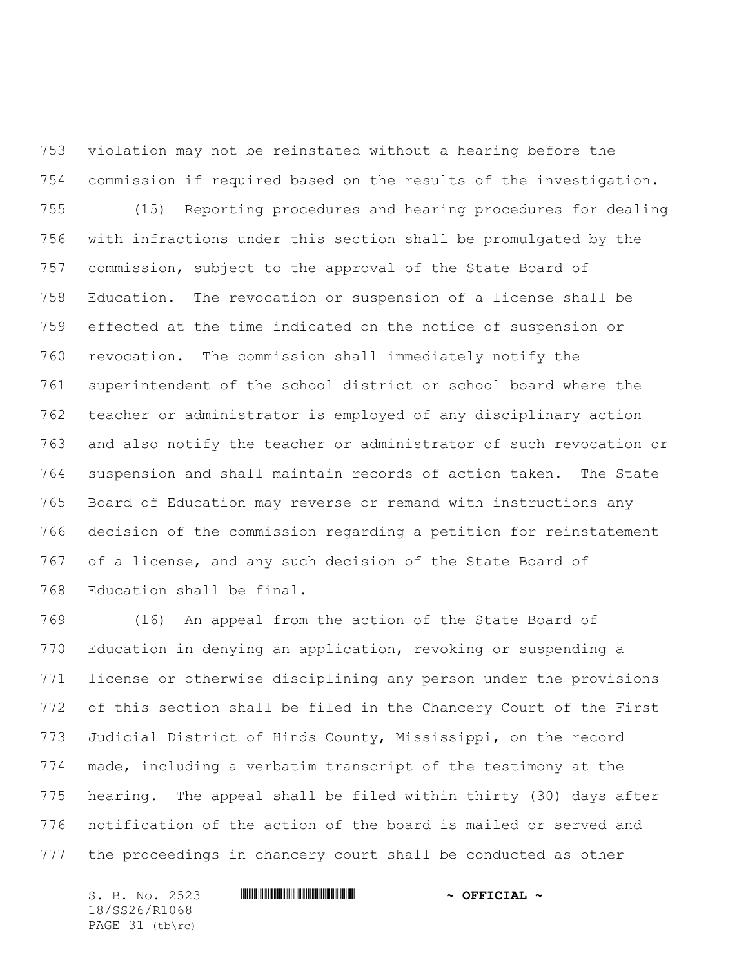violation may not be reinstated without a hearing before the commission if required based on the results of the investigation. (15) Reporting procedures and hearing procedures for dealing with infractions under this section shall be promulgated by the commission, subject to the approval of the State Board of Education. The revocation or suspension of a license shall be effected at the time indicated on the notice of suspension or revocation. The commission shall immediately notify the superintendent of the school district or school board where the teacher or administrator is employed of any disciplinary action and also notify the teacher or administrator of such revocation or suspension and shall maintain records of action taken. The State Board of Education may reverse or remand with instructions any decision of the commission regarding a petition for reinstatement of a license, and any such decision of the State Board of Education shall be final.

 (16) An appeal from the action of the State Board of Education in denying an application, revoking or suspending a license or otherwise disciplining any person under the provisions of this section shall be filed in the Chancery Court of the First Judicial District of Hinds County, Mississippi, on the record made, including a verbatim transcript of the testimony at the hearing. The appeal shall be filed within thirty (30) days after notification of the action of the board is mailed or served and the proceedings in chancery court shall be conducted as other

18/SS26/R1068 PAGE 31 (tb\rc)

S. B. No. 2523 **\*\*\* AND \*\*\* AND \*\*\* \*\*\* OFFICIAL \*\***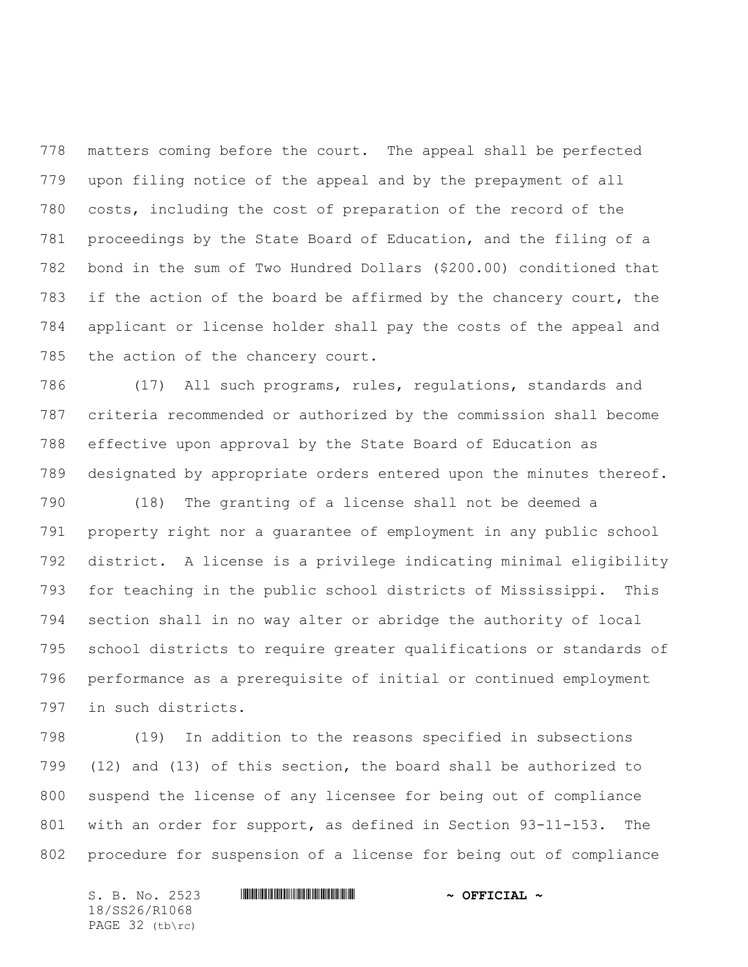matters coming before the court. The appeal shall be perfected upon filing notice of the appeal and by the prepayment of all costs, including the cost of preparation of the record of the proceedings by the State Board of Education, and the filing of a bond in the sum of Two Hundred Dollars (\$200.00) conditioned that 783 if the action of the board be affirmed by the chancery court, the applicant or license holder shall pay the costs of the appeal and the action of the chancery court.

 (17) All such programs, rules, regulations, standards and criteria recommended or authorized by the commission shall become effective upon approval by the State Board of Education as designated by appropriate orders entered upon the minutes thereof.

 (18) The granting of a license shall not be deemed a property right nor a guarantee of employment in any public school district. A license is a privilege indicating minimal eligibility for teaching in the public school districts of Mississippi. This section shall in no way alter or abridge the authority of local school districts to require greater qualifications or standards of performance as a prerequisite of initial or continued employment in such districts.

 (19) In addition to the reasons specified in subsections (12) and (13) of this section, the board shall be authorized to suspend the license of any licensee for being out of compliance with an order for support, as defined in Section 93-11-153. The procedure for suspension of a license for being out of compliance

S. B. No. 2523 **\*\*\* AND \*\*\* AND \*\*\* \*\*\* OFFICIAL \*\*** 18/SS26/R1068 PAGE 32 (tb\rc)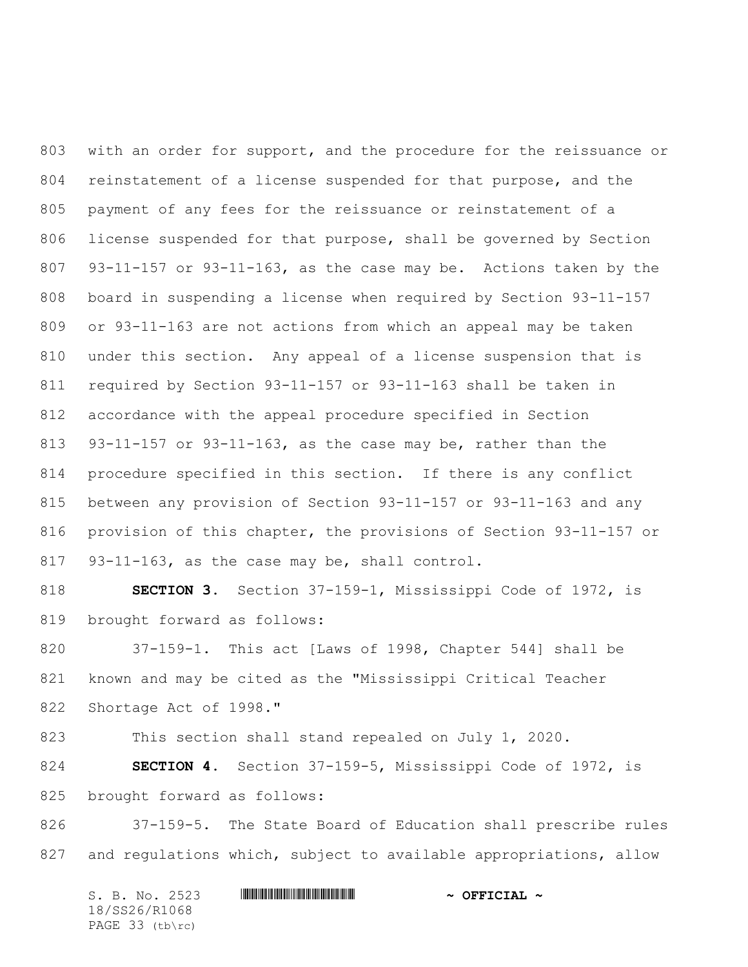with an order for support, and the procedure for the reissuance or reinstatement of a license suspended for that purpose, and the payment of any fees for the reissuance or reinstatement of a license suspended for that purpose, shall be governed by Section 93-11-157 or 93-11-163, as the case may be. Actions taken by the board in suspending a license when required by Section 93-11-157 or 93-11-163 are not actions from which an appeal may be taken under this section. Any appeal of a license suspension that is required by Section 93-11-157 or 93-11-163 shall be taken in accordance with the appeal procedure specified in Section 93-11-157 or 93-11-163, as the case may be, rather than the procedure specified in this section. If there is any conflict between any provision of Section 93-11-157 or 93-11-163 and any provision of this chapter, the provisions of Section 93-11-157 or 93-11-163, as the case may be, shall control.

 **SECTION 3.** Section 37-159-1, Mississippi Code of 1972, is brought forward as follows:

 37-159-1. This act [Laws of 1998, Chapter 544] shall be known and may be cited as the "Mississippi Critical Teacher 822 Shortage Act of 1998."

This section shall stand repealed on July 1, 2020.

 **SECTION 4.** Section 37-159-5, Mississippi Code of 1972, is brought forward as follows:

 37-159-5. The State Board of Education shall prescribe rules and regulations which, subject to available appropriations, allow

| S. B. No. 2523    | $\sim$ OFFICIAL $\sim$ |
|-------------------|------------------------|
| 18/SS26/R1068     |                        |
| PAGE $33$ (tb\rc) |                        |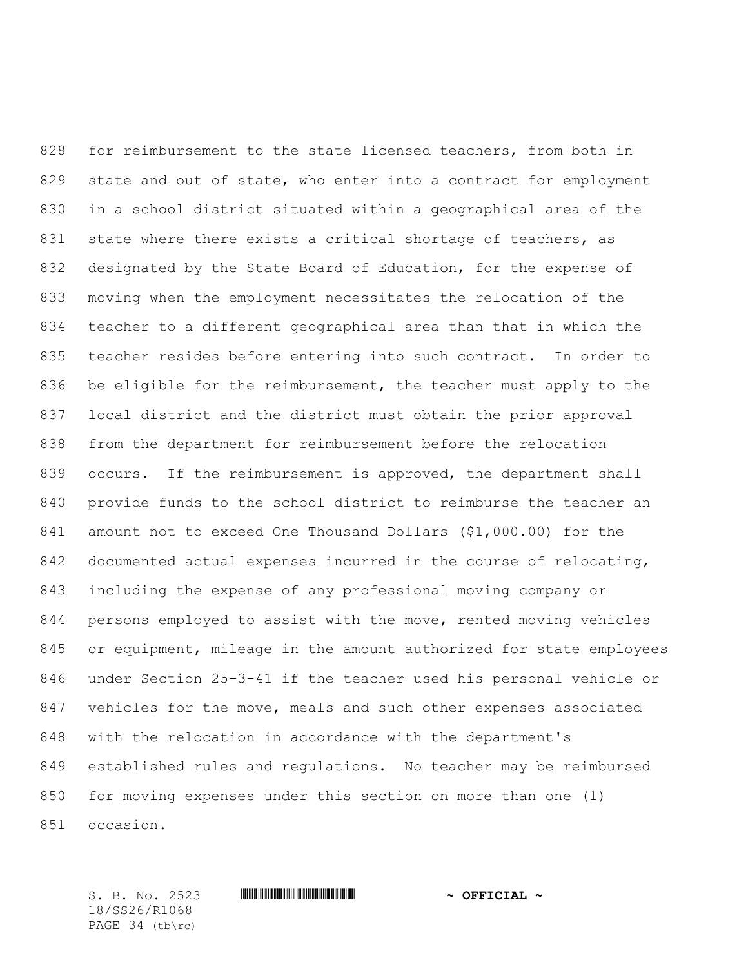for reimbursement to the state licensed teachers, from both in 829 state and out of state, who enter into a contract for employment in a school district situated within a geographical area of the 831 state where there exists a critical shortage of teachers, as designated by the State Board of Education, for the expense of moving when the employment necessitates the relocation of the teacher to a different geographical area than that in which the teacher resides before entering into such contract. In order to 836 be eligible for the reimbursement, the teacher must apply to the local district and the district must obtain the prior approval from the department for reimbursement before the relocation occurs. If the reimbursement is approved, the department shall provide funds to the school district to reimburse the teacher an amount not to exceed One Thousand Dollars (\$1,000.00) for the documented actual expenses incurred in the course of relocating, including the expense of any professional moving company or persons employed to assist with the move, rented moving vehicles or equipment, mileage in the amount authorized for state employees under Section 25-3-41 if the teacher used his personal vehicle or vehicles for the move, meals and such other expenses associated with the relocation in accordance with the department's established rules and regulations. No teacher may be reimbursed for moving expenses under this section on more than one (1) occasion.

18/SS26/R1068 PAGE 34 (tb\rc)

S. B. No. 2523 \*SS26/R1068\* **~ OFFICIAL ~**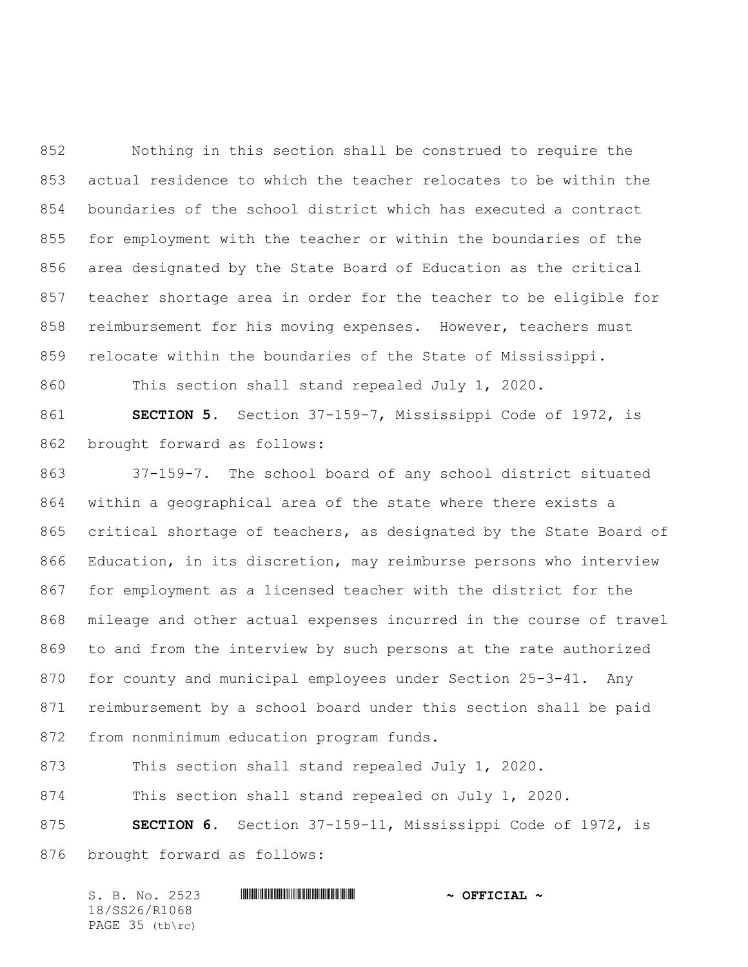Nothing in this section shall be construed to require the actual residence to which the teacher relocates to be within the boundaries of the school district which has executed a contract for employment with the teacher or within the boundaries of the area designated by the State Board of Education as the critical teacher shortage area in order for the teacher to be eligible for reimbursement for his moving expenses. However, teachers must relocate within the boundaries of the State of Mississippi.

This section shall stand repealed July 1, 2020.

 **SECTION 5.** Section 37-159-7, Mississippi Code of 1972, is brought forward as follows:

 37-159-7. The school board of any school district situated within a geographical area of the state where there exists a critical shortage of teachers, as designated by the State Board of Education, in its discretion, may reimburse persons who interview for employment as a licensed teacher with the district for the mileage and other actual expenses incurred in the course of travel to and from the interview by such persons at the rate authorized for county and municipal employees under Section 25-3-41. Any reimbursement by a school board under this section shall be paid from nonminimum education program funds.

This section shall stand repealed July 1, 2020.

This section shall stand repealed on July 1, 2020.

 **SECTION 6.** Section 37-159-11, Mississippi Code of 1972, is brought forward as follows:

| S. B. No. 2523  | $\sim$ OFFICIAL $\sim$ |
|-----------------|------------------------|
| 18/SS26/R1068   |                        |
| PAGE 35 (tb\rc) |                        |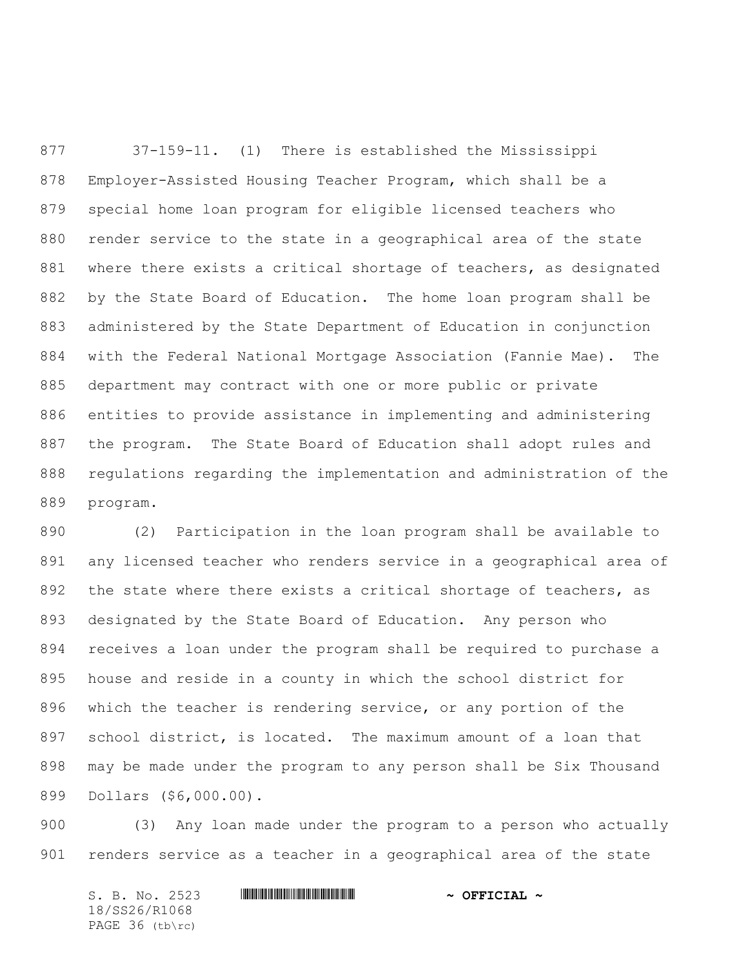37-159-11. (1) There is established the Mississippi Employer-Assisted Housing Teacher Program, which shall be a special home loan program for eligible licensed teachers who render service to the state in a geographical area of the state where there exists a critical shortage of teachers, as designated by the State Board of Education. The home loan program shall be administered by the State Department of Education in conjunction with the Federal National Mortgage Association (Fannie Mae). The department may contract with one or more public or private entities to provide assistance in implementing and administering the program. The State Board of Education shall adopt rules and regulations regarding the implementation and administration of the program.

 (2) Participation in the loan program shall be available to any licensed teacher who renders service in a geographical area of 892 the state where there exists a critical shortage of teachers, as designated by the State Board of Education. Any person who receives a loan under the program shall be required to purchase a house and reside in a county in which the school district for which the teacher is rendering service, or any portion of the school district, is located. The maximum amount of a loan that may be made under the program to any person shall be Six Thousand Dollars (\$6,000.00).

 (3) Any loan made under the program to a person who actually renders service as a teacher in a geographical area of the state

S. B. No. 2523 \*SS26/R1068\* **~ OFFICIAL ~** 18/SS26/R1068 PAGE 36 (tb\rc)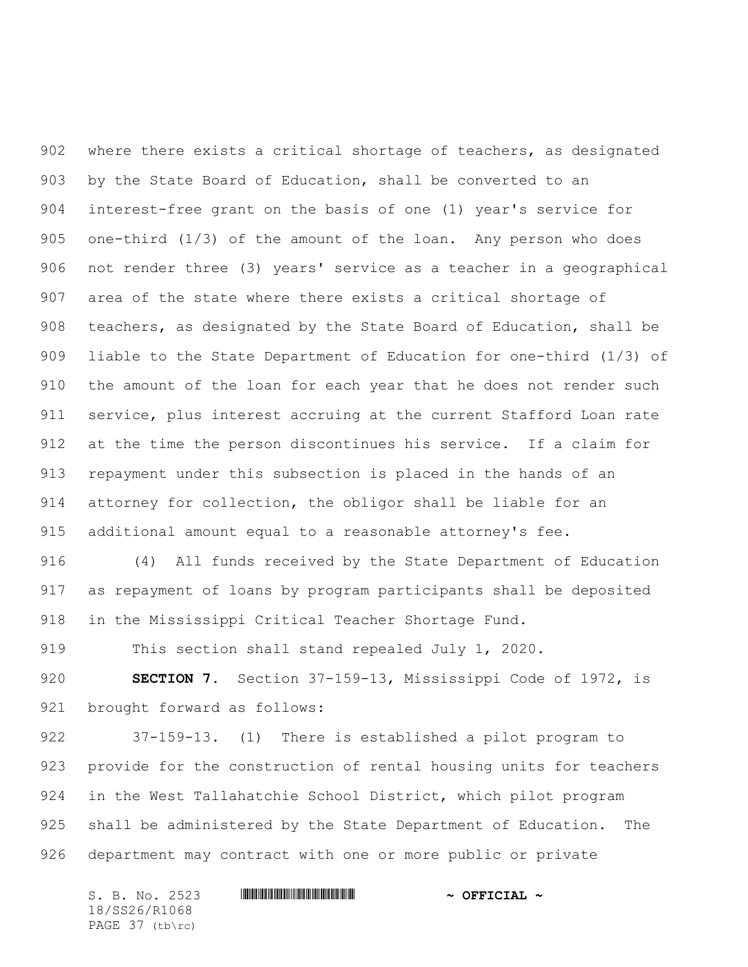where there exists a critical shortage of teachers, as designated by the State Board of Education, shall be converted to an interest-free grant on the basis of one (1) year's service for one-third (1/3) of the amount of the loan. Any person who does not render three (3) years' service as a teacher in a geographical area of the state where there exists a critical shortage of teachers, as designated by the State Board of Education, shall be liable to the State Department of Education for one-third (1/3) of the amount of the loan for each year that he does not render such service, plus interest accruing at the current Stafford Loan rate at the time the person discontinues his service. If a claim for repayment under this subsection is placed in the hands of an attorney for collection, the obligor shall be liable for an additional amount equal to a reasonable attorney's fee.

 (4) All funds received by the State Department of Education as repayment of loans by program participants shall be deposited in the Mississippi Critical Teacher Shortage Fund.

This section shall stand repealed July 1, 2020.

 **SECTION 7.** Section 37-159-13, Mississippi Code of 1972, is brought forward as follows:

 37-159-13. (1) There is established a pilot program to provide for the construction of rental housing units for teachers in the West Tallahatchie School District, which pilot program shall be administered by the State Department of Education. The department may contract with one or more public or private

S. B. No. 2523 \*SS26/R1068\* **~ OFFICIAL ~** 18/SS26/R1068 PAGE 37 (tb\rc)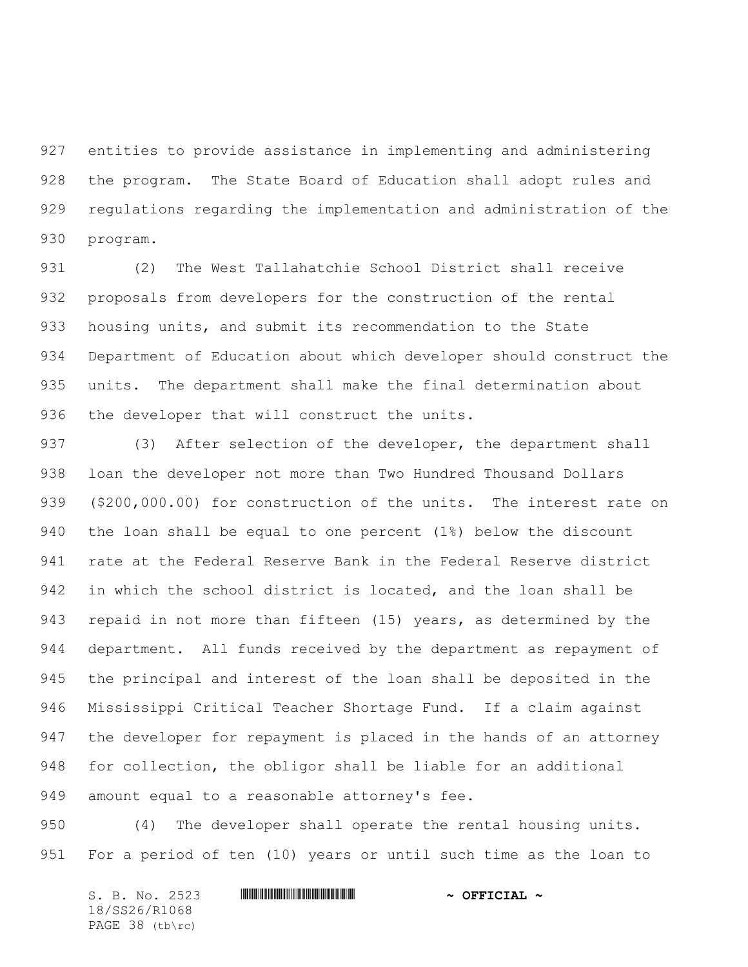entities to provide assistance in implementing and administering the program. The State Board of Education shall adopt rules and regulations regarding the implementation and administration of the program.

 (2) The West Tallahatchie School District shall receive proposals from developers for the construction of the rental housing units, and submit its recommendation to the State Department of Education about which developer should construct the units. The department shall make the final determination about the developer that will construct the units.

 (3) After selection of the developer, the department shall loan the developer not more than Two Hundred Thousand Dollars (\$200,000.00) for construction of the units. The interest rate on the loan shall be equal to one percent (1%) below the discount rate at the Federal Reserve Bank in the Federal Reserve district in which the school district is located, and the loan shall be repaid in not more than fifteen (15) years, as determined by the department. All funds received by the department as repayment of the principal and interest of the loan shall be deposited in the Mississippi Critical Teacher Shortage Fund. If a claim against the developer for repayment is placed in the hands of an attorney for collection, the obligor shall be liable for an additional amount equal to a reasonable attorney's fee.

 (4) The developer shall operate the rental housing units. For a period of ten (10) years or until such time as the loan to

| S. B. No. 2523  | $\sim$ OFFICIAL $\sim$ |
|-----------------|------------------------|
| 18/SS26/R1068   |                        |
| PAGE 38 (tb\rc) |                        |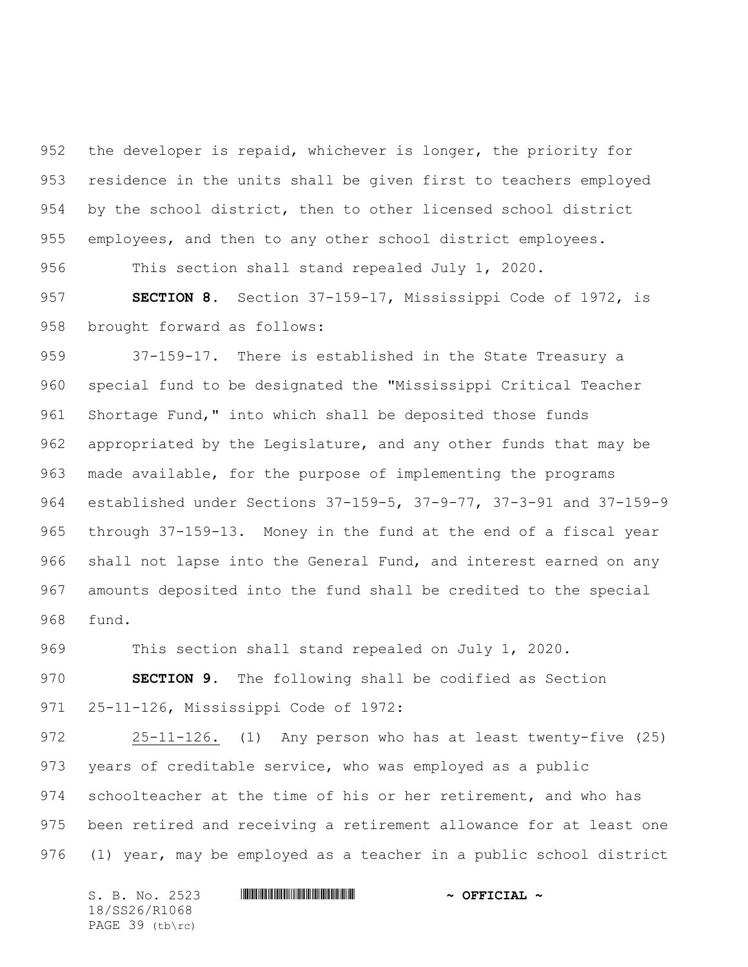the developer is repaid, whichever is longer, the priority for residence in the units shall be given first to teachers employed by the school district, then to other licensed school district employees, and then to any other school district employees.

This section shall stand repealed July 1, 2020.

 **SECTION 8.** Section 37-159-17, Mississippi Code of 1972, is brought forward as follows:

 37-159-17. There is established in the State Treasury a special fund to be designated the "Mississippi Critical Teacher 961 Shortage Fund," into which shall be deposited those funds appropriated by the Legislature, and any other funds that may be made available, for the purpose of implementing the programs established under Sections 37-159-5, 37-9-77, 37-3-91 and 37-159-9 through 37-159-13. Money in the fund at the end of a fiscal year shall not lapse into the General Fund, and interest earned on any amounts deposited into the fund shall be credited to the special fund.

This section shall stand repealed on July 1, 2020.

 **SECTION 9.** The following shall be codified as Section 25-11-126, Mississippi Code of 1972:

 25-11-126. (1) Any person who has at least twenty-five (25) years of creditable service, who was employed as a public 974 schoolteacher at the time of his or her retirement, and who has been retired and receiving a retirement allowance for at least one (1) year, may be employed as a teacher in a public school district

S. B. No. 2523 **\*\*\* AND \*\*\* AND \*\*\* AND \*\*\* AND \*\*\* OFFICIAL \*\*** 18/SS26/R1068 PAGE 39 (tb\rc)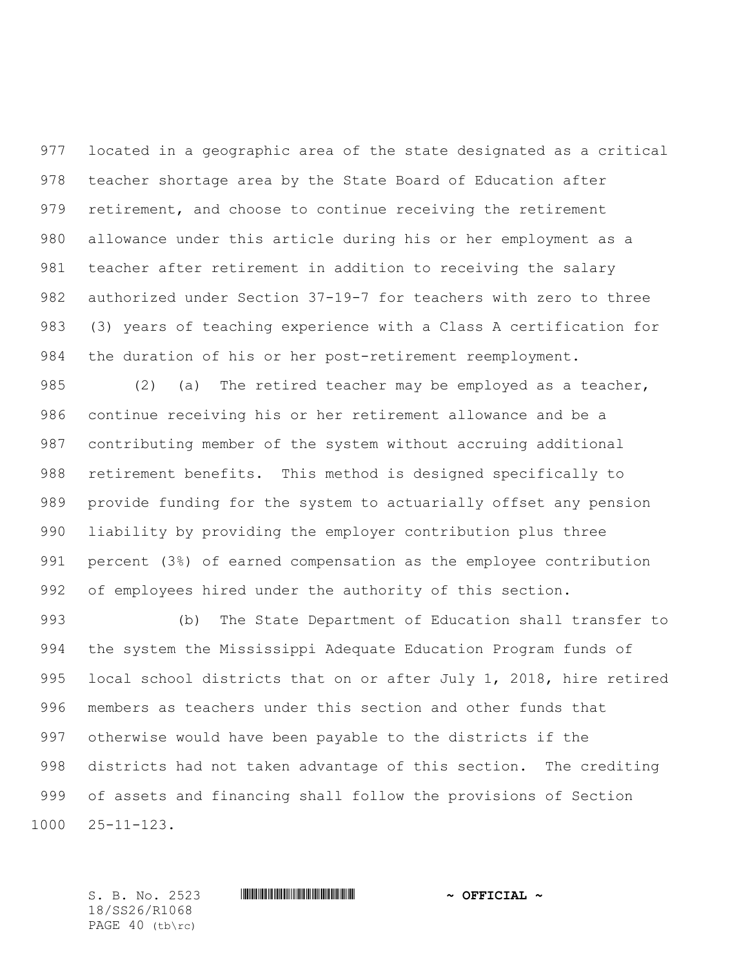located in a geographic area of the state designated as a critical teacher shortage area by the State Board of Education after retirement, and choose to continue receiving the retirement allowance under this article during his or her employment as a teacher after retirement in addition to receiving the salary authorized under Section 37-19-7 for teachers with zero to three (3) years of teaching experience with a Class A certification for the duration of his or her post-retirement reemployment.

985 (2) (a) The retired teacher may be employed as a teacher, continue receiving his or her retirement allowance and be a contributing member of the system without accruing additional retirement benefits. This method is designed specifically to provide funding for the system to actuarially offset any pension liability by providing the employer contribution plus three percent (3%) of earned compensation as the employee contribution of employees hired under the authority of this section.

 (b) The State Department of Education shall transfer to the system the Mississippi Adequate Education Program funds of local school districts that on or after July 1, 2018, hire retired members as teachers under this section and other funds that otherwise would have been payable to the districts if the districts had not taken advantage of this section. The crediting of assets and financing shall follow the provisions of Section 25-11-123.

18/SS26/R1068 PAGE 40 (tb\rc)

S. B. No. 2523 \*SS26/R1068\* **~ OFFICIAL ~**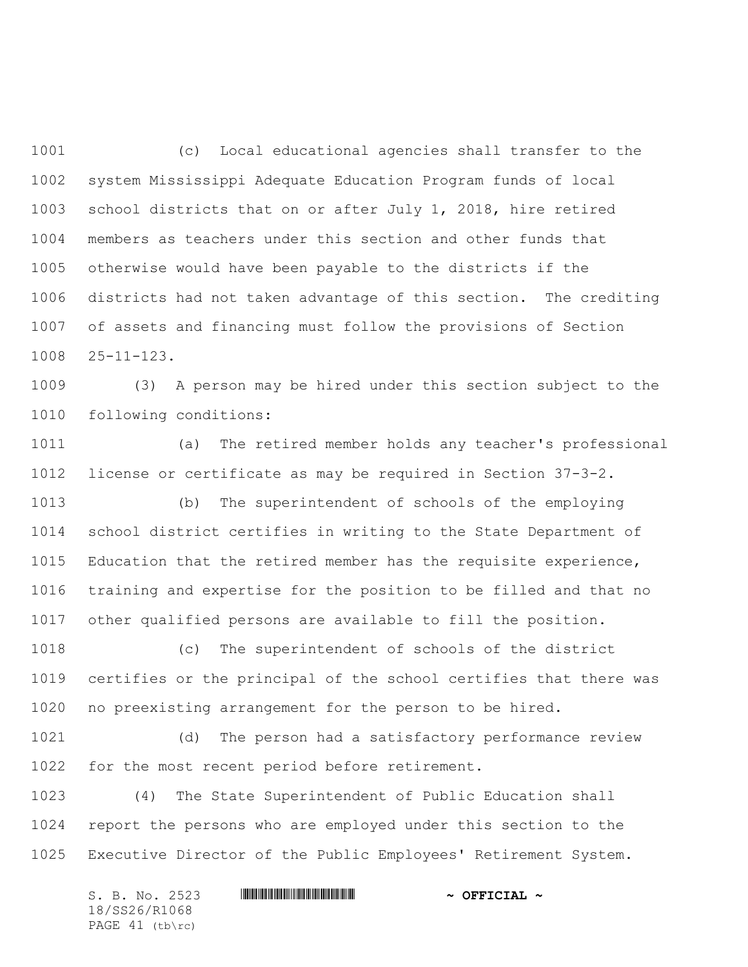(c) Local educational agencies shall transfer to the system Mississippi Adequate Education Program funds of local school districts that on or after July 1, 2018, hire retired members as teachers under this section and other funds that otherwise would have been payable to the districts if the districts had not taken advantage of this section. The crediting of assets and financing must follow the provisions of Section 25-11-123.

 (3) A person may be hired under this section subject to the following conditions:

 (a) The retired member holds any teacher's professional license or certificate as may be required in Section 37-3-2.

 (b) The superintendent of schools of the employing school district certifies in writing to the State Department of Education that the retired member has the requisite experience, training and expertise for the position to be filled and that no other qualified persons are available to fill the position.

 (c) The superintendent of schools of the district certifies or the principal of the school certifies that there was no preexisting arrangement for the person to be hired.

 (d) The person had a satisfactory performance review for the most recent period before retirement.

 (4) The State Superintendent of Public Education shall report the persons who are employed under this section to the Executive Director of the Public Employees' Retirement System.

S. B. No. 2523 \*SS26/R1068\* **~ OFFICIAL ~** 18/SS26/R1068 PAGE 41 (tb\rc)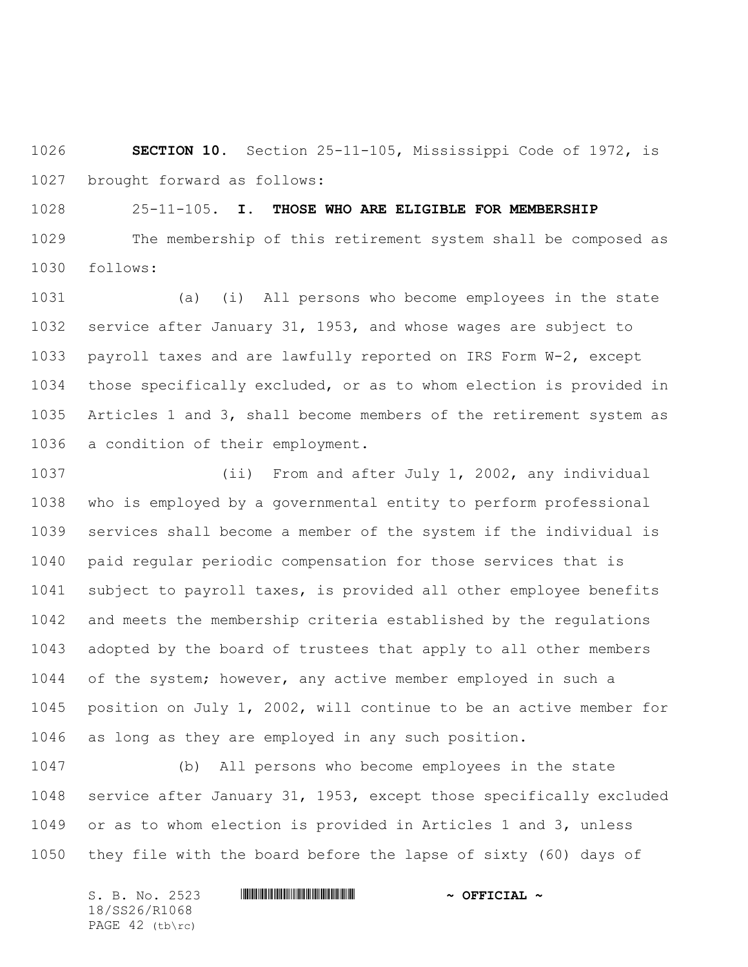**SECTION 10.** Section 25-11-105, Mississippi Code of 1972, is brought forward as follows:

25-11-105. **I. THOSE WHO ARE ELIGIBLE FOR MEMBERSHIP**

 The membership of this retirement system shall be composed as follows:

 (a) (i) All persons who become employees in the state service after January 31, 1953, and whose wages are subject to payroll taxes and are lawfully reported on IRS Form W-2, except those specifically excluded, or as to whom election is provided in Articles 1 and 3, shall become members of the retirement system as a condition of their employment.

 (ii) From and after July 1, 2002, any individual who is employed by a governmental entity to perform professional services shall become a member of the system if the individual is paid regular periodic compensation for those services that is subject to payroll taxes, is provided all other employee benefits and meets the membership criteria established by the regulations adopted by the board of trustees that apply to all other members of the system; however, any active member employed in such a position on July 1, 2002, will continue to be an active member for as long as they are employed in any such position.

 (b) All persons who become employees in the state service after January 31, 1953, except those specifically excluded or as to whom election is provided in Articles 1 and 3, unless they file with the board before the lapse of sixty (60) days of

S. B. No. 2523 \*SS26/R1068\* **~ OFFICIAL ~** 18/SS26/R1068 PAGE 42 (tb\rc)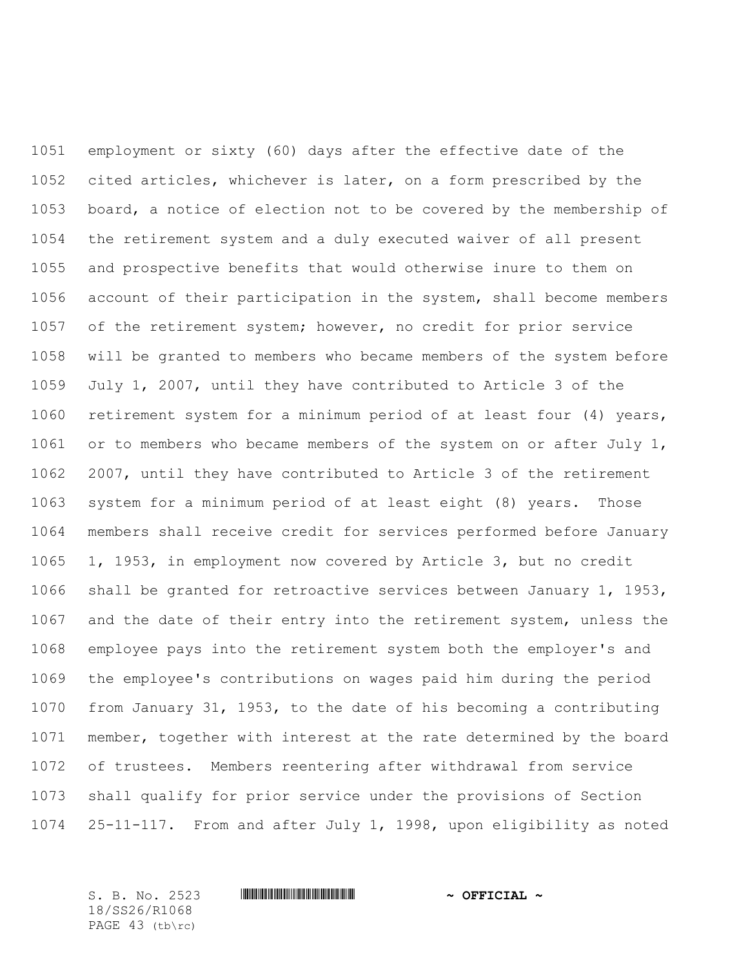employment or sixty (60) days after the effective date of the cited articles, whichever is later, on a form prescribed by the board, a notice of election not to be covered by the membership of the retirement system and a duly executed waiver of all present and prospective benefits that would otherwise inure to them on account of their participation in the system, shall become members of the retirement system; however, no credit for prior service will be granted to members who became members of the system before July 1, 2007, until they have contributed to Article 3 of the retirement system for a minimum period of at least four (4) years, 1061 or to members who became members of the system on or after July 1, 2007, until they have contributed to Article 3 of the retirement system for a minimum period of at least eight (8) years. Those members shall receive credit for services performed before January 1, 1953, in employment now covered by Article 3, but no credit shall be granted for retroactive services between January 1, 1953, and the date of their entry into the retirement system, unless the employee pays into the retirement system both the employer's and the employee's contributions on wages paid him during the period from January 31, 1953, to the date of his becoming a contributing member, together with interest at the rate determined by the board of trustees. Members reentering after withdrawal from service shall qualify for prior service under the provisions of Section 25-11-117. From and after July 1, 1998, upon eligibility as noted

18/SS26/R1068 PAGE 43 (tb\rc)

### S. B. No. 2523 **\*\*\* And \*\*\* And \*\*\* ~ OFFICIAL ~**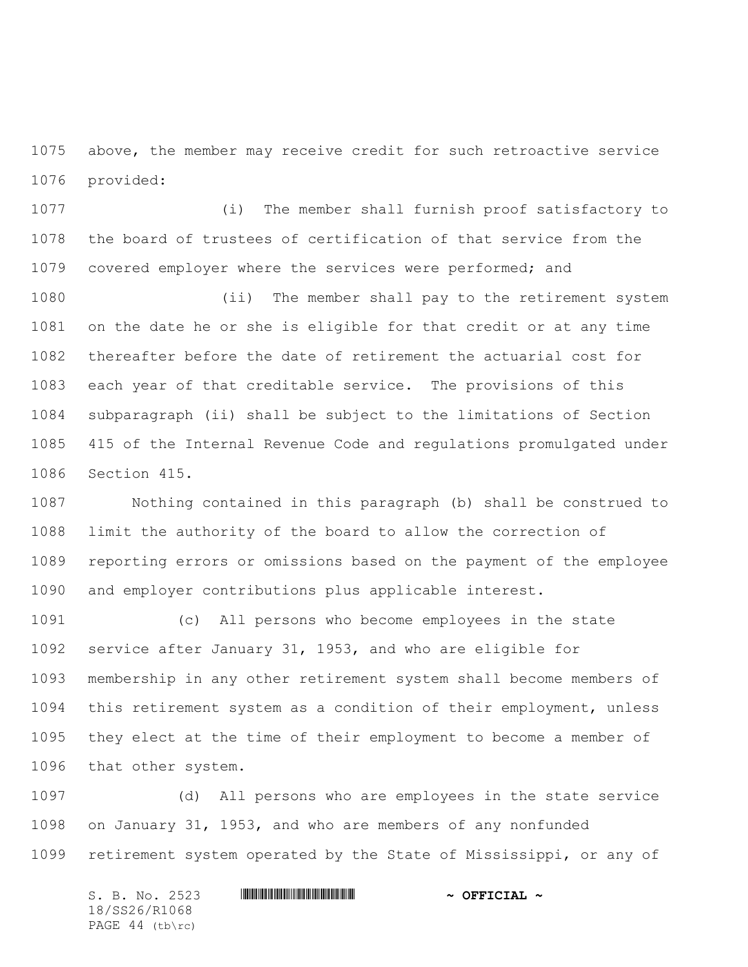above, the member may receive credit for such retroactive service provided:

 (i) The member shall furnish proof satisfactory to the board of trustees of certification of that service from the covered employer where the services were performed; and

 (ii) The member shall pay to the retirement system on the date he or she is eligible for that credit or at any time thereafter before the date of retirement the actuarial cost for each year of that creditable service. The provisions of this subparagraph (ii) shall be subject to the limitations of Section 415 of the Internal Revenue Code and regulations promulgated under Section 415.

 Nothing contained in this paragraph (b) shall be construed to limit the authority of the board to allow the correction of reporting errors or omissions based on the payment of the employee and employer contributions plus applicable interest.

 (c) All persons who become employees in the state service after January 31, 1953, and who are eligible for membership in any other retirement system shall become members of this retirement system as a condition of their employment, unless they elect at the time of their employment to become a member of that other system.

 (d) All persons who are employees in the state service on January 31, 1953, and who are members of any nonfunded retirement system operated by the State of Mississippi, or any of

S. B. No. 2523 \*SS26/R1068\* **~ OFFICIAL ~** 18/SS26/R1068 PAGE 44 (tb\rc)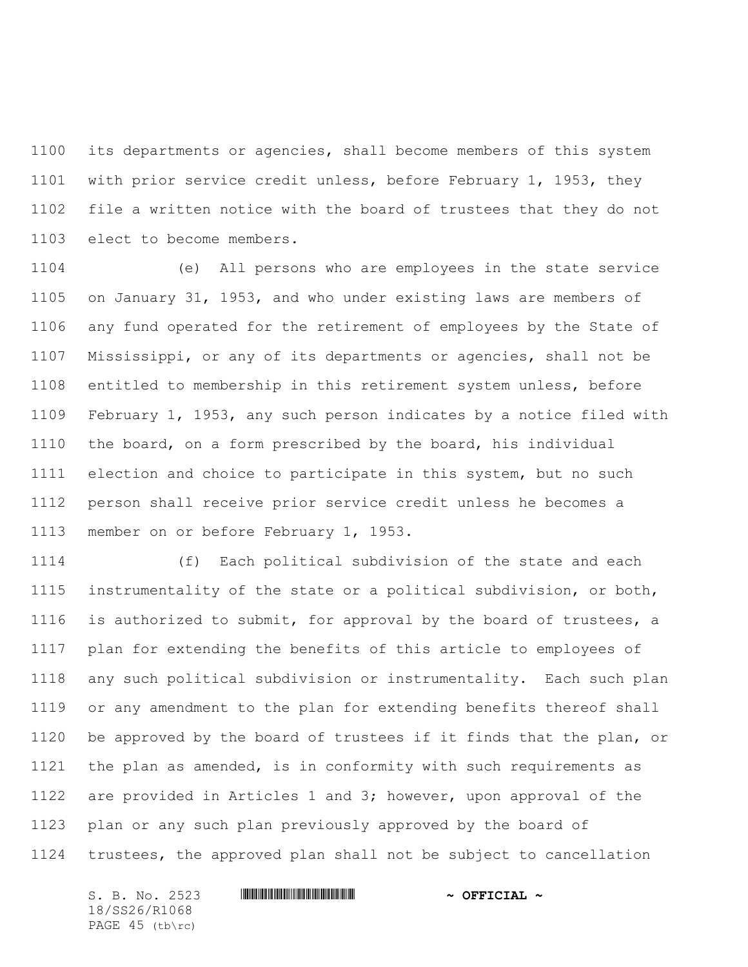its departments or agencies, shall become members of this system with prior service credit unless, before February 1, 1953, they file a written notice with the board of trustees that they do not elect to become members.

 (e) All persons who are employees in the state service on January 31, 1953, and who under existing laws are members of any fund operated for the retirement of employees by the State of Mississippi, or any of its departments or agencies, shall not be entitled to membership in this retirement system unless, before February 1, 1953, any such person indicates by a notice filed with the board, on a form prescribed by the board, his individual election and choice to participate in this system, but no such person shall receive prior service credit unless he becomes a member on or before February 1, 1953.

 (f) Each political subdivision of the state and each instrumentality of the state or a political subdivision, or both, is authorized to submit, for approval by the board of trustees, a plan for extending the benefits of this article to employees of any such political subdivision or instrumentality. Each such plan or any amendment to the plan for extending benefits thereof shall be approved by the board of trustees if it finds that the plan, or the plan as amended, is in conformity with such requirements as are provided in Articles 1 and 3; however, upon approval of the plan or any such plan previously approved by the board of trustees, the approved plan shall not be subject to cancellation

S. B. No. 2523 \*SS26/R1068\* **~ OFFICIAL ~** 18/SS26/R1068 PAGE 45 (tb\rc)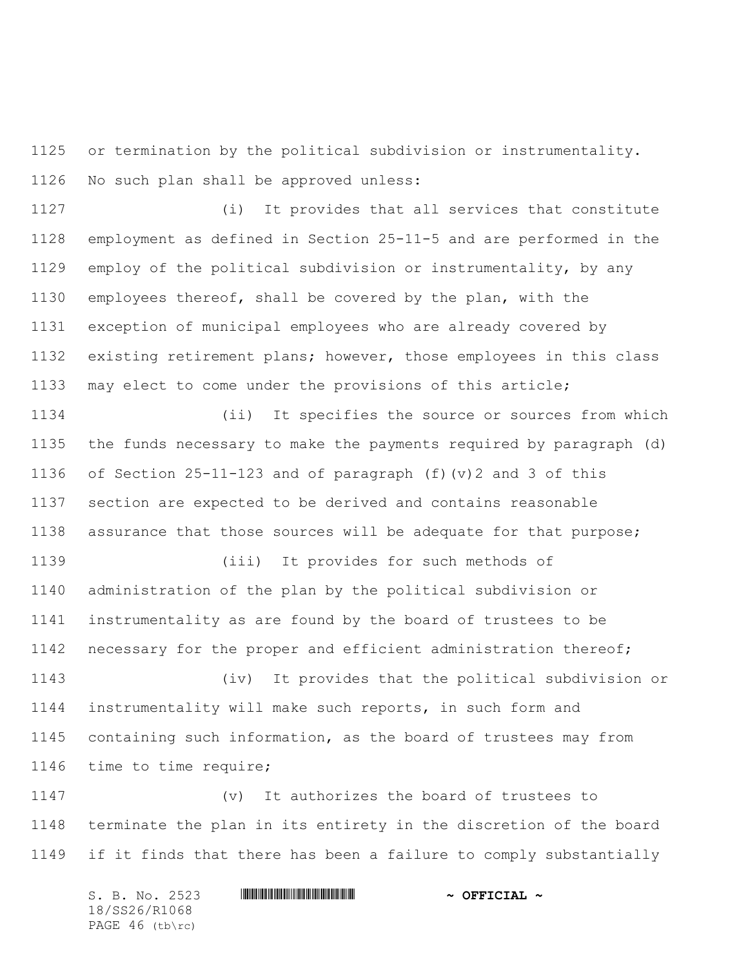or termination by the political subdivision or instrumentality. No such plan shall be approved unless:

 (i) It provides that all services that constitute employment as defined in Section 25-11-5 and are performed in the employ of the political subdivision or instrumentality, by any employees thereof, shall be covered by the plan, with the exception of municipal employees who are already covered by existing retirement plans; however, those employees in this class may elect to come under the provisions of this article;

 (ii) It specifies the source or sources from which the funds necessary to make the payments required by paragraph (d) of Section 25-11-123 and of paragraph (f)(v)2 and 3 of this section are expected to be derived and contains reasonable assurance that those sources will be adequate for that purpose;

 (iii) It provides for such methods of administration of the plan by the political subdivision or instrumentality as are found by the board of trustees to be 1142 necessary for the proper and efficient administration thereof;

 (iv) It provides that the political subdivision or instrumentality will make such reports, in such form and containing such information, as the board of trustees may from time to time require;

 (v) It authorizes the board of trustees to terminate the plan in its entirety in the discretion of the board if it finds that there has been a failure to comply substantially

S. B. No. 2523 \*SS26/R1068\* **~ OFFICIAL ~** 18/SS26/R1068 PAGE 46 (tb\rc)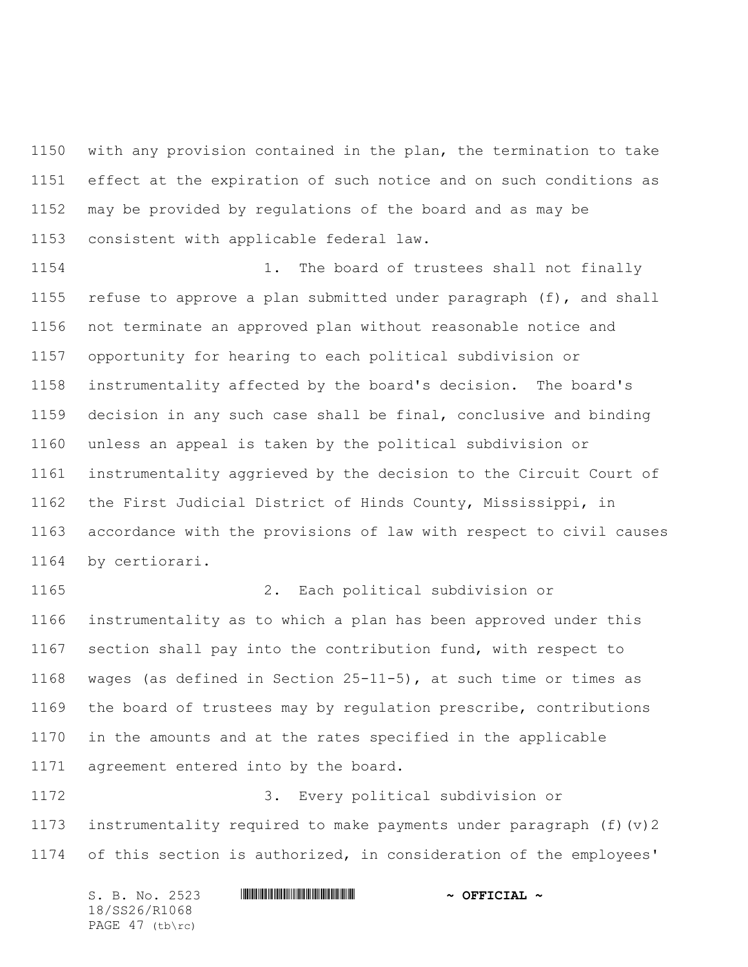with any provision contained in the plan, the termination to take effect at the expiration of such notice and on such conditions as may be provided by regulations of the board and as may be consistent with applicable federal law.

 1. The board of trustees shall not finally refuse to approve a plan submitted under paragraph (f), and shall not terminate an approved plan without reasonable notice and opportunity for hearing to each political subdivision or instrumentality affected by the board's decision. The board's decision in any such case shall be final, conclusive and binding unless an appeal is taken by the political subdivision or instrumentality aggrieved by the decision to the Circuit Court of the First Judicial District of Hinds County, Mississippi, in accordance with the provisions of law with respect to civil causes by certiorari.

 2. Each political subdivision or instrumentality as to which a plan has been approved under this section shall pay into the contribution fund, with respect to wages (as defined in Section 25-11-5), at such time or times as the board of trustees may by regulation prescribe, contributions in the amounts and at the rates specified in the applicable agreement entered into by the board.

 3. Every political subdivision or instrumentality required to make payments under paragraph (f)(v)2 of this section is authorized, in consideration of the employees'

| S. B. No. 2523  | $\sim$ OFFICIAL $\sim$ |
|-----------------|------------------------|
| 18/SS26/R1068   |                        |
| PAGE 47 (tb\rc) |                        |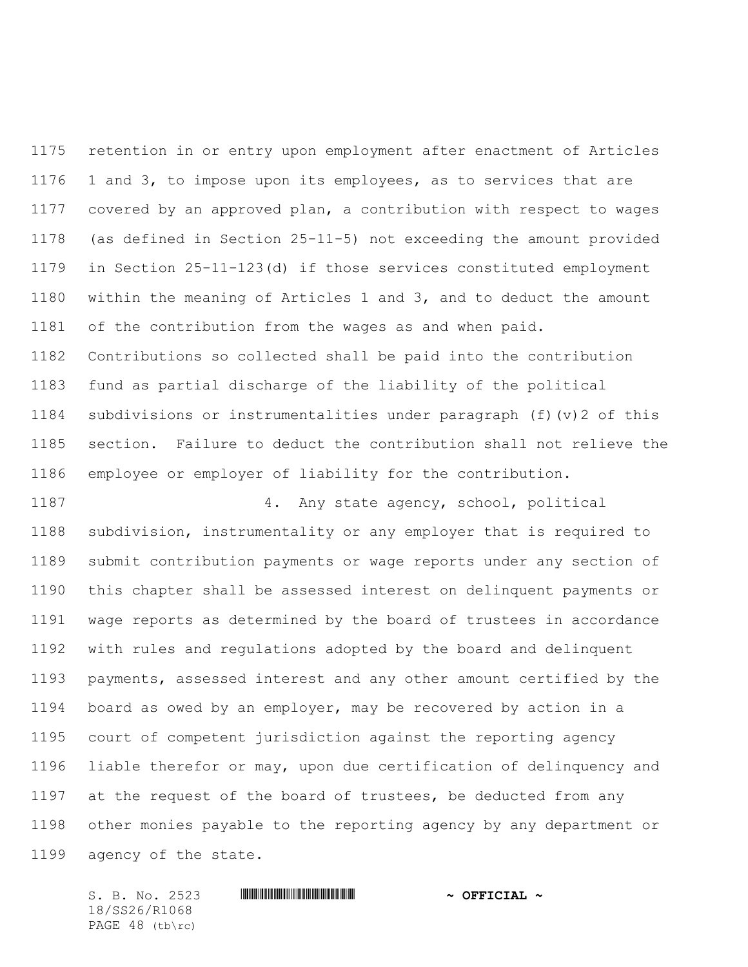retention in or entry upon employment after enactment of Articles 1 and 3, to impose upon its employees, as to services that are covered by an approved plan, a contribution with respect to wages (as defined in Section 25-11-5) not exceeding the amount provided in Section 25-11-123(d) if those services constituted employment within the meaning of Articles 1 and 3, and to deduct the amount of the contribution from the wages as and when paid. Contributions so collected shall be paid into the contribution fund as partial discharge of the liability of the political subdivisions or instrumentalities under paragraph (f)(v)2 of this section. Failure to deduct the contribution shall not relieve the employee or employer of liability for the contribution.

 4. Any state agency, school, political subdivision, instrumentality or any employer that is required to submit contribution payments or wage reports under any section of this chapter shall be assessed interest on delinquent payments or wage reports as determined by the board of trustees in accordance with rules and regulations adopted by the board and delinquent payments, assessed interest and any other amount certified by the board as owed by an employer, may be recovered by action in a court of competent jurisdiction against the reporting agency liable therefor or may, upon due certification of delinquency and at the request of the board of trustees, be deducted from any other monies payable to the reporting agency by any department or agency of the state.

S. B. No. 2523 \*SS26/R1068\* **~ OFFICIAL ~** 18/SS26/R1068 PAGE 48 (tb\rc)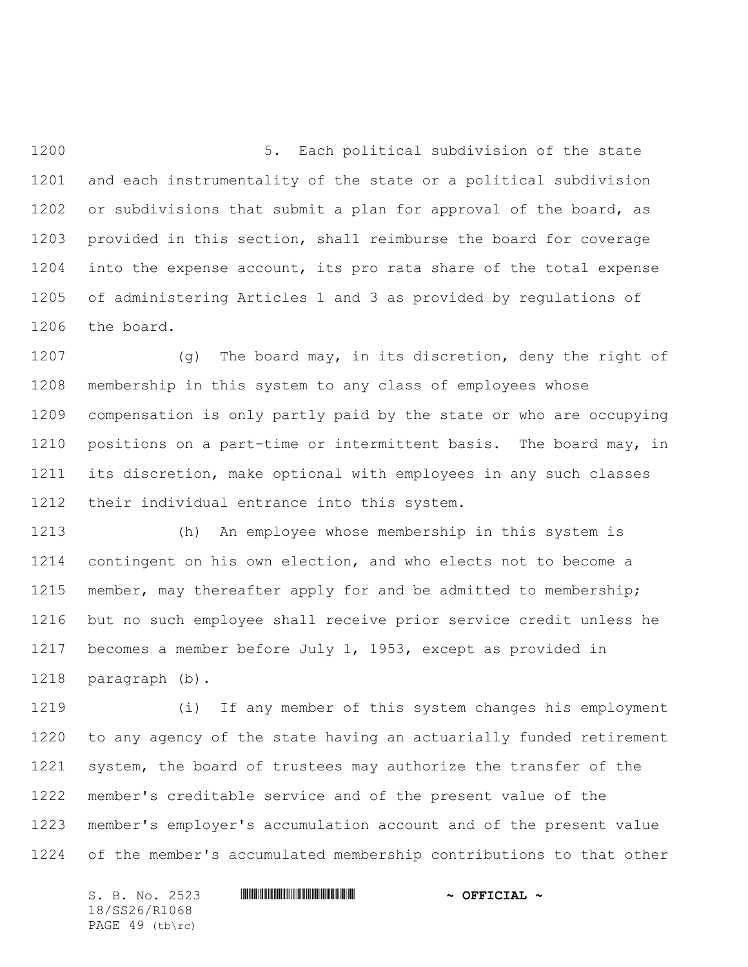5. Each political subdivision of the state and each instrumentality of the state or a political subdivision 1202 or subdivisions that submit a plan for approval of the board, as provided in this section, shall reimburse the board for coverage into the expense account, its pro rata share of the total expense of administering Articles 1 and 3 as provided by regulations of the board.

 (g) The board may, in its discretion, deny the right of membership in this system to any class of employees whose compensation is only partly paid by the state or who are occupying 1210 positions on a part-time or intermittent basis. The board may, in its discretion, make optional with employees in any such classes their individual entrance into this system.

 (h) An employee whose membership in this system is contingent on his own election, and who elects not to become a 1215 member, may thereafter apply for and be admitted to membership; but no such employee shall receive prior service credit unless he becomes a member before July 1, 1953, except as provided in paragraph (b).

 (i) If any member of this system changes his employment to any agency of the state having an actuarially funded retirement 1221 system, the board of trustees may authorize the transfer of the member's creditable service and of the present value of the member's employer's accumulation account and of the present value of the member's accumulated membership contributions to that other

S. B. No. 2523 \*SS26/R1068\* **~ OFFICIAL ~** 18/SS26/R1068 PAGE 49 (tb\rc)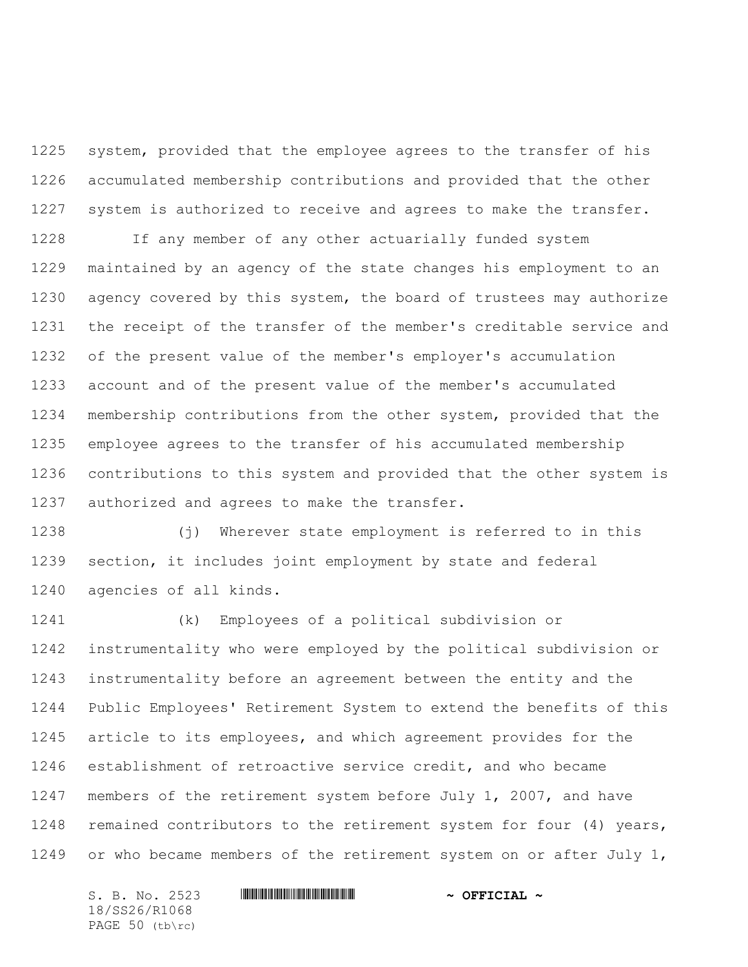system, provided that the employee agrees to the transfer of his accumulated membership contributions and provided that the other system is authorized to receive and agrees to make the transfer.

 If any member of any other actuarially funded system maintained by an agency of the state changes his employment to an agency covered by this system, the board of trustees may authorize the receipt of the transfer of the member's creditable service and of the present value of the member's employer's accumulation account and of the present value of the member's accumulated membership contributions from the other system, provided that the employee agrees to the transfer of his accumulated membership contributions to this system and provided that the other system is authorized and agrees to make the transfer.

 (j) Wherever state employment is referred to in this section, it includes joint employment by state and federal agencies of all kinds.

 (k) Employees of a political subdivision or instrumentality who were employed by the political subdivision or instrumentality before an agreement between the entity and the Public Employees' Retirement System to extend the benefits of this article to its employees, and which agreement provides for the establishment of retroactive service credit, and who became members of the retirement system before July 1, 2007, and have 1248 remained contributors to the retirement system for four (4) years, 1249 or who became members of the retirement system on or after July 1,

S. B. No. 2523 \*SS26/R1068\* **~ OFFICIAL ~** 18/SS26/R1068 PAGE 50 (tb\rc)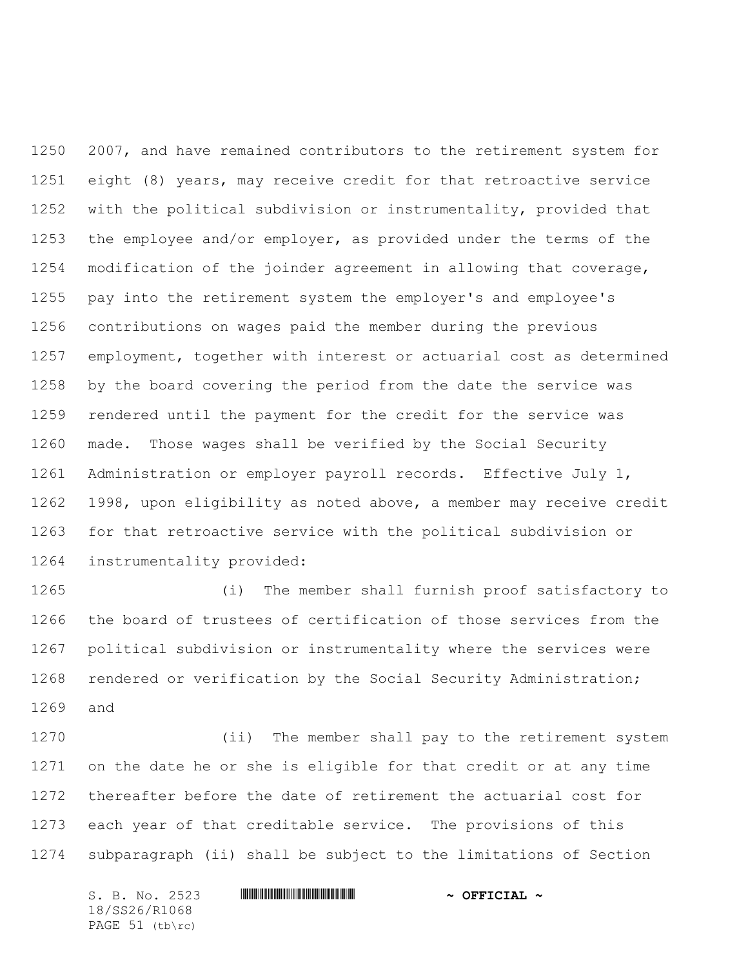2007, and have remained contributors to the retirement system for eight (8) years, may receive credit for that retroactive service with the political subdivision or instrumentality, provided that the employee and/or employer, as provided under the terms of the modification of the joinder agreement in allowing that coverage, pay into the retirement system the employer's and employee's contributions on wages paid the member during the previous employment, together with interest or actuarial cost as determined by the board covering the period from the date the service was rendered until the payment for the credit for the service was made. Those wages shall be verified by the Social Security Administration or employer payroll records. Effective July 1, 1998, upon eligibility as noted above, a member may receive credit for that retroactive service with the political subdivision or instrumentality provided:

 (i) The member shall furnish proof satisfactory to the board of trustees of certification of those services from the political subdivision or instrumentality where the services were rendered or verification by the Social Security Administration; and

 (ii) The member shall pay to the retirement system on the date he or she is eligible for that credit or at any time thereafter before the date of retirement the actuarial cost for each year of that creditable service. The provisions of this subparagraph (ii) shall be subject to the limitations of Section

S. B. No. 2523 \*SS26/R1068\* **~ OFFICIAL ~** 18/SS26/R1068 PAGE 51 (tb\rc)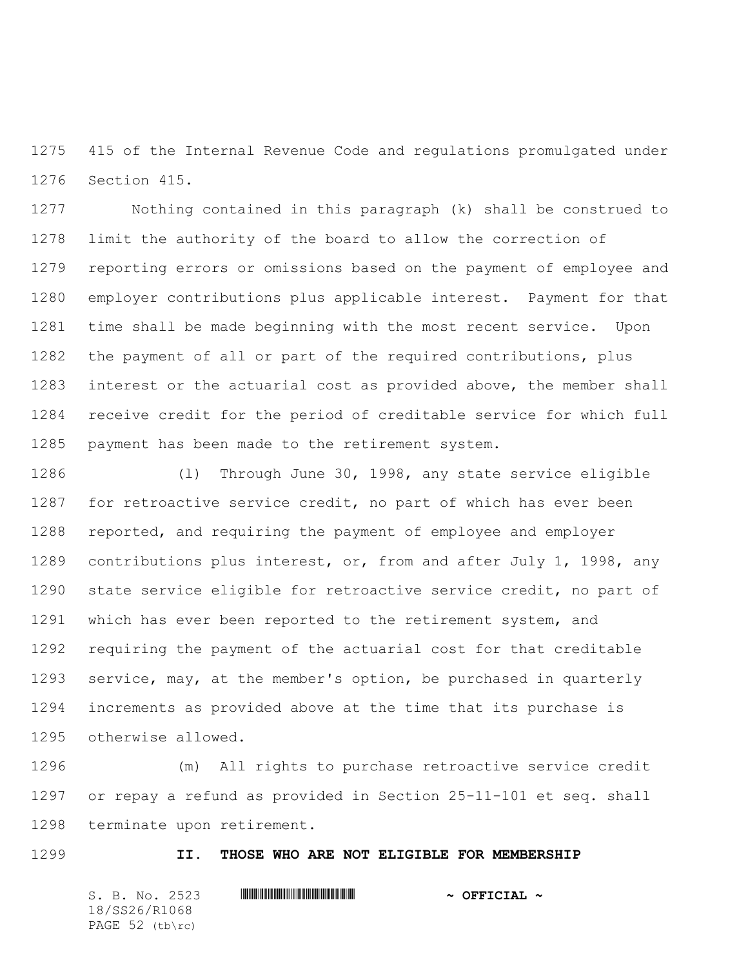415 of the Internal Revenue Code and regulations promulgated under Section 415.

 Nothing contained in this paragraph (k) shall be construed to limit the authority of the board to allow the correction of reporting errors or omissions based on the payment of employee and employer contributions plus applicable interest. Payment for that time shall be made beginning with the most recent service. Upon the payment of all or part of the required contributions, plus interest or the actuarial cost as provided above, the member shall receive credit for the period of creditable service for which full payment has been made to the retirement system.

 (l) Through June 30, 1998, any state service eligible for retroactive service credit, no part of which has ever been reported, and requiring the payment of employee and employer contributions plus interest, or, from and after July 1, 1998, any state service eligible for retroactive service credit, no part of which has ever been reported to the retirement system, and requiring the payment of the actuarial cost for that creditable service, may, at the member's option, be purchased in quarterly increments as provided above at the time that its purchase is otherwise allowed.

 (m) All rights to purchase retroactive service credit or repay a refund as provided in Section 25-11-101 et seq. shall terminate upon retirement.

### **II. THOSE WHO ARE NOT ELIGIBLE FOR MEMBERSHIP**

S. B. No. 2523 \*SS26/R1068\* **~ OFFICIAL ~** 18/SS26/R1068 PAGE 52 (tb\rc)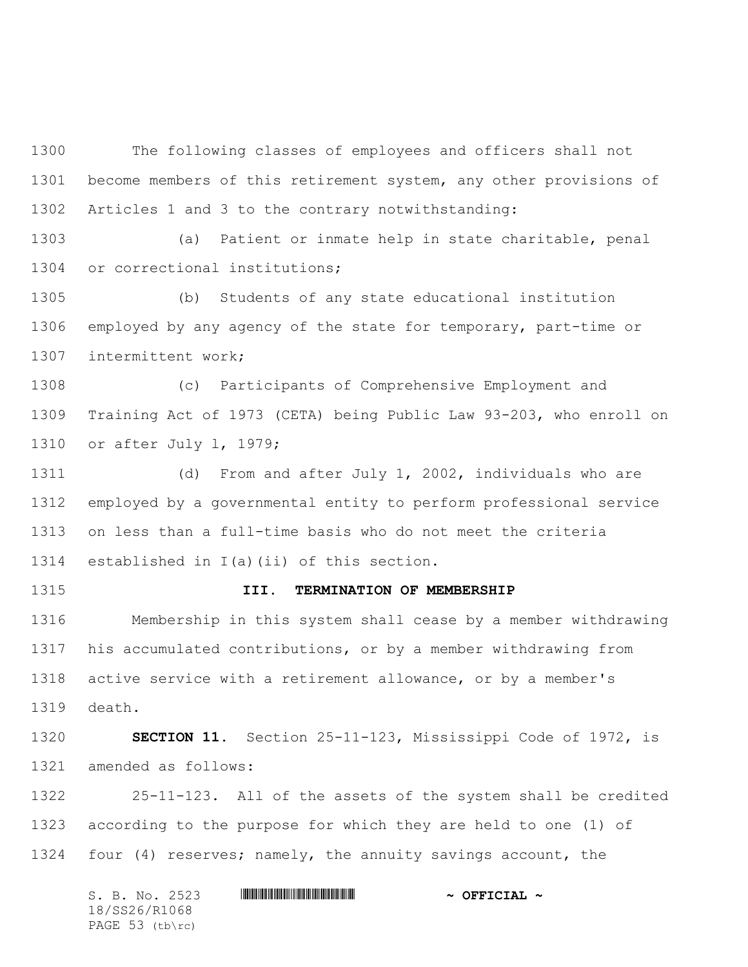The following classes of employees and officers shall not become members of this retirement system, any other provisions of Articles 1 and 3 to the contrary notwithstanding:

 (a) Patient or inmate help in state charitable, penal or correctional institutions;

 (b) Students of any state educational institution employed by any agency of the state for temporary, part-time or intermittent work;

 (c) Participants of Comprehensive Employment and Training Act of 1973 (CETA) being Public Law 93-203, who enroll on or after July l, 1979;

 (d) From and after July 1, 2002, individuals who are employed by a governmental entity to perform professional service on less than a full-time basis who do not meet the criteria established in I(a)(ii) of this section.

# **III. TERMINATION OF MEMBERSHIP**

 Membership in this system shall cease by a member withdrawing his accumulated contributions, or by a member withdrawing from active service with a retirement allowance, or by a member's death.

 **SECTION 11.** Section 25-11-123, Mississippi Code of 1972, is amended as follows:

 25-11-123. All of the assets of the system shall be credited according to the purpose for which they are held to one (1) of four (4) reserves; namely, the annuity savings account, the

|  |               | S. B. No. 2523    | $\sim$ OFFICIAL $\sim$ |  |
|--|---------------|-------------------|------------------------|--|
|  | 18/SS26/R1068 |                   |                        |  |
|  |               | PAGE $53$ (tb\rc) |                        |  |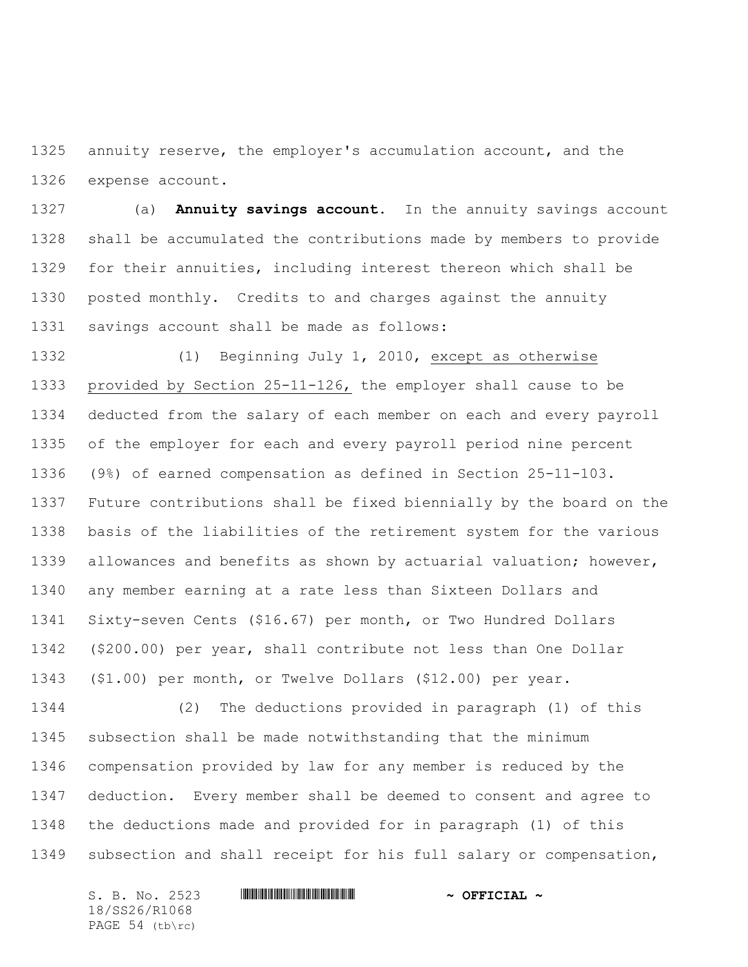annuity reserve, the employer's accumulation account, and the expense account.

 (a) **Annuity savings account.** In the annuity savings account shall be accumulated the contributions made by members to provide for their annuities, including interest thereon which shall be posted monthly. Credits to and charges against the annuity savings account shall be made as follows:

 (1) Beginning July 1, 2010, except as otherwise provided by Section 25-11-126, the employer shall cause to be deducted from the salary of each member on each and every payroll of the employer for each and every payroll period nine percent (9%) of earned compensation as defined in Section 25-11-103. Future contributions shall be fixed biennially by the board on the basis of the liabilities of the retirement system for the various allowances and benefits as shown by actuarial valuation; however, any member earning at a rate less than Sixteen Dollars and Sixty-seven Cents (\$16.67) per month, or Two Hundred Dollars (\$200.00) per year, shall contribute not less than One Dollar (\$1.00) per month, or Twelve Dollars (\$12.00) per year.

 (2) The deductions provided in paragraph (1) of this subsection shall be made notwithstanding that the minimum compensation provided by law for any member is reduced by the deduction. Every member shall be deemed to consent and agree to the deductions made and provided for in paragraph (1) of this subsection and shall receipt for his full salary or compensation,

18/SS26/R1068 PAGE 54 (tb\rc)

# S. B. No. 2523 \*SS26/R1068\* **~ OFFICIAL ~**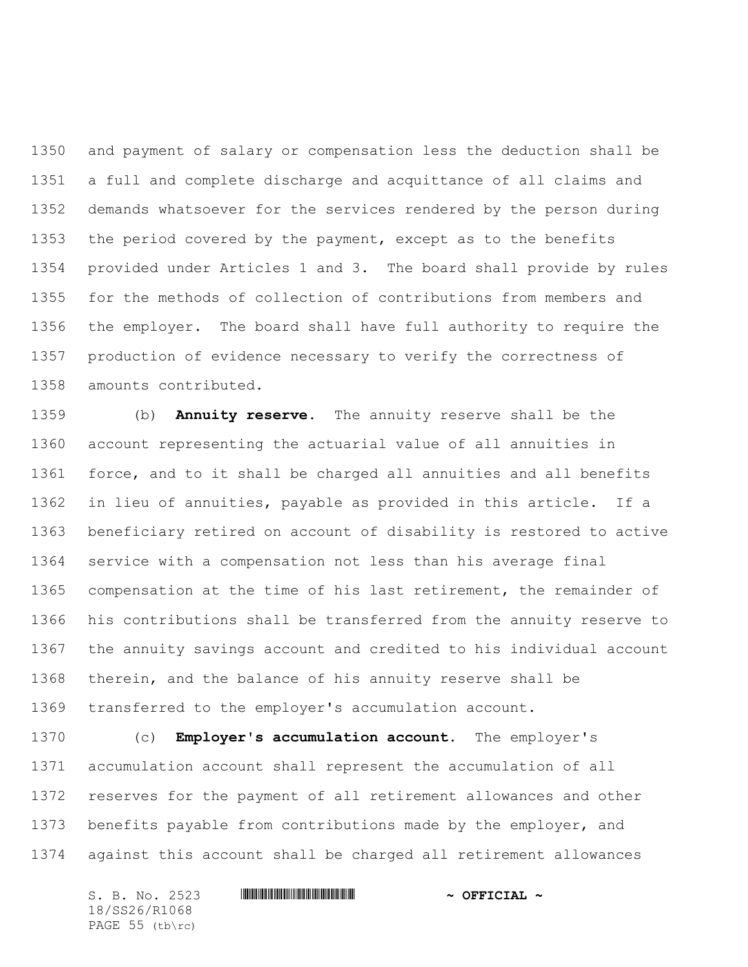and payment of salary or compensation less the deduction shall be a full and complete discharge and acquittance of all claims and demands whatsoever for the services rendered by the person during the period covered by the payment, except as to the benefits provided under Articles 1 and 3. The board shall provide by rules for the methods of collection of contributions from members and the employer. The board shall have full authority to require the production of evidence necessary to verify the correctness of amounts contributed.

 (b) **Annuity reserve.** The annuity reserve shall be the account representing the actuarial value of all annuities in force, and to it shall be charged all annuities and all benefits in lieu of annuities, payable as provided in this article. If a beneficiary retired on account of disability is restored to active service with a compensation not less than his average final compensation at the time of his last retirement, the remainder of his contributions shall be transferred from the annuity reserve to the annuity savings account and credited to his individual account therein, and the balance of his annuity reserve shall be transferred to the employer's accumulation account.

 (c) **Employer's accumulation account.** The employer's accumulation account shall represent the accumulation of all reserves for the payment of all retirement allowances and other benefits payable from contributions made by the employer, and against this account shall be charged all retirement allowances

S. B. No. 2523 \*SS26/R1068\* **~ OFFICIAL ~** 18/SS26/R1068 PAGE 55 (tb\rc)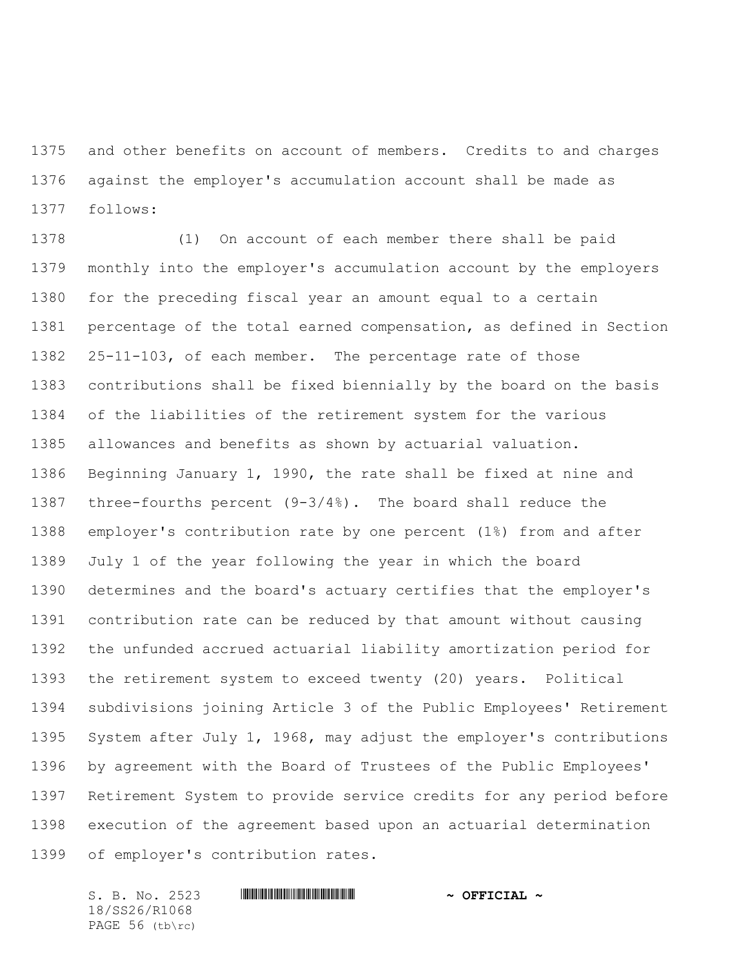and other benefits on account of members. Credits to and charges against the employer's accumulation account shall be made as follows:

 (1) On account of each member there shall be paid monthly into the employer's accumulation account by the employers for the preceding fiscal year an amount equal to a certain percentage of the total earned compensation, as defined in Section 25-11-103, of each member. The percentage rate of those contributions shall be fixed biennially by the board on the basis of the liabilities of the retirement system for the various allowances and benefits as shown by actuarial valuation. Beginning January 1, 1990, the rate shall be fixed at nine and three-fourths percent (9-3/4%). The board shall reduce the employer's contribution rate by one percent (1%) from and after July 1 of the year following the year in which the board determines and the board's actuary certifies that the employer's contribution rate can be reduced by that amount without causing the unfunded accrued actuarial liability amortization period for the retirement system to exceed twenty (20) years. Political subdivisions joining Article 3 of the Public Employees' Retirement System after July 1, 1968, may adjust the employer's contributions by agreement with the Board of Trustees of the Public Employees' Retirement System to provide service credits for any period before execution of the agreement based upon an actuarial determination of employer's contribution rates.

S. B. No. 2523 \*SS26/R1068\* **~ OFFICIAL ~** 18/SS26/R1068 PAGE 56 (tb\rc)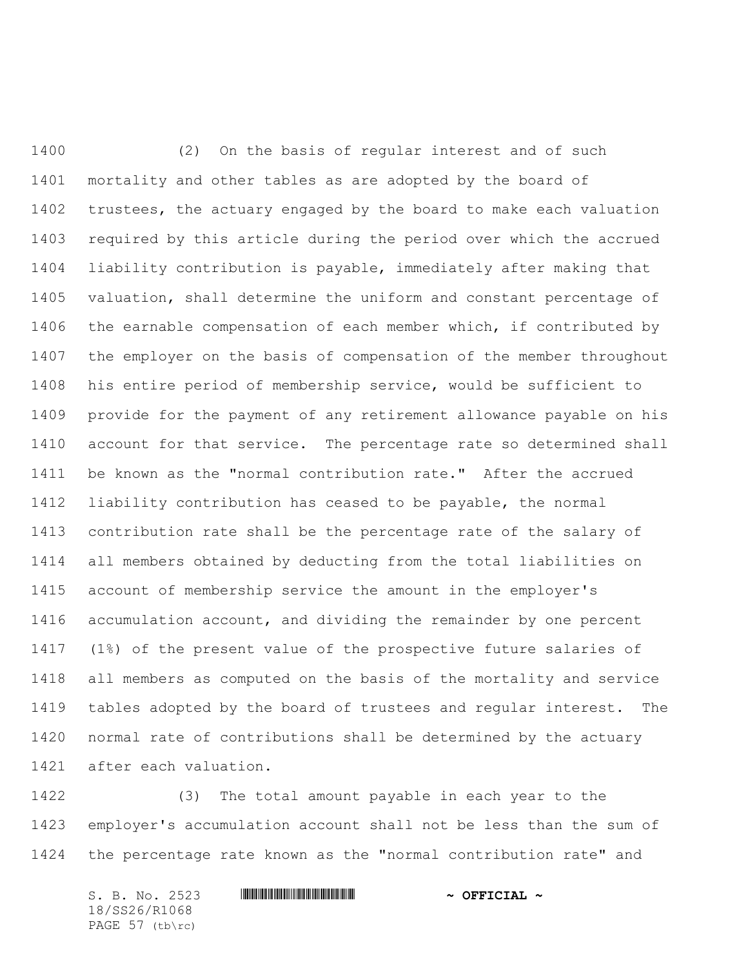(2) On the basis of regular interest and of such mortality and other tables as are adopted by the board of trustees, the actuary engaged by the board to make each valuation required by this article during the period over which the accrued liability contribution is payable, immediately after making that valuation, shall determine the uniform and constant percentage of the earnable compensation of each member which, if contributed by the employer on the basis of compensation of the member throughout his entire period of membership service, would be sufficient to provide for the payment of any retirement allowance payable on his account for that service. The percentage rate so determined shall be known as the "normal contribution rate." After the accrued liability contribution has ceased to be payable, the normal contribution rate shall be the percentage rate of the salary of all members obtained by deducting from the total liabilities on account of membership service the amount in the employer's accumulation account, and dividing the remainder by one percent (1%) of the present value of the prospective future salaries of all members as computed on the basis of the mortality and service tables adopted by the board of trustees and regular interest. The normal rate of contributions shall be determined by the actuary after each valuation.

 (3) The total amount payable in each year to the employer's accumulation account shall not be less than the sum of the percentage rate known as the "normal contribution rate" and

S. B. No. 2523 \*SS26/R1068\* **~ OFFICIAL ~** 18/SS26/R1068 PAGE 57 (tb\rc)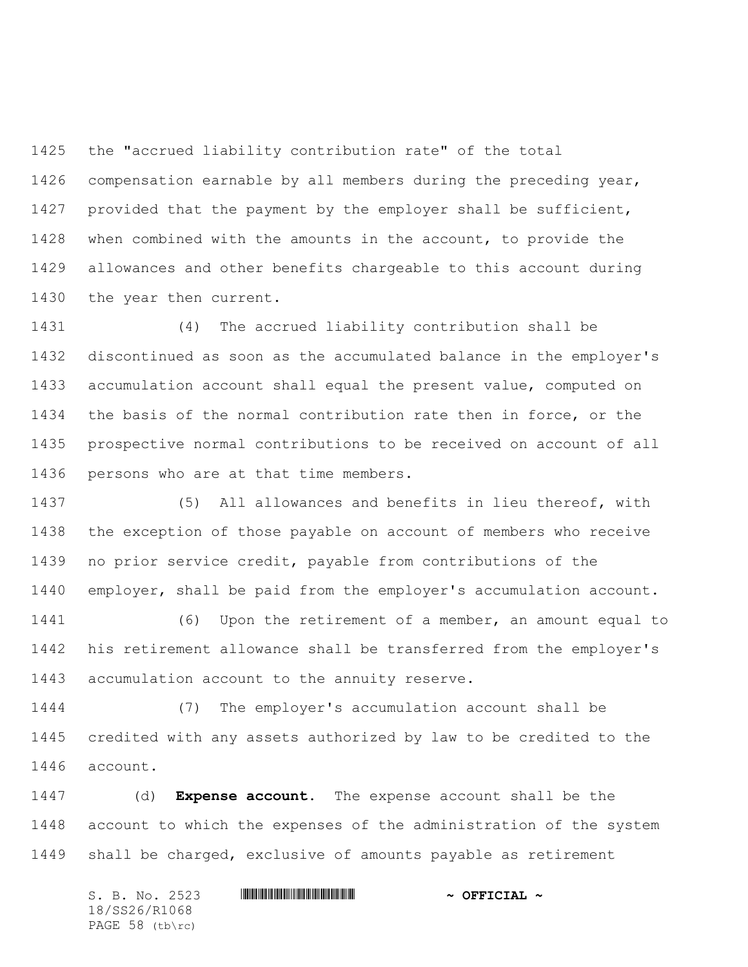the "accrued liability contribution rate" of the total compensation earnable by all members during the preceding year, provided that the payment by the employer shall be sufficient, when combined with the amounts in the account, to provide the allowances and other benefits chargeable to this account during the year then current.

 (4) The accrued liability contribution shall be discontinued as soon as the accumulated balance in the employer's accumulation account shall equal the present value, computed on the basis of the normal contribution rate then in force, or the prospective normal contributions to be received on account of all persons who are at that time members.

 (5) All allowances and benefits in lieu thereof, with the exception of those payable on account of members who receive no prior service credit, payable from contributions of the employer, shall be paid from the employer's accumulation account.

 (6) Upon the retirement of a member, an amount equal to his retirement allowance shall be transferred from the employer's accumulation account to the annuity reserve.

 (7) The employer's accumulation account shall be credited with any assets authorized by law to be credited to the account.

 (d) **Expense account.** The expense account shall be the account to which the expenses of the administration of the system shall be charged, exclusive of amounts payable as retirement

S. B. No. 2523 \*SS26/R1068\* **~ OFFICIAL ~** 18/SS26/R1068 PAGE 58 (tb\rc)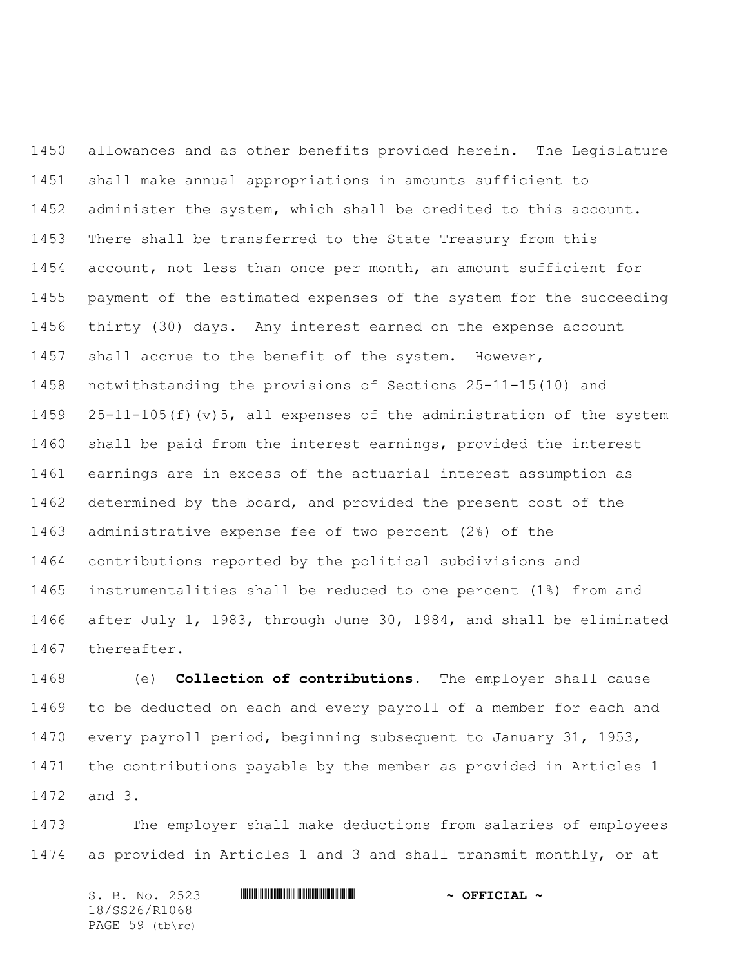allowances and as other benefits provided herein. The Legislature shall make annual appropriations in amounts sufficient to administer the system, which shall be credited to this account. There shall be transferred to the State Treasury from this account, not less than once per month, an amount sufficient for payment of the estimated expenses of the system for the succeeding thirty (30) days. Any interest earned on the expense account shall accrue to the benefit of the system. However, notwithstanding the provisions of Sections 25-11-15(10) and 25-11-105(f)(v)5, all expenses of the administration of the system shall be paid from the interest earnings, provided the interest earnings are in excess of the actuarial interest assumption as determined by the board, and provided the present cost of the administrative expense fee of two percent (2%) of the contributions reported by the political subdivisions and instrumentalities shall be reduced to one percent (1%) from and after July 1, 1983, through June 30, 1984, and shall be eliminated thereafter.

 (e) **Collection of contributions.** The employer shall cause to be deducted on each and every payroll of a member for each and every payroll period, beginning subsequent to January 31, 1953, the contributions payable by the member as provided in Articles 1 and 3.

 The employer shall make deductions from salaries of employees as provided in Articles 1 and 3 and shall transmit monthly, or at

| S. B. No. 2523        |  | $\sim$ OFFICIAL $\sim$ |  |
|-----------------------|--|------------------------|--|
| 18/SS26/R1068         |  |                        |  |
| PAGE $59$ (tb) $rc$ ) |  |                        |  |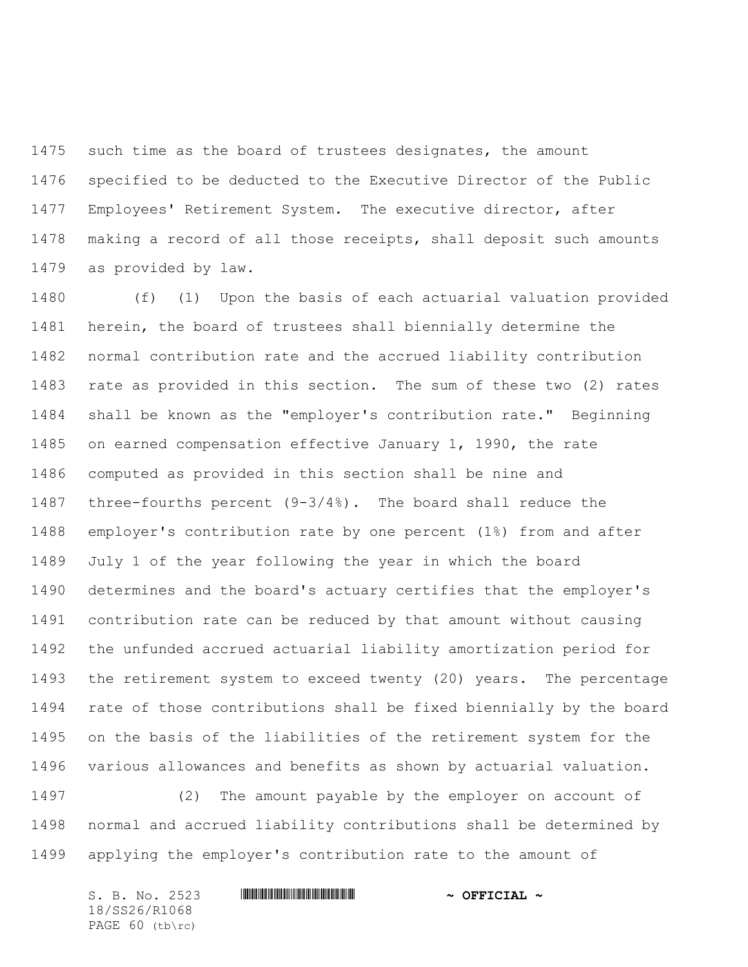1475 such time as the board of trustees designates, the amount specified to be deducted to the Executive Director of the Public Employees' Retirement System. The executive director, after making a record of all those receipts, shall deposit such amounts as provided by law.

 (f) (1) Upon the basis of each actuarial valuation provided herein, the board of trustees shall biennially determine the normal contribution rate and the accrued liability contribution rate as provided in this section. The sum of these two (2) rates shall be known as the "employer's contribution rate." Beginning on earned compensation effective January 1, 1990, the rate computed as provided in this section shall be nine and three-fourths percent (9-3/4%). The board shall reduce the employer's contribution rate by one percent (1%) from and after July 1 of the year following the year in which the board determines and the board's actuary certifies that the employer's contribution rate can be reduced by that amount without causing the unfunded accrued actuarial liability amortization period for the retirement system to exceed twenty (20) years. The percentage rate of those contributions shall be fixed biennially by the board on the basis of the liabilities of the retirement system for the various allowances and benefits as shown by actuarial valuation.

 (2) The amount payable by the employer on account of normal and accrued liability contributions shall be determined by applying the employer's contribution rate to the amount of

| S. B. No. 2523  | $\sim$ OFFICIAL $\sim$ |
|-----------------|------------------------|
| 18/SS26/R1068   |                        |
| PAGE 60 (tb\rc) |                        |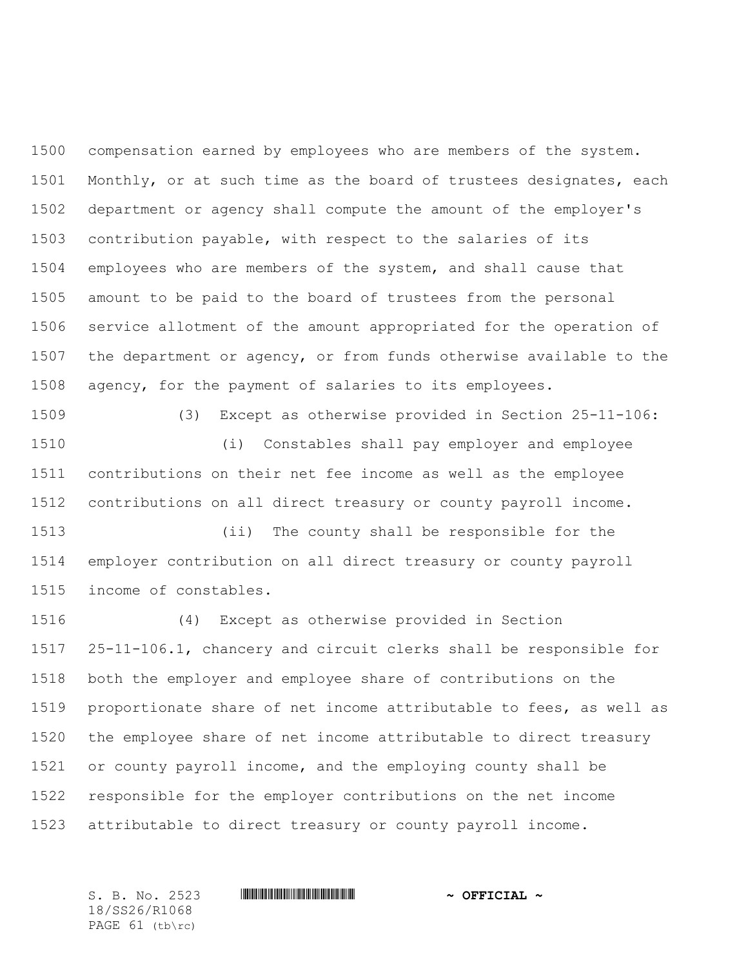compensation earned by employees who are members of the system. Monthly, or at such time as the board of trustees designates, each department or agency shall compute the amount of the employer's contribution payable, with respect to the salaries of its employees who are members of the system, and shall cause that amount to be paid to the board of trustees from the personal service allotment of the amount appropriated for the operation of the department or agency, or from funds otherwise available to the agency, for the payment of salaries to its employees.

 (3) Except as otherwise provided in Section 25-11-106: (i) Constables shall pay employer and employee contributions on their net fee income as well as the employee contributions on all direct treasury or county payroll income.

 (ii) The county shall be responsible for the employer contribution on all direct treasury or county payroll income of constables.

 (4) Except as otherwise provided in Section 25-11-106.1, chancery and circuit clerks shall be responsible for both the employer and employee share of contributions on the proportionate share of net income attributable to fees, as well as the employee share of net income attributable to direct treasury or county payroll income, and the employing county shall be responsible for the employer contributions on the net income attributable to direct treasury or county payroll income.

S. B. No. 2523 \*SS26/R1068\* **~ OFFICIAL ~** 18/SS26/R1068 PAGE 61 (tb\rc)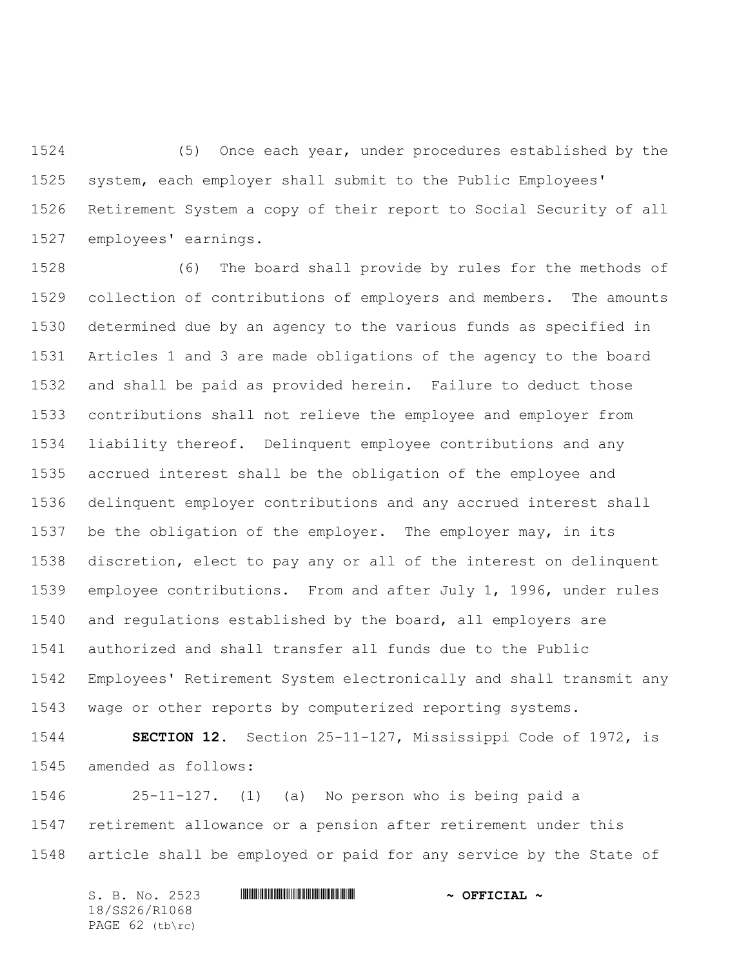(5) Once each year, under procedures established by the system, each employer shall submit to the Public Employees' Retirement System a copy of their report to Social Security of all employees' earnings.

 (6) The board shall provide by rules for the methods of collection of contributions of employers and members. The amounts determined due by an agency to the various funds as specified in Articles 1 and 3 are made obligations of the agency to the board and shall be paid as provided herein. Failure to deduct those contributions shall not relieve the employee and employer from liability thereof. Delinquent employee contributions and any accrued interest shall be the obligation of the employee and delinquent employer contributions and any accrued interest shall be the obligation of the employer. The employer may, in its discretion, elect to pay any or all of the interest on delinquent employee contributions. From and after July 1, 1996, under rules and regulations established by the board, all employers are authorized and shall transfer all funds due to the Public Employees' Retirement System electronically and shall transmit any wage or other reports by computerized reporting systems.

 **SECTION 12.** Section 25-11-127, Mississippi Code of 1972, is amended as follows:

 25-11-127. (1) (a) No person who is being paid a retirement allowance or a pension after retirement under this article shall be employed or paid for any service by the State of

S. B. No. 2523 **\*\*\* AND \*\*\* AND \*\*\* \*\*\* OFFICIAL \*\*** 18/SS26/R1068 PAGE 62 (tb\rc)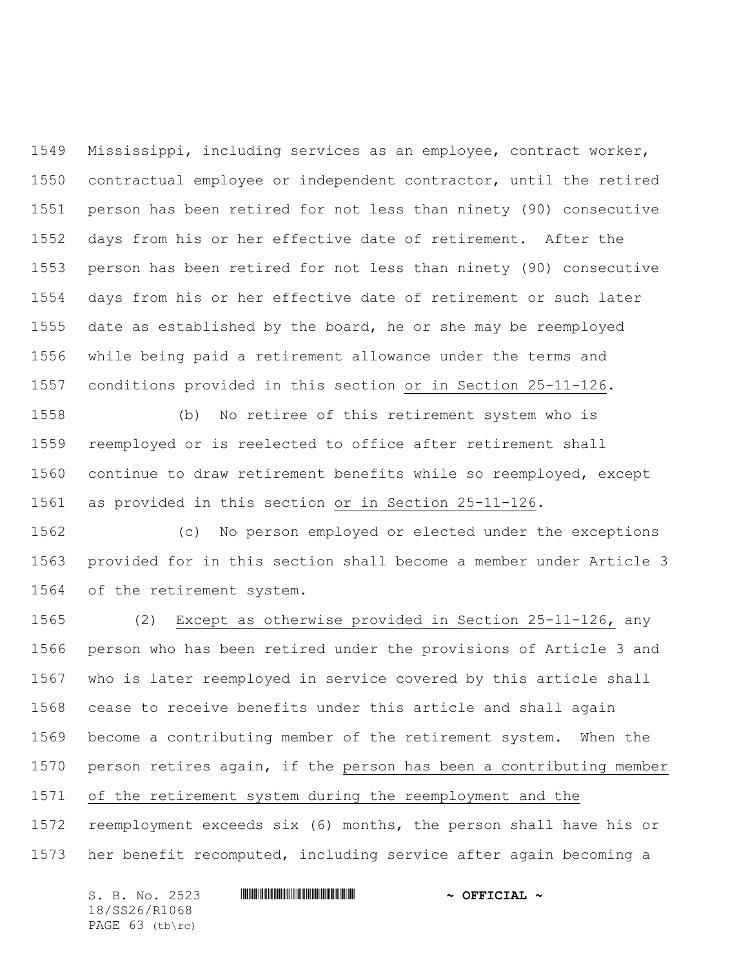Mississippi, including services as an employee, contract worker, contractual employee or independent contractor, until the retired person has been retired for not less than ninety (90) consecutive days from his or her effective date of retirement. After the person has been retired for not less than ninety (90) consecutive days from his or her effective date of retirement or such later date as established by the board, he or she may be reemployed while being paid a retirement allowance under the terms and conditions provided in this section or in Section 25-11-126.

 (b) No retiree of this retirement system who is reemployed or is reelected to office after retirement shall continue to draw retirement benefits while so reemployed, except as provided in this section or in Section 25-11-126.

 (c) No person employed or elected under the exceptions provided for in this section shall become a member under Article 3 of the retirement system.

 (2) Except as otherwise provided in Section 25-11-126, any person who has been retired under the provisions of Article 3 and who is later reemployed in service covered by this article shall cease to receive benefits under this article and shall again become a contributing member of the retirement system. When the person retires again, if the person has been a contributing member of the retirement system during the reemployment and the reemployment exceeds six (6) months, the person shall have his or her benefit recomputed, including service after again becoming a

| S. B. No. 2523  | $\sim$ OFFICIAL $\sim$ |
|-----------------|------------------------|
| 18/SS26/R1068   |                        |
| PAGE 63 (tb\rc) |                        |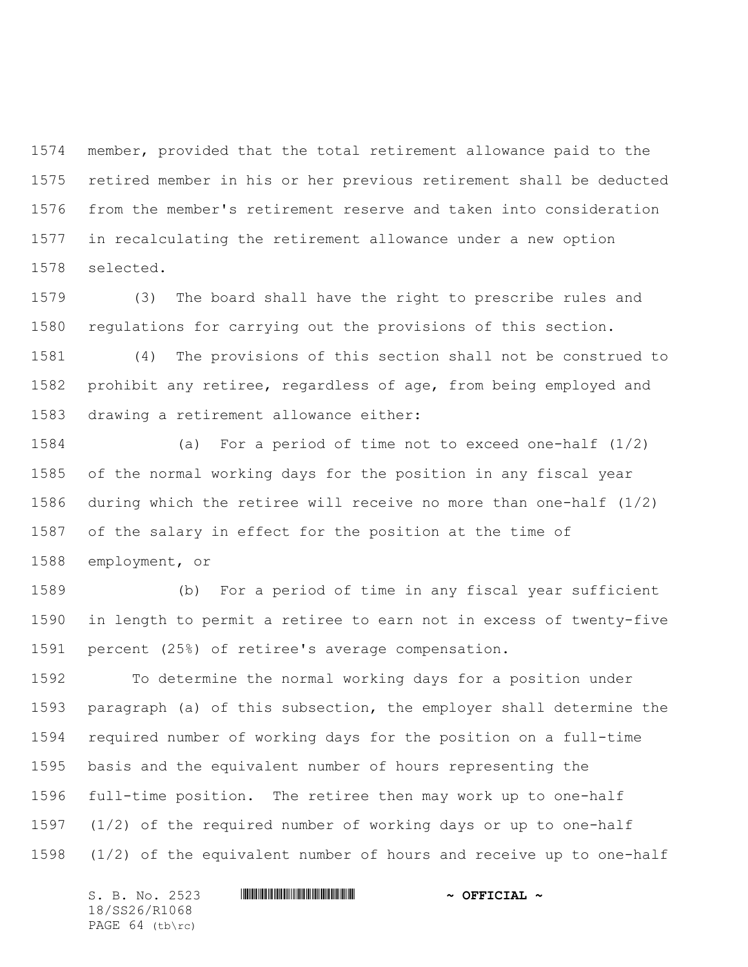member, provided that the total retirement allowance paid to the retired member in his or her previous retirement shall be deducted from the member's retirement reserve and taken into consideration in recalculating the retirement allowance under a new option selected.

 (3) The board shall have the right to prescribe rules and regulations for carrying out the provisions of this section.

 (4) The provisions of this section shall not be construed to prohibit any retiree, regardless of age, from being employed and drawing a retirement allowance either:

 (a) For a period of time not to exceed one-half (1/2) of the normal working days for the position in any fiscal year during which the retiree will receive no more than one-half (1/2) of the salary in effect for the position at the time of employment, or

 (b) For a period of time in any fiscal year sufficient in length to permit a retiree to earn not in excess of twenty-five percent (25%) of retiree's average compensation.

 To determine the normal working days for a position under paragraph (a) of this subsection, the employer shall determine the required number of working days for the position on a full-time basis and the equivalent number of hours representing the full-time position. The retiree then may work up to one-half (1/2) of the required number of working days or up to one-half (1/2) of the equivalent number of hours and receive up to one-half

S. B. No. 2523 \*SS26/R1068\* **~ OFFICIAL ~** 18/SS26/R1068 PAGE 64 (tb\rc)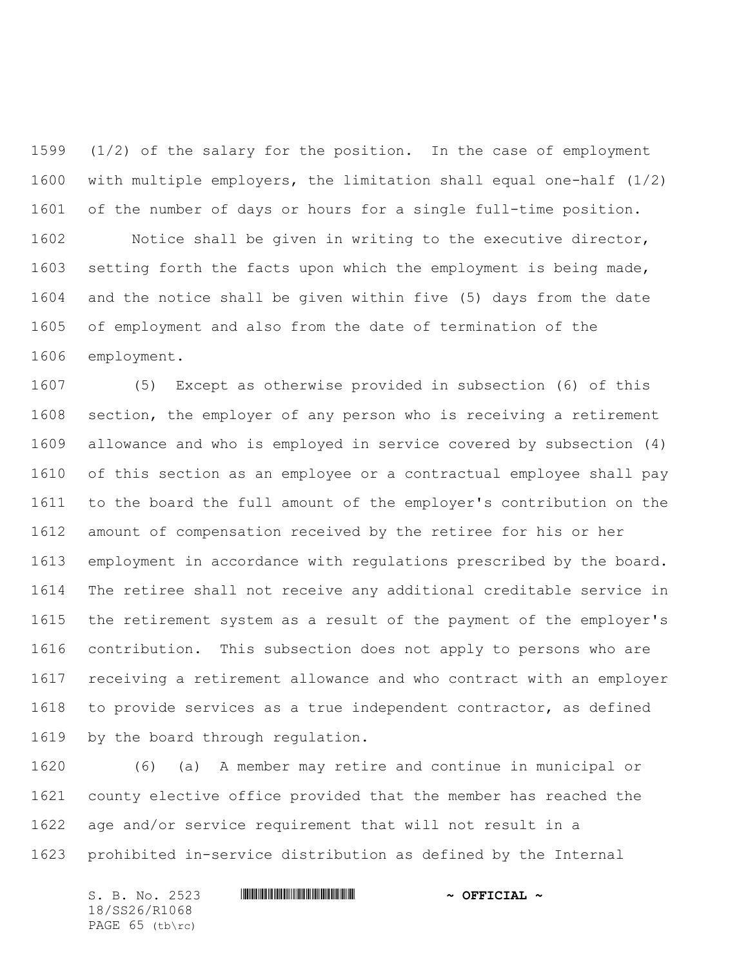(1/2) of the salary for the position. In the case of employment with multiple employers, the limitation shall equal one-half (1/2) of the number of days or hours for a single full-time position. Notice shall be given in writing to the executive director, setting forth the facts upon which the employment is being made, and the notice shall be given within five (5) days from the date of employment and also from the date of termination of the employment.

 (5) Except as otherwise provided in subsection (6) of this section, the employer of any person who is receiving a retirement allowance and who is employed in service covered by subsection (4) of this section as an employee or a contractual employee shall pay to the board the full amount of the employer's contribution on the amount of compensation received by the retiree for his or her employment in accordance with regulations prescribed by the board. The retiree shall not receive any additional creditable service in the retirement system as a result of the payment of the employer's contribution. This subsection does not apply to persons who are receiving a retirement allowance and who contract with an employer to provide services as a true independent contractor, as defined by the board through regulation.

 (6) (a) A member may retire and continue in municipal or county elective office provided that the member has reached the age and/or service requirement that will not result in a prohibited in-service distribution as defined by the Internal

18/SS26/R1068 PAGE 65 (tb\rc)

S. B. No. 2523 \*SS26/R1068\* **~ OFFICIAL ~**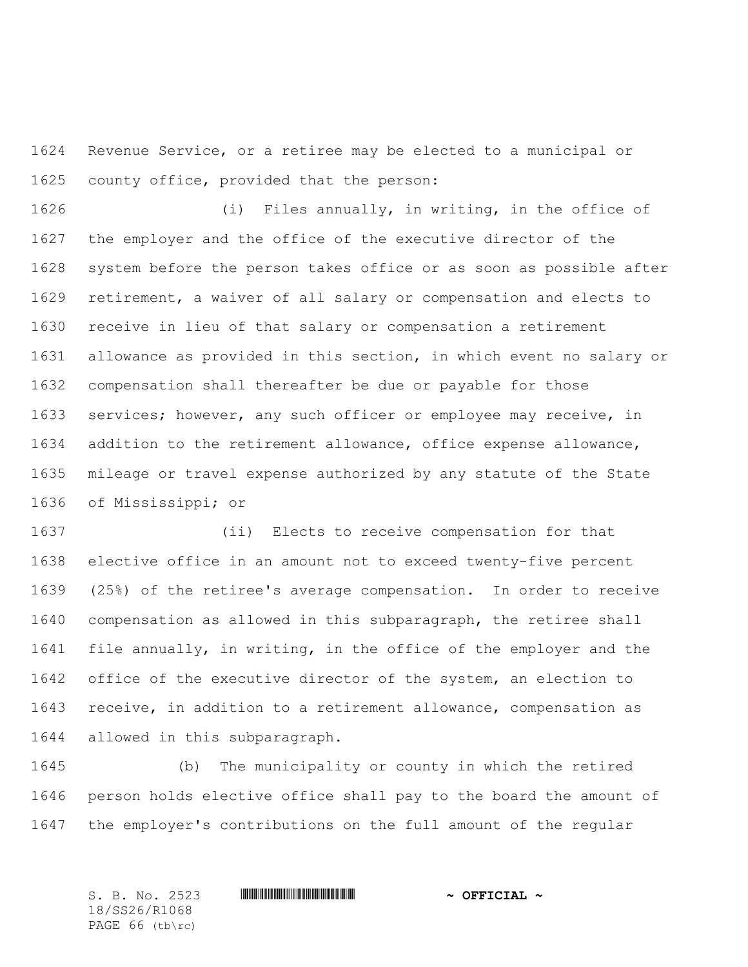Revenue Service, or a retiree may be elected to a municipal or county office, provided that the person:

 (i) Files annually, in writing, in the office of the employer and the office of the executive director of the system before the person takes office or as soon as possible after retirement, a waiver of all salary or compensation and elects to receive in lieu of that salary or compensation a retirement allowance as provided in this section, in which event no salary or compensation shall thereafter be due or payable for those services; however, any such officer or employee may receive, in addition to the retirement allowance, office expense allowance, mileage or travel expense authorized by any statute of the State of Mississippi; or

 (ii) Elects to receive compensation for that elective office in an amount not to exceed twenty-five percent (25%) of the retiree's average compensation. In order to receive compensation as allowed in this subparagraph, the retiree shall file annually, in writing, in the office of the employer and the office of the executive director of the system, an election to receive, in addition to a retirement allowance, compensation as allowed in this subparagraph.

 (b) The municipality or county in which the retired person holds elective office shall pay to the board the amount of the employer's contributions on the full amount of the regular

18/SS26/R1068 PAGE 66 (tb\rc)

S. B. No. 2523 **\*\*\* And \*\*\* And \*\*\* \*\*\* \*\*\* \*\*\* \*\*\* \*\*\* \*\*\* \*\*** \*\* **\*\*\* OFFICIAL** \*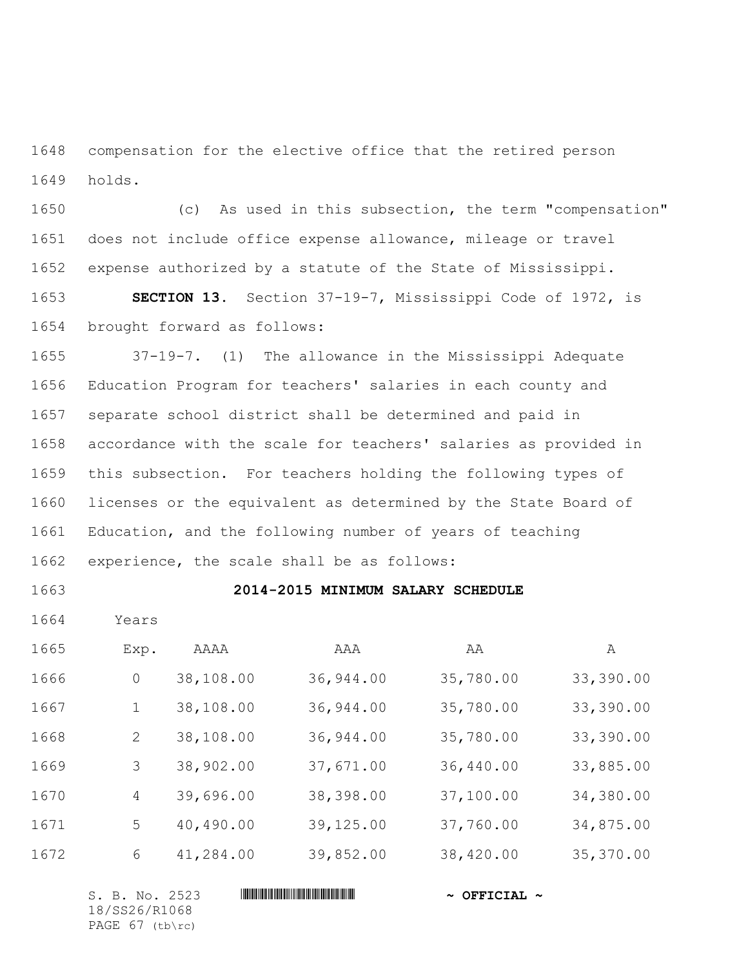compensation for the elective office that the retired person holds.

 (c) As used in this subsection, the term "compensation" does not include office expense allowance, mileage or travel expense authorized by a statute of the State of Mississippi.

 **SECTION 13.** Section 37-19-7, Mississippi Code of 1972, is brought forward as follows:

 37-19-7. (1) The allowance in the Mississippi Adequate Education Program for teachers' salaries in each county and separate school district shall be determined and paid in accordance with the scale for teachers' salaries as provided in this subsection. For teachers holding the following types of licenses or the equivalent as determined by the State Board of Education, and the following number of years of teaching experience, the scale shall be as follows:

# **2014-2015 MINIMUM SALARY SCHEDULE**

1664 Years

| 1665 | Exp.           | AAAA      | AAA       | AA        | A         |
|------|----------------|-----------|-----------|-----------|-----------|
| 1666 | $\overline{0}$ | 38,108.00 | 36,944.00 | 35,780.00 | 33,390.00 |
| 1667 | $\mathbf{1}$   | 38,108.00 | 36,944.00 | 35,780.00 | 33,390.00 |
| 1668 | 2              | 38,108.00 | 36,944.00 | 35,780.00 | 33,390.00 |
| 1669 | 3              | 38,902.00 | 37,671.00 | 36,440.00 | 33,885.00 |
| 1670 | 4              | 39,696.00 | 38,398.00 | 37,100.00 | 34,380.00 |
| 1671 | 5              | 40,490.00 | 39,125.00 | 37,760.00 | 34,875.00 |
| 1672 | 6              | 41,284.00 | 39,852.00 | 38,420.00 | 35,370.00 |

| S. B. No. 2523    | $\sim$ OFFICIAL $\sim$ |
|-------------------|------------------------|
| 18/SS26/R1068     |                        |
| PAGE $67$ (tb\rc) |                        |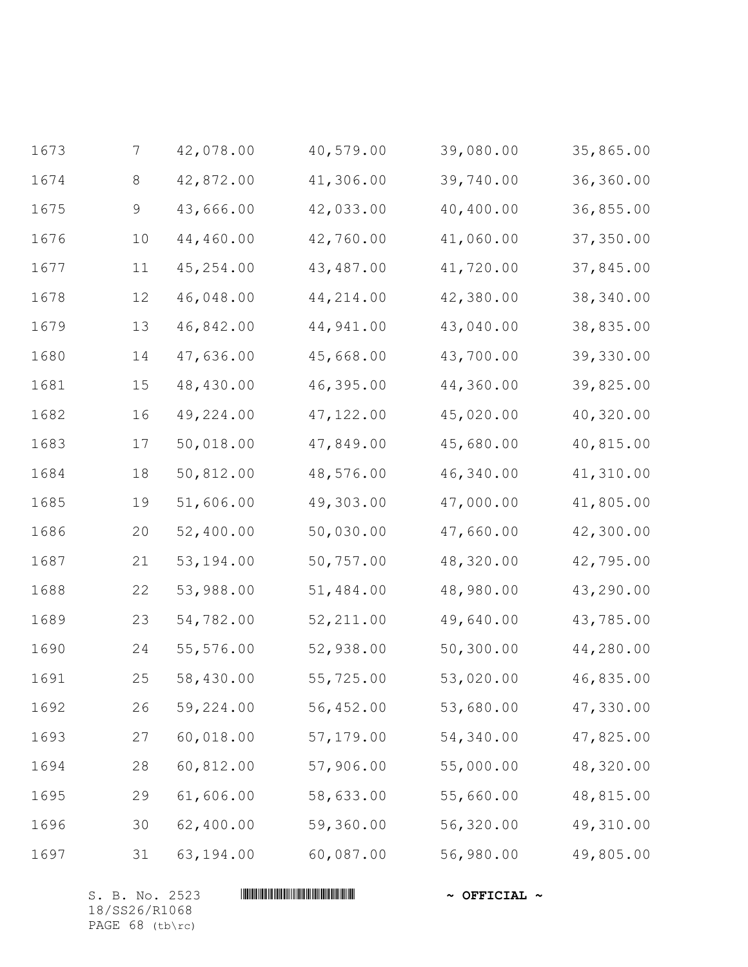| 1673 | $\overline{7}$ | 42,078.00 | 40,579.00  | 39,080.00 | 35,865.00 |
|------|----------------|-----------|------------|-----------|-----------|
| 1674 | 8              | 42,872.00 | 41,306.00  | 39,740.00 | 36,360.00 |
| 1675 | 9              | 43,666.00 | 42,033.00  | 40,400.00 | 36,855.00 |
| 1676 | 10             | 44,460.00 | 42,760.00  | 41,060.00 | 37,350.00 |
| 1677 | 11             | 45,254.00 | 43,487.00  | 41,720.00 | 37,845.00 |
| 1678 | 12             | 46,048.00 | 44, 214.00 | 42,380.00 | 38,340.00 |
| 1679 | 13             | 46,842.00 | 44,941.00  | 43,040.00 | 38,835.00 |
| 1680 | 14             | 47,636.00 | 45,668.00  | 43,700.00 | 39,330.00 |
| 1681 | $15$           | 48,430.00 | 46,395.00  | 44,360.00 | 39,825.00 |
| 1682 | 16             | 49,224.00 | 47, 122.00 | 45,020.00 | 40,320.00 |
| 1683 | 17             | 50,018.00 | 47,849.00  | 45,680.00 | 40,815.00 |
| 1684 | 18             | 50,812.00 | 48,576.00  | 46,340.00 | 41,310.00 |
| 1685 | 19             | 51,606.00 | 49,303.00  | 47,000.00 | 41,805.00 |
| 1686 | $20$           | 52,400.00 | 50,030.00  | 47,660.00 | 42,300.00 |
| 1687 | 21             | 53,194.00 | 50,757.00  | 48,320.00 | 42,795.00 |
| 1688 | 22             | 53,988.00 | 51,484.00  | 48,980.00 | 43,290.00 |
| 1689 | 23             | 54,782.00 | 52, 211.00 | 49,640.00 | 43,785.00 |
| 1690 | 24             | 55,576.00 | 52,938.00  | 50,300.00 | 44,280.00 |
| 1691 | 25             | 58,430.00 | 55,725.00  | 53,020.00 | 46,835.00 |
| 1692 | 26             | 59,224.00 | 56,452.00  | 53,680.00 | 47,330.00 |
| 1693 | 27             | 60,018.00 | 57,179.00  | 54,340.00 | 47,825.00 |
| 1694 | 28             | 60,812.00 | 57,906.00  | 55,000.00 | 48,320.00 |
| 1695 | 29             | 61,606.00 | 58,633.00  | 55,660.00 | 48,815.00 |
| 1696 | 30             | 62,400.00 | 59,360.00  | 56,320.00 | 49,310.00 |
| 1697 | 31             | 63,194.00 | 60,087.00  | 56,980.00 | 49,805.00 |

S. B. No. 2523 **\*\*\* AND \*\*\* AND \*\*\* AND \*\*\* AND \*\*\* OFFICIAL ~\*** 18/SS26/R1068 PAGE 68 (tb\rc)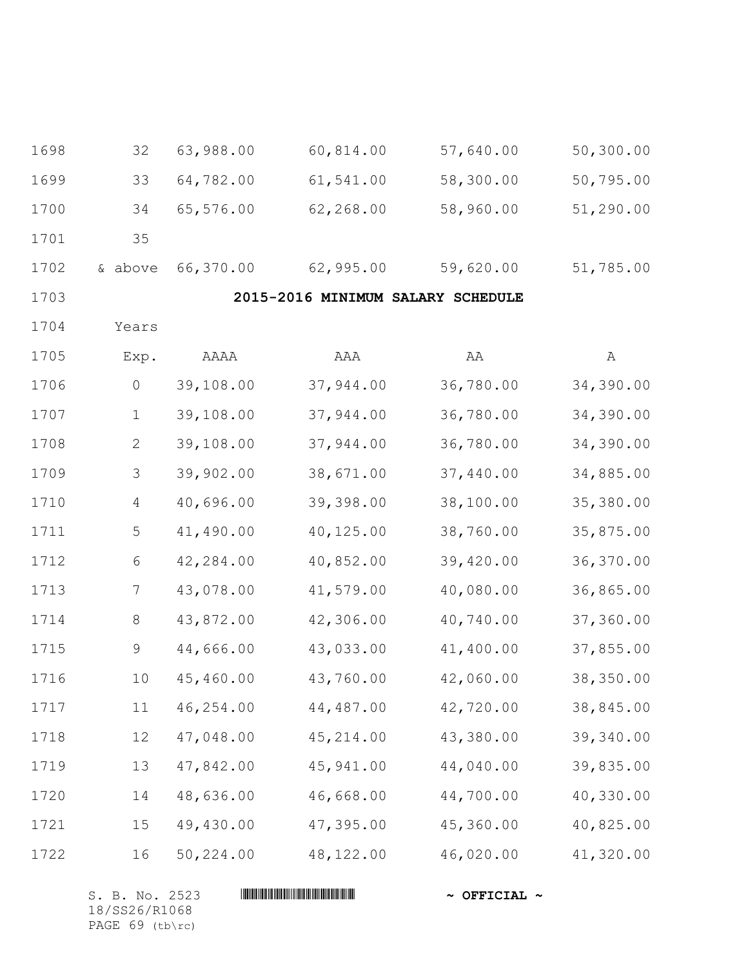| 1698 | 32           | 63,988.00 | 60,814.00                         | 57,640.00 | 50,300.00 |
|------|--------------|-----------|-----------------------------------|-----------|-----------|
| 1699 | 33           | 64,782.00 | 61,541.00                         | 58,300.00 | 50,795.00 |
| 1700 | 34           | 65,576.00 | 62,268.00                         | 58,960.00 | 51,290.00 |
| 1701 | 35           |           |                                   |           |           |
| 1702 | & above      | 66,370.00 | 62,995.00                         | 59,620.00 | 51,785.00 |
| 1703 |              |           | 2015-2016 MINIMUM SALARY SCHEDULE |           |           |
| 1704 | Years        |           |                                   |           |           |
| 1705 | Exp.         | AAAA      | AAA                               | AA        | A         |
| 1706 | $\circ$      | 39,108.00 | 37,944.00                         | 36,780.00 | 34,390.00 |
| 1707 | $\mathbf 1$  | 39,108.00 | 37,944.00                         | 36,780.00 | 34,390.00 |
| 1708 | $\mathbf{2}$ | 39,108.00 | 37,944.00                         | 36,780.00 | 34,390.00 |
| 1709 | 3            | 39,902.00 | 38,671.00                         | 37,440.00 | 34,885.00 |
| 1710 | 4            | 40,696.00 | 39,398.00                         | 38,100.00 | 35,380.00 |
| 1711 | 5            | 41,490.00 | 40,125.00                         | 38,760.00 | 35,875.00 |
| 1712 | 6            | 42,284.00 | 40,852.00                         | 39,420.00 | 36,370.00 |
| 1713 | 7            | 43,078.00 | 41,579.00                         | 40,080.00 | 36,865.00 |
| 1714 | $8\,$        | 43,872.00 | 42,306.00                         | 40,740.00 | 37,360.00 |
| 1715 | 9            | 44,666.00 | 43,033.00                         | 41,400.00 | 37,855.00 |
| 1716 | 10           | 45,460.00 | 43,760.00                         | 42,060.00 | 38,350.00 |
| 1717 | 11           | 46,254.00 | 44,487.00                         | 42,720.00 | 38,845.00 |
| 1718 | 12           | 47,048.00 | 45,214.00                         | 43,380.00 | 39,340.00 |
| 1719 | 13           | 47,842.00 | 45,941.00                         | 44,040.00 | 39,835.00 |
| 1720 | 14           | 48,636.00 | 46,668.00                         | 44,700.00 | 40,330.00 |
| 1721 | 15           | 49,430.00 | 47,395.00                         | 45,360.00 | 40,825.00 |
| 1722 | 16           | 50,224.00 | 48, 122.00                        | 46,020.00 | 41,320.00 |

S. B. No. 2523 **\*\*\* AND \*\*\* AND \*\*\* AND \*\*\* AND \*\*\* OFFICIAL ~\*** 18/SS26/R1068 PAGE 69 (tb\rc)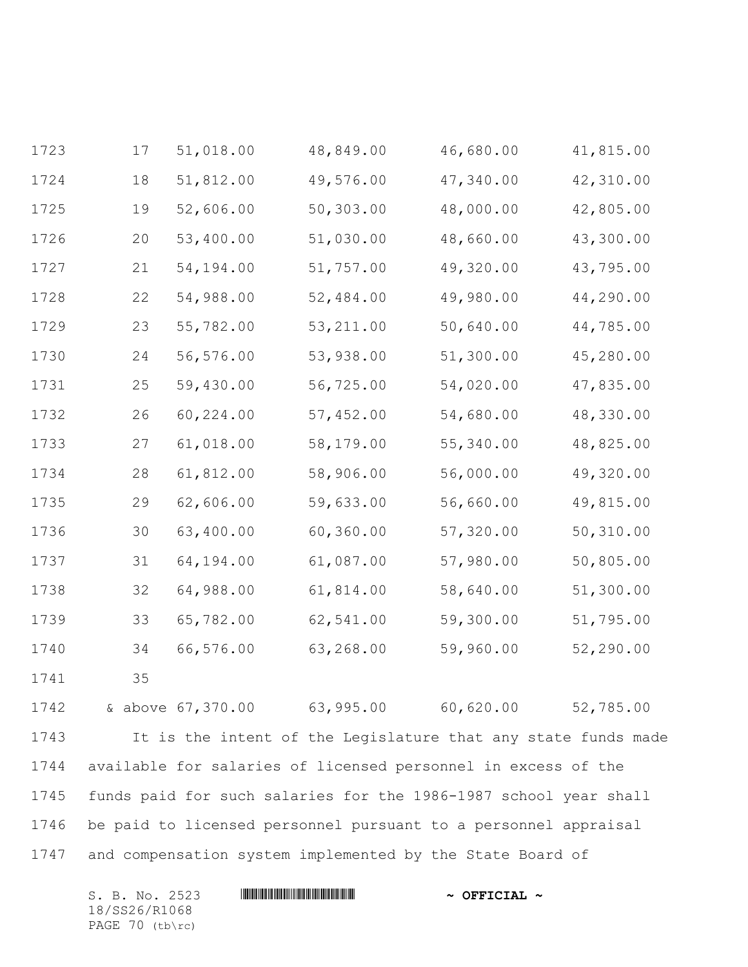| 1723 | 17                                                              | 51,018.00                                                        | 48,849.00  | 46,680.00 | 41,815.00 |
|------|-----------------------------------------------------------------|------------------------------------------------------------------|------------|-----------|-----------|
| 1724 | 18                                                              | 51,812.00                                                        | 49,576.00  | 47,340.00 | 42,310.00 |
| 1725 | 19                                                              | 52,606.00                                                        | 50,303.00  | 48,000.00 | 42,805.00 |
| 1726 | 20                                                              | 53,400.00                                                        | 51,030.00  | 48,660.00 | 43,300.00 |
| 1727 | 21                                                              | 54,194.00                                                        | 51,757.00  | 49,320.00 | 43,795.00 |
| 1728 | 22                                                              | 54,988.00                                                        | 52,484.00  | 49,980.00 | 44,290.00 |
| 1729 | 23                                                              | 55,782.00                                                        | 53, 211.00 | 50,640.00 | 44,785.00 |
| 1730 | 24                                                              | 56,576.00                                                        | 53,938.00  | 51,300.00 | 45,280.00 |
| 1731 | 25                                                              | 59,430.00                                                        | 56,725.00  | 54,020.00 | 47,835.00 |
| 1732 | 26                                                              | 60,224.00                                                        | 57,452.00  | 54,680.00 | 48,330.00 |
| 1733 | 27                                                              | 61,018.00                                                        | 58,179.00  | 55,340.00 | 48,825.00 |
| 1734 | 28                                                              | 61,812.00                                                        | 58,906.00  | 56,000.00 | 49,320.00 |
| 1735 | 29                                                              | 62,606.00                                                        | 59,633.00  | 56,660.00 | 49,815.00 |
| 1736 | 30                                                              | 63,400.00                                                        | 60,360.00  | 57,320.00 | 50,310.00 |
| 1737 | 31                                                              | 64,194.00                                                        | 61,087.00  | 57,980.00 | 50,805.00 |
| 1738 | 32                                                              | 64,988.00                                                        | 61,814.00  | 58,640.00 | 51,300.00 |
| 1739 | 33                                                              | 65,782.00                                                        | 62,541.00  | 59,300.00 | 51,795.00 |
| 1740 | 34                                                              | 66,576.00                                                        | 63,268.00  | 59,960.00 | 52,290.00 |
| 1741 | 35                                                              |                                                                  |            |           |           |
| 1742 |                                                                 | & above 67,370.00 63,995.00 60,620.00 52,785.00                  |            |           |           |
| 1743 |                                                                 | It is the intent of the Legislature that any state funds made    |            |           |           |
| 1744 |                                                                 | available for salaries of licensed personnel in excess of the    |            |           |           |
| 1745 |                                                                 | funds paid for such salaries for the 1986-1987 school year shall |            |           |           |
| 1746 | be paid to licensed personnel pursuant to a personnel appraisal |                                                                  |            |           |           |
| 1747 |                                                                 | and compensation system implemented by the State Board of        |            |           |           |

| S. B. No. 2523    |  | $\sim$ OFFICIAL $\sim$ |
|-------------------|--|------------------------|
| 18/SS26/R1068     |  |                        |
| PAGE $70$ (tb\rc) |  |                        |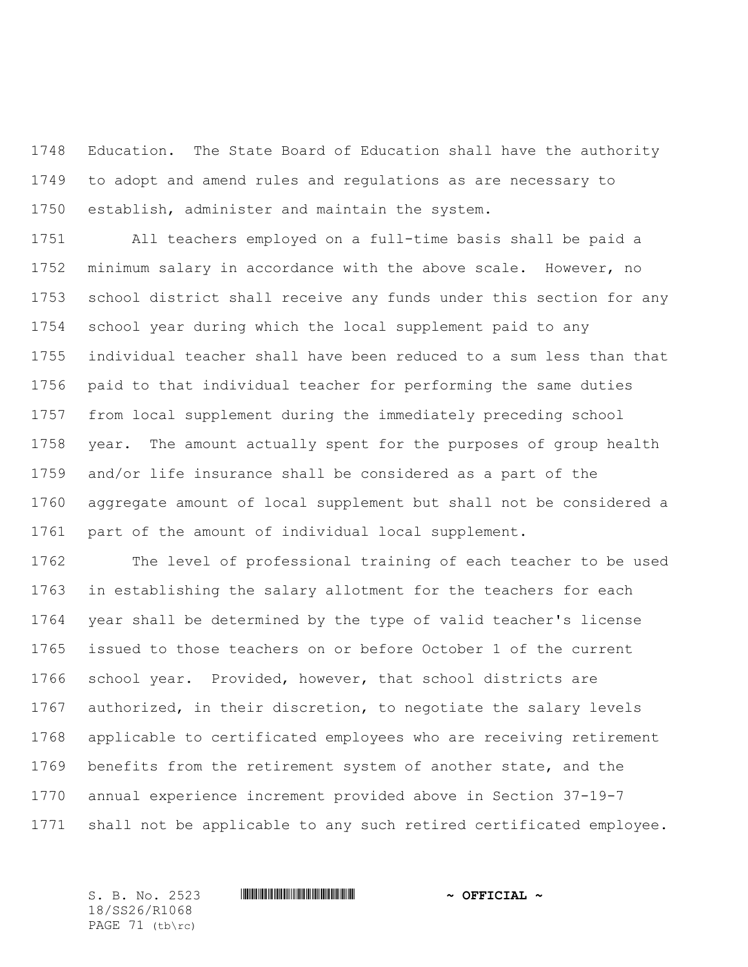Education. The State Board of Education shall have the authority to adopt and amend rules and regulations as are necessary to establish, administer and maintain the system.

 All teachers employed on a full-time basis shall be paid a minimum salary in accordance with the above scale. However, no school district shall receive any funds under this section for any school year during which the local supplement paid to any individual teacher shall have been reduced to a sum less than that paid to that individual teacher for performing the same duties from local supplement during the immediately preceding school year. The amount actually spent for the purposes of group health and/or life insurance shall be considered as a part of the aggregate amount of local supplement but shall not be considered a part of the amount of individual local supplement.

 The level of professional training of each teacher to be used in establishing the salary allotment for the teachers for each year shall be determined by the type of valid teacher's license issued to those teachers on or before October 1 of the current school year. Provided, however, that school districts are authorized, in their discretion, to negotiate the salary levels applicable to certificated employees who are receiving retirement benefits from the retirement system of another state, and the annual experience increment provided above in Section 37-19-7 shall not be applicable to any such retired certificated employee.

18/SS26/R1068 PAGE 71 (tb\rc)

#### S. B. No. 2523 **\*\*\* And \*\*\* And \*\*\* \*\*\* \*\*\* \*\*\* \*\*\* \*\*\* \*\*\* \*\*** \*\* **\*\*\* OFFICIAL** \*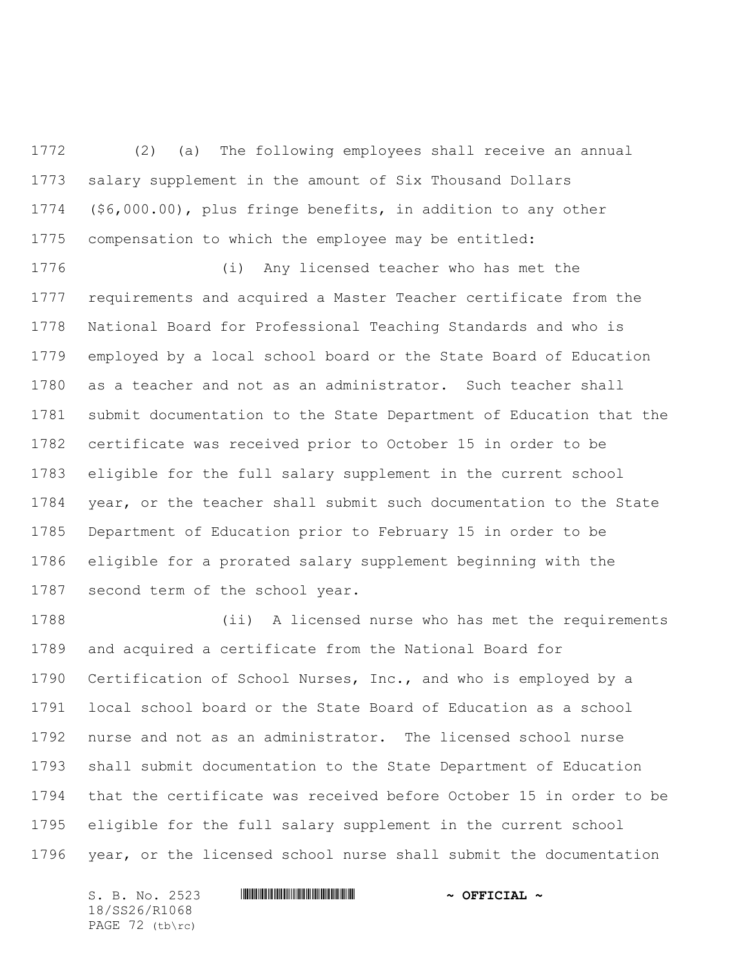(2) (a) The following employees shall receive an annual salary supplement in the amount of Six Thousand Dollars (\$6,000.00), plus fringe benefits, in addition to any other compensation to which the employee may be entitled:

 (i) Any licensed teacher who has met the requirements and acquired a Master Teacher certificate from the National Board for Professional Teaching Standards and who is employed by a local school board or the State Board of Education as a teacher and not as an administrator. Such teacher shall submit documentation to the State Department of Education that the certificate was received prior to October 15 in order to be eligible for the full salary supplement in the current school year, or the teacher shall submit such documentation to the State Department of Education prior to February 15 in order to be eligible for a prorated salary supplement beginning with the second term of the school year.

 (ii) A licensed nurse who has met the requirements and acquired a certificate from the National Board for Certification of School Nurses, Inc., and who is employed by a local school board or the State Board of Education as a school nurse and not as an administrator. The licensed school nurse shall submit documentation to the State Department of Education that the certificate was received before October 15 in order to be eligible for the full salary supplement in the current school year, or the licensed school nurse shall submit the documentation

S. B. No. 2523 \*SS26/R1068\* **~ OFFICIAL ~** 18/SS26/R1068 PAGE 72 (tb\rc)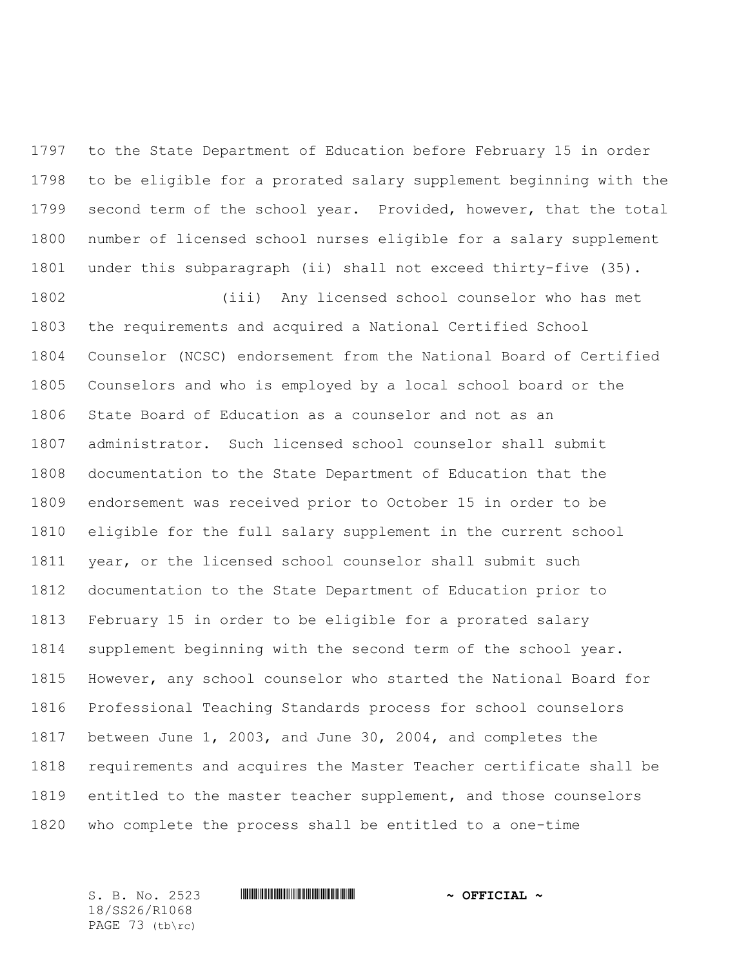to the State Department of Education before February 15 in order to be eligible for a prorated salary supplement beginning with the second term of the school year. Provided, however, that the total number of licensed school nurses eligible for a salary supplement under this subparagraph (ii) shall not exceed thirty-five (35).

 (iii) Any licensed school counselor who has met the requirements and acquired a National Certified School Counselor (NCSC) endorsement from the National Board of Certified Counselors and who is employed by a local school board or the State Board of Education as a counselor and not as an administrator. Such licensed school counselor shall submit documentation to the State Department of Education that the endorsement was received prior to October 15 in order to be eligible for the full salary supplement in the current school year, or the licensed school counselor shall submit such documentation to the State Department of Education prior to February 15 in order to be eligible for a prorated salary supplement beginning with the second term of the school year. However, any school counselor who started the National Board for Professional Teaching Standards process for school counselors between June 1, 2003, and June 30, 2004, and completes the requirements and acquires the Master Teacher certificate shall be entitled to the master teacher supplement, and those counselors who complete the process shall be entitled to a one-time

18/SS26/R1068 PAGE 73 (tb\rc)

## S. B. No. 2523 **\*\*\* And \*\*\* And \*\*\* \*\*\* \*\*\* \*\*\* \*\*\* \*\*\* \*\*\* \*\*** \*\* **\*\*\* OFFICIAL** \*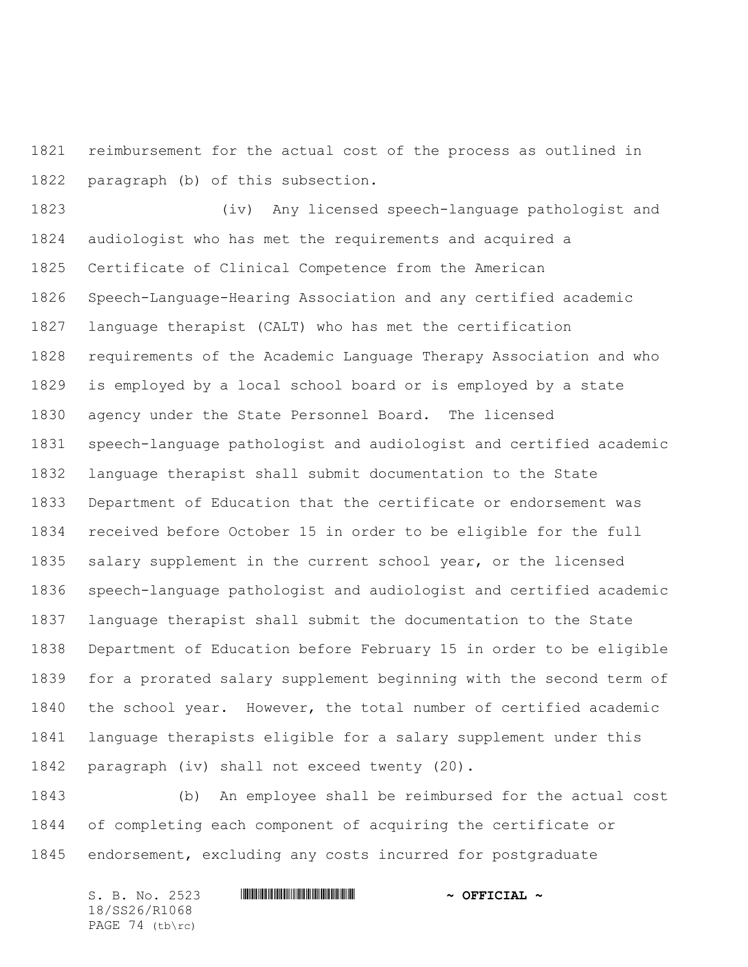reimbursement for the actual cost of the process as outlined in paragraph (b) of this subsection.

 (iv) Any licensed speech-language pathologist and audiologist who has met the requirements and acquired a Certificate of Clinical Competence from the American Speech-Language-Hearing Association and any certified academic language therapist (CALT) who has met the certification requirements of the Academic Language Therapy Association and who is employed by a local school board or is employed by a state agency under the State Personnel Board. The licensed speech-language pathologist and audiologist and certified academic language therapist shall submit documentation to the State Department of Education that the certificate or endorsement was received before October 15 in order to be eligible for the full salary supplement in the current school year, or the licensed speech-language pathologist and audiologist and certified academic language therapist shall submit the documentation to the State Department of Education before February 15 in order to be eligible for a prorated salary supplement beginning with the second term of the school year. However, the total number of certified academic language therapists eligible for a salary supplement under this paragraph (iv) shall not exceed twenty (20).

 (b) An employee shall be reimbursed for the actual cost of completing each component of acquiring the certificate or endorsement, excluding any costs incurred for postgraduate

| S. B. No. 2523    |  | $\sim$ OFFICIAL $\sim$ |
|-------------------|--|------------------------|
| 18/SS26/R1068     |  |                        |
| PAGE $74$ (tb\rc) |  |                        |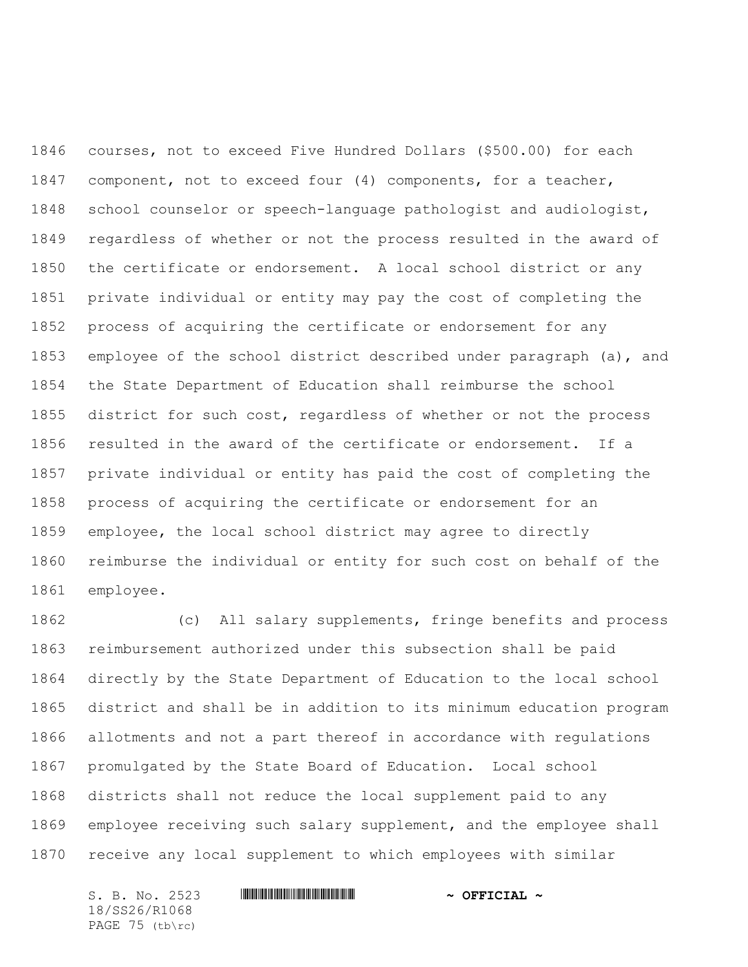courses, not to exceed Five Hundred Dollars (\$500.00) for each component, not to exceed four (4) components, for a teacher, school counselor or speech-language pathologist and audiologist, regardless of whether or not the process resulted in the award of the certificate or endorsement. A local school district or any private individual or entity may pay the cost of completing the process of acquiring the certificate or endorsement for any employee of the school district described under paragraph (a), and the State Department of Education shall reimburse the school district for such cost, regardless of whether or not the process resulted in the award of the certificate or endorsement. If a private individual or entity has paid the cost of completing the process of acquiring the certificate or endorsement for an employee, the local school district may agree to directly reimburse the individual or entity for such cost on behalf of the employee.

 (c) All salary supplements, fringe benefits and process reimbursement authorized under this subsection shall be paid directly by the State Department of Education to the local school district and shall be in addition to its minimum education program allotments and not a part thereof in accordance with regulations promulgated by the State Board of Education. Local school districts shall not reduce the local supplement paid to any employee receiving such salary supplement, and the employee shall receive any local supplement to which employees with similar

S. B. No. 2523 \*SS26/R1068\* **~ OFFICIAL ~** 18/SS26/R1068 PAGE 75 (tb\rc)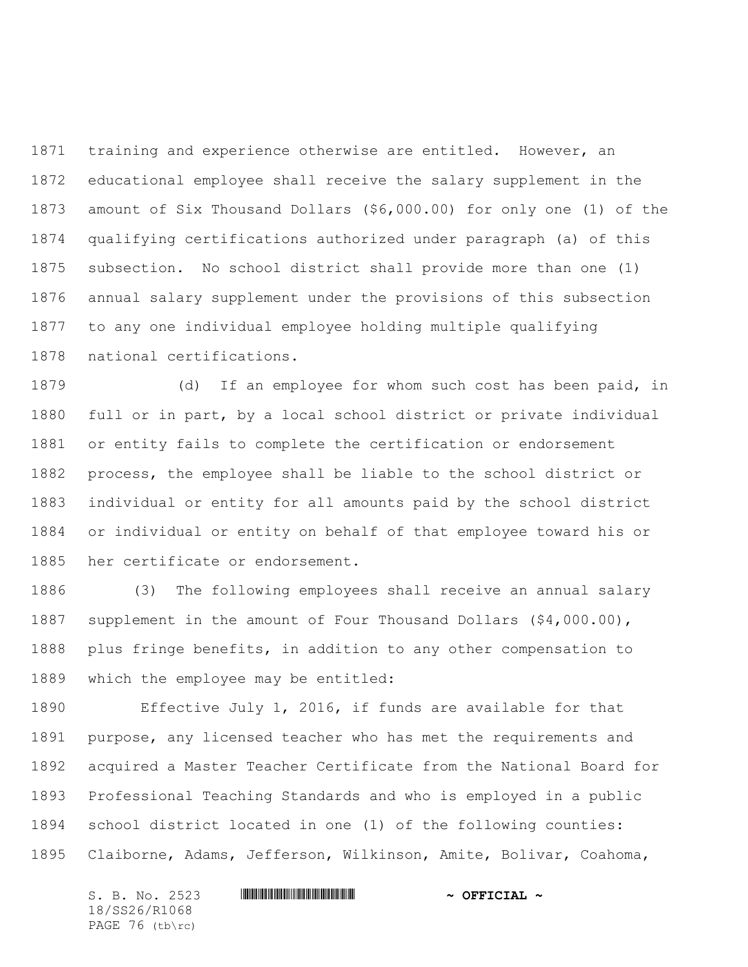training and experience otherwise are entitled. However, an educational employee shall receive the salary supplement in the amount of Six Thousand Dollars (\$6,000.00) for only one (1) of the qualifying certifications authorized under paragraph (a) of this subsection. No school district shall provide more than one (1) annual salary supplement under the provisions of this subsection to any one individual employee holding multiple qualifying national certifications.

 (d) If an employee for whom such cost has been paid, in full or in part, by a local school district or private individual or entity fails to complete the certification or endorsement process, the employee shall be liable to the school district or individual or entity for all amounts paid by the school district or individual or entity on behalf of that employee toward his or her certificate or endorsement.

 (3) The following employees shall receive an annual salary supplement in the amount of Four Thousand Dollars (\$4,000.00), plus fringe benefits, in addition to any other compensation to which the employee may be entitled:

 Effective July 1, 2016, if funds are available for that purpose, any licensed teacher who has met the requirements and acquired a Master Teacher Certificate from the National Board for Professional Teaching Standards and who is employed in a public school district located in one (1) of the following counties: Claiborne, Adams, Jefferson, Wilkinson, Amite, Bolivar, Coahoma,

S. B. No. 2523 \*SS26/R1068\* **~ OFFICIAL ~** 18/SS26/R1068 PAGE 76 (tb\rc)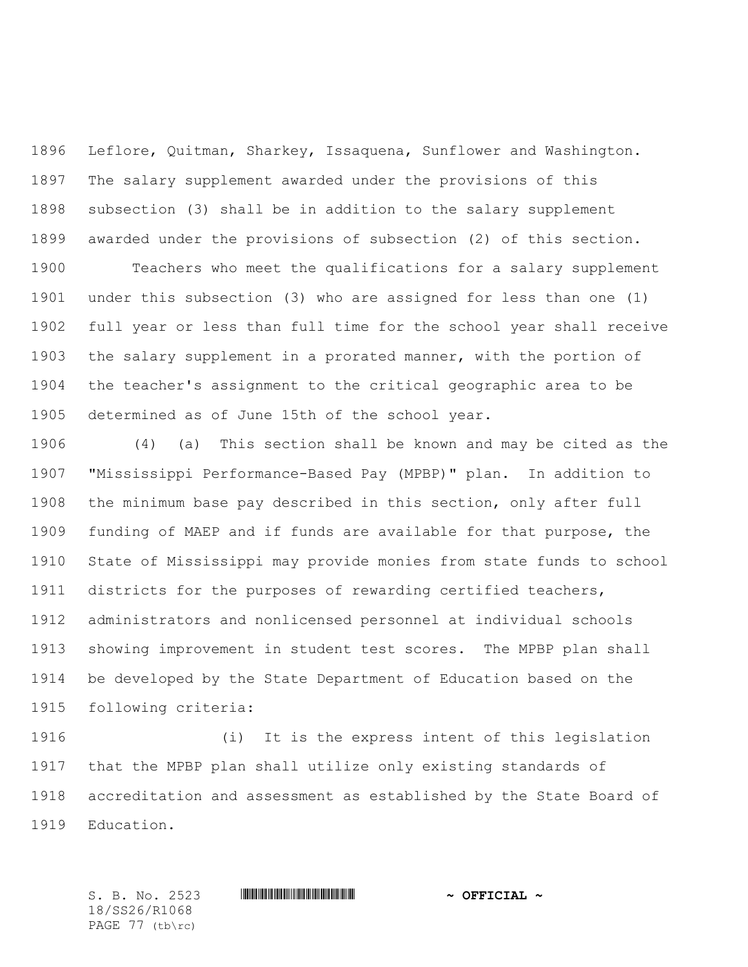Leflore, Quitman, Sharkey, Issaquena, Sunflower and Washington. The salary supplement awarded under the provisions of this subsection (3) shall be in addition to the salary supplement awarded under the provisions of subsection (2) of this section.

 Teachers who meet the qualifications for a salary supplement under this subsection (3) who are assigned for less than one (1) full year or less than full time for the school year shall receive the salary supplement in a prorated manner, with the portion of the teacher's assignment to the critical geographic area to be determined as of June 15th of the school year.

 (4) (a) This section shall be known and may be cited as the "Mississippi Performance-Based Pay (MPBP)" plan. In addition to the minimum base pay described in this section, only after full funding of MAEP and if funds are available for that purpose, the State of Mississippi may provide monies from state funds to school districts for the purposes of rewarding certified teachers, administrators and nonlicensed personnel at individual schools showing improvement in student test scores. The MPBP plan shall be developed by the State Department of Education based on the following criteria:

 (i) It is the express intent of this legislation that the MPBP plan shall utilize only existing standards of accreditation and assessment as established by the State Board of Education.

18/SS26/R1068 PAGE 77 (tb\rc)

S. B. No. 2523 **\*\*\* And \*\*\* And \*\*\* \*\*\* \*\*\* \*\*\* \*\*\* \*\*\* \*\*\* \*\*** \*\* **\*\*\* OFFICIAL** \*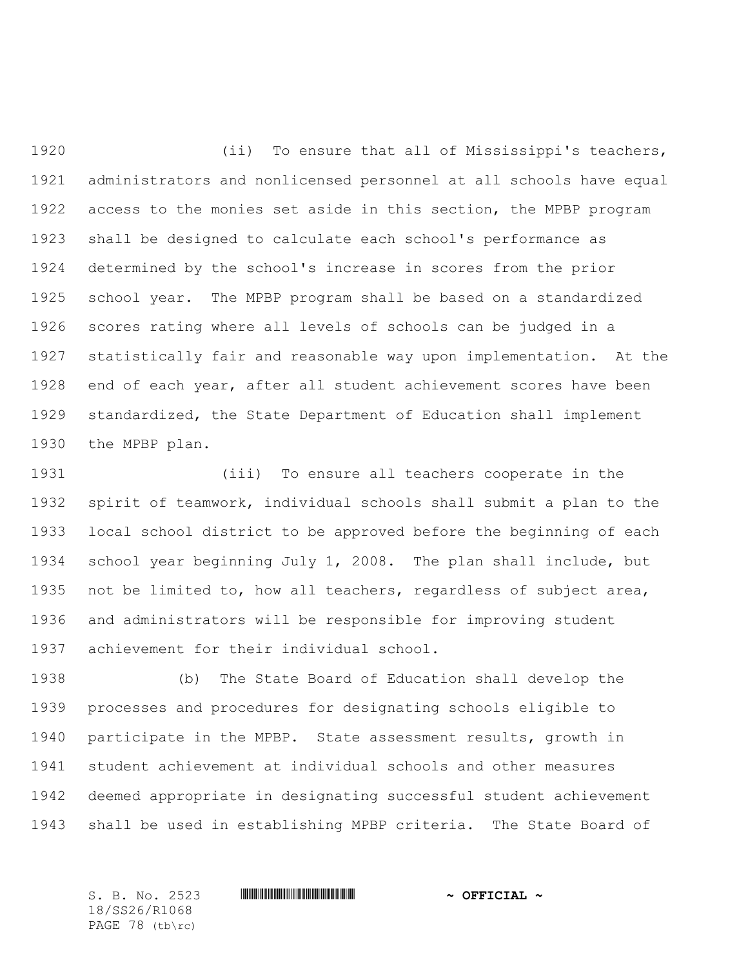(ii) To ensure that all of Mississippi's teachers, administrators and nonlicensed personnel at all schools have equal access to the monies set aside in this section, the MPBP program shall be designed to calculate each school's performance as determined by the school's increase in scores from the prior school year. The MPBP program shall be based on a standardized scores rating where all levels of schools can be judged in a statistically fair and reasonable way upon implementation. At the end of each year, after all student achievement scores have been standardized, the State Department of Education shall implement the MPBP plan.

 (iii) To ensure all teachers cooperate in the spirit of teamwork, individual schools shall submit a plan to the local school district to be approved before the beginning of each school year beginning July 1, 2008. The plan shall include, but not be limited to, how all teachers, regardless of subject area, and administrators will be responsible for improving student achievement for their individual school.

 (b) The State Board of Education shall develop the processes and procedures for designating schools eligible to participate in the MPBP. State assessment results, growth in student achievement at individual schools and other measures deemed appropriate in designating successful student achievement shall be used in establishing MPBP criteria. The State Board of

18/SS26/R1068 PAGE 78 (tb\rc)

S. B. No. 2523 **\*\*\* And \*\*\* And \*\*\* \*\*\* \*\*\* \*\*\* \*\*\* \*\*\* \*\*\* \*\*** \*\* **\*\*\* OFFICIAL** \*